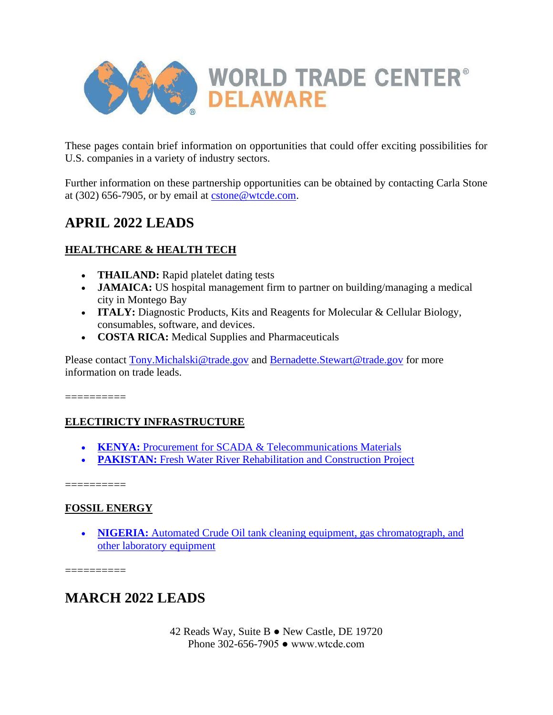

These pages contain brief information on opportunities that could offer exciting possibilities for U.S. companies in a variety of industry sectors.

Further information on these partnership opportunities can be obtained by contacting Carla Stone at (302) 656-7905, or by email at  $ext{extone@wtede.com}$ .

# **APRIL 2022 LEADS**

## **HEALTHCARE & HEALTH TECH**

- **THAILAND:** Rapid platelet dating tests
- **JAMAICA:** US hospital management firm to partner on building/managing a medical city in Montego Bay
- **ITALY:** Diagnostic Products, Kits and Reagents for Molecular & Cellular Biology, consumables, software, and devices.
- **COSTA RICA:** Medical Supplies and Pharmaceuticals

Please contact Tony. Michalski@trade.gov and Bernadette. Stewart@trade.gov for more information on trade leads.

==========

# **ELECTIRICTY INFRASTRUCTURE**

- **KENYA:** [Procurement for SCADA & Telecommunications Materials](https://content.govdelivery.com/attachments/USITATRADE/2022/03/25/file_attachments/2113562/Kenya%20Trade%20Lead.pdf)
- **PAKISTAN:** [Fresh Water River Rehabilitation and Construction Project](https://content.govdelivery.com/attachments/USITATRADE/2022/04/04/file_attachments/2122019/PAKISTAN-%20Fresh%20Water%20River%20Rehabilitation%20and%20Construction%20Project%20.pdf)

==========

### **FOSSIL ENERGY**

• **NIGERIA:** Automated Crude Oil tank cleaning equipment, gas chromatograph, and [other laboratory equipment](https://content.govdelivery.com/attachments/USITATRADE/2022/03/25/file_attachments/2113593/NIGERIA%20Trade%20Lead.pdf)

==========

# **MARCH 2022 LEADS**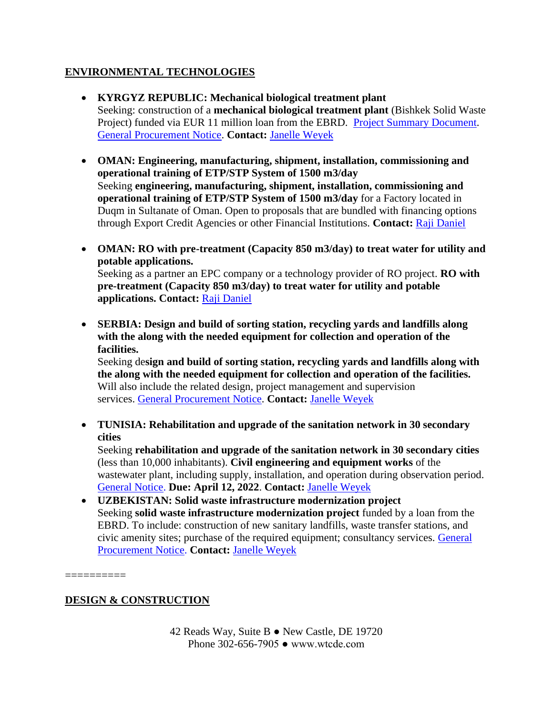# **ENVIRONMENTAL TECHNOLOGIES**

- **KYRGYZ REPUBLIC: Mechanical biological treatment plant** Seeking: construction of a **mechanical biological treatment plant** (Bishkek Solid Waste Project) funded via EUR 11 million loan from the EBRD. [Project Summary Document.](https://lnks.gd/l/eyJhbGciOiJIUzI1NiJ9.eyJidWxsZXRpbl9saW5rX2lkIjoxNDMsInVyaSI6ImJwMjpjbGljayIsImJ1bGxldGluX2lkIjoiMjAyMjAzMTQuNTQ4OTQ4OTEiLCJ1cmwiOiJodHRwczovL2djYzAyLnNhZmVsaW5rcy5wcm90ZWN0aW9uLm91dGxvb2suY29tLz91cmw9aHR0cHMlM0ElMkYlMkZ3d3cuZWJyZC5jb20lMkZ3b3JrLXdpdGgtdXMlMkZwcm9qZWN0cyUyRnBzZCUyRmJpc2hrZWstc29saWQtd2FzdGUuaHRtbCZkYXRhPTA0JTdDMDElN0NyeWFuLnJ1c3NlbGwlNDB0cmFkZS5nb3YlN0M2YmFhZWQ1Yzc3NTk0NThlMzZmODA4ZDlmZDVkMjYyNCU3Q2ExZDE4M2YyNmM3YjRkOWFiOTk0NWYyZjMxYjNmNzgwJTdDMSU3QzAlN0M2Mzc4MTkzOTg4MDczMzQ1MjMlN0NVbmtub3duJTdDVFdGcGJHWnNiM2Q4ZXlKV0lqb2lNQzR3TGpBd01EQWlMQ0pRSWpvaVYybHVNeklpTENKQlRpSTZJazFoYVd3aUxDSlhWQ0k2TW4wJTNEJTdDMzAwMCZzZGF0YT1kT01Ga0ZPJTJGZ0lKNldmJTJGNHJzQnJ5YnlDcnNzQVdmMUZMMzMyb3RMVlV5MCUzRCZyZXNlcnZlZD0wIn0.Euz16TjXxiwaNSIop4RjPXwTEC6PxXUjxdc0YhfSR1A/s/375238915/br/128082030453-l) [General Procurement Notice.](https://lnks.gd/l/eyJhbGciOiJIUzI1NiJ9.eyJidWxsZXRpbl9saW5rX2lkIjoxNDQsInVyaSI6ImJwMjpjbGljayIsImJ1bGxldGluX2lkIjoiMjAyMjAzMTQuNTQ4OTQ4OTEiLCJ1cmwiOiJodHRwczovL2djYzAyLnNhZmVsaW5rcy5wcm90ZWN0aW9uLm91dGxvb2suY29tLz91cmw9aHR0cHMlM0ElMkYlMkZlY2VwcC5lYnJkLmNvbSUyRmRlbHRhJTJGdmlld05vdGljZS5odG1sJTNGZGlzcGxheU5vdGljZUlkJTNEMjAzMzczODEmZGF0YT0wNCU3QzAxJTdDcnlhbi5ydXNzZWxsJTQwdHJhZGUuZ292JTdDNmJhYWVkNWM3NzU5NDU4ZTM2ZjgwOGQ5ZmQ1ZDI2MjQlN0NhMWQxODNmMjZjN2I0ZDlhYjk5NDVmMmYzMWIzZjc4MCU3QzElN0MwJTdDNjM3ODE5Mzk4ODA3MzM0NTIzJTdDVW5rbm93biU3Q1RXRnBiR1pzYjNkOGV5SldJam9pTUM0d0xqQXdNREFpTENKUUlqb2lWMmx1TXpJaUxDSkJUaUk2SWsxaGFXd2lMQ0pYVkNJNk1uMCUzRCU3QzMwMDAmc2RhdGE9ZFNaWXhETEQ3T3VONEt4QU1kSEZua09xckE4bkFRaDRMa3pmWHo5MEhQSSUzRCZyZXNlcnZlZD0wIn0.KqXdjhk_59Ombl6y-HxT8_8RgO4KYOWFcSEm66PEEUc/s/375238915/br/128082030453-l) **Contact:** [Janelle Weyek](mailto:Janelle.Weyek@trade.gov)
- **OMAN: Engineering, manufacturing, shipment, installation, commissioning and operational training of ETP/STP System of 1500 m3/day** Seeking **engineering, manufacturing, shipment, installation, commissioning and operational training of ETP/STP System of 1500 m3/day** for a Factory located in Duqm in Sultanate of Oman. Open to proposals that are bundled with financing options through Export Credit Agencies or other Financial Institutions. **Contact:** [Raji Daniel](mailto:DanielR@state.gov)
- **OMAN: RO with pre-treatment (Capacity 850 m3/day) to treat water for utility and potable applications.** Seeking as a partner an EPC company or a technology provider of RO project. **RO with pre-treatment (Capacity 850 m3/day) to treat water for utility and potable**

**applications. Contact:** [Raji Daniel](mailto:DanielR@state.gov)

• **SERBIA: Design and build of sorting station, recycling yards and landfills along with the along with the needed equipment for collection and operation of the facilities.** 

Seeking de**sign and build of sorting station, recycling yards and landfills along with the along with the needed equipment for collection and operation of the facilities.**  Will also include the related design, project management and supervision services. [General Procurement Notice.](https://lnks.gd/l/eyJhbGciOiJIUzI1NiJ9.eyJidWxsZXRpbl9saW5rX2lkIjoxNDUsInVyaSI6ImJwMjpjbGljayIsImJ1bGxldGluX2lkIjoiMjAyMjAzMTQuNTQ4OTQ4OTEiLCJ1cmwiOiJodHRwczovL2djYzAyLnNhZmVsaW5rcy5wcm90ZWN0aW9uLm91dGxvb2suY29tLz91cmw9aHR0cHMlM0ElMkYlMkZlY2VwcC5lYnJkLmNvbSUyRmRlbHRhJTJGdmlld05vdGljZS5odG1sJTNGZGlzcGxheU5vdGljZUlkJTNEMTk0NjgyODcmZGF0YT0wNCU3QzAxJTdDcnlhbi5ydXNzZWxsJTQwdHJhZGUuZ292JTdDNmJhYWVkNWM3NzU5NDU4ZTM2ZjgwOGQ5ZmQ1ZDI2MjQlN0NhMWQxODNmMjZjN2I0ZDlhYjk5NDVmMmYzMWIzZjc4MCU3QzElN0MwJTdDNjM3ODE5Mzk4ODA3MzM0NTIzJTdDVW5rbm93biU3Q1RXRnBiR1pzYjNkOGV5SldJam9pTUM0d0xqQXdNREFpTENKUUlqb2lWMmx1TXpJaUxDSkJUaUk2SWsxaGFXd2lMQ0pYVkNJNk1uMCUzRCU3QzMwMDAmc2RhdGE9WXQ2NXRkaGFEZnFjbkJ5Zm1vMUpjdHMyZ0dIbnE5YWRNUXF0QTR1U2poQSUzRCZyZXNlcnZlZD0wIn0.ADBg6qkFfsdNcfIucJ_bZLwfJWUn1_QIYCvhs8_Iy5s/s/375238915/br/128082030453-l) **Contact:** [Janelle Weyek](mailto:Janelle.Weyek@trade.gov)

• **TUNISIA: Rehabilitation and upgrade of the sanitation network in 30 secondary cities**

Seeking **rehabilitation and upgrade of the sanitation network in 30 secondary cities**  (less than 10,000 inhabitants). **Civil engineering and equipment works** of the wastewater plant, including supply, installation, and operation during observation period. [General Notice.](https://lnks.gd/l/eyJhbGciOiJIUzI1NiJ9.eyJidWxsZXRpbl9saW5rX2lkIjoxNDYsInVyaSI6ImJwMjpjbGljayIsImJ1bGxldGluX2lkIjoiMjAyMjAzMTQuNTQ4OTQ4OTEiLCJ1cmwiOiJodHRwczovL2djYzAyLnNhZmVsaW5rcy5wcm90ZWN0aW9uLm91dGxvb2suY29tLz91cmw9aHR0cHMlM0ElMkYlMkZ3d3cuZWJyZC5jb20lMkZ3b3JrLXdpdGgtdXMlMkZwcm9jdXJlbWVudCUyRnAtcG4tMjIwMjA0YS5odG1sJmRhdGE9MDQlN0MwMSU3Q3J5YW4ucnVzc2VsbCU0MHRyYWRlLmdvdiU3QzZiYWFlZDVjNzc1OTQ1OGUzNmY4MDhkOWZkNWQyNjI0JTdDYTFkMTgzZjI2YzdiNGQ5YWI5OTQ1ZjJmMzFiM2Y3ODAlN0MxJTdDMCU3QzYzNzgxOTM5ODgwNzMzNDUyMyU3Q1Vua25vd24lN0NUV0ZwYkdac2IzZDhleUpXSWpvaU1DNHdMakF3TURBaUxDSlFJam9pVjJsdU16SWlMQ0pCVGlJNklrMWhhV3dpTENKWFZDSTZNbjAlM0QlN0MzMDAwJnNkYXRhPXJvQ2Y4a3pqdGFBV1p5UVNHWUgwUzBqY0drUXpCSUhLaVdVMTRaeUFwNFUlM0QmcmVzZXJ2ZWQ9MCJ9.m7v5V_4FWy1FrC4lKcfeK6nbJKRbcPD9dZJGylJwb2U/s/375238915/br/128082030453-l) **Due: April 12, 2022**. **Contact:** [Janelle Weyek](mailto:Janelle.Weyek@trade.gov)

• **UZBEKISTAN: Solid waste infrastructure modernization project** Seeking **solid waste infrastructure modernization project** funded by a loan from the EBRD. To include: construction of new sanitary landfills, waste transfer stations, and civic amenity sites; purchase of the required equipment; consultancy services. [General](https://lnks.gd/l/eyJhbGciOiJIUzI1NiJ9.eyJidWxsZXRpbl9saW5rX2lkIjoxNDcsInVyaSI6ImJwMjpjbGljayIsImJ1bGxldGluX2lkIjoiMjAyMjAzMTQuNTQ4OTQ4OTEiLCJ1cmwiOiJodHRwczovL2djYzAyLnNhZmVsaW5rcy5wcm90ZWN0aW9uLm91dGxvb2suY29tLz91cmw9aHR0cHMlM0ElMkYlMkZlY2VwcC5lYnJkLmNvbSUyRmRlbHRhJTJGdmlld05vdGljZS5odG1sJTNGZGlzcGxheU5vdGljZUlkJTNEMjAyMjg4NDcmZGF0YT0wNCU3QzAxJTdDcnlhbi5ydXNzZWxsJTQwdHJhZGUuZ292JTdDNmJhYWVkNWM3NzU5NDU4ZTM2ZjgwOGQ5ZmQ1ZDI2MjQlN0NhMWQxODNmMjZjN2I0ZDlhYjk5NDVmMmYzMWIzZjc4MCU3QzElN0MwJTdDNjM3ODE5Mzk4ODA3MzM0NTIzJTdDVW5rbm93biU3Q1RXRnBiR1pzYjNkOGV5SldJam9pTUM0d0xqQXdNREFpTENKUUlqb2lWMmx1TXpJaUxDSkJUaUk2SWsxaGFXd2lMQ0pYVkNJNk1uMCUzRCU3QzMwMDAmc2RhdGE9ZTBOOTVoViUyQkxldDZCSWRTRFVjTkJ3TTJjMTNlN3dDS2JDdks2TmJvV2UwJTNEJnJlc2VydmVkPTAifQ.TJyJRi7iF2zrDCGaDoESeun-_D1Ah4JwKYtFkUhndKA/s/375238915/br/128082030453-l)  [Procurement Notice.](https://lnks.gd/l/eyJhbGciOiJIUzI1NiJ9.eyJidWxsZXRpbl9saW5rX2lkIjoxNDcsInVyaSI6ImJwMjpjbGljayIsImJ1bGxldGluX2lkIjoiMjAyMjAzMTQuNTQ4OTQ4OTEiLCJ1cmwiOiJodHRwczovL2djYzAyLnNhZmVsaW5rcy5wcm90ZWN0aW9uLm91dGxvb2suY29tLz91cmw9aHR0cHMlM0ElMkYlMkZlY2VwcC5lYnJkLmNvbSUyRmRlbHRhJTJGdmlld05vdGljZS5odG1sJTNGZGlzcGxheU5vdGljZUlkJTNEMjAyMjg4NDcmZGF0YT0wNCU3QzAxJTdDcnlhbi5ydXNzZWxsJTQwdHJhZGUuZ292JTdDNmJhYWVkNWM3NzU5NDU4ZTM2ZjgwOGQ5ZmQ1ZDI2MjQlN0NhMWQxODNmMjZjN2I0ZDlhYjk5NDVmMmYzMWIzZjc4MCU3QzElN0MwJTdDNjM3ODE5Mzk4ODA3MzM0NTIzJTdDVW5rbm93biU3Q1RXRnBiR1pzYjNkOGV5SldJam9pTUM0d0xqQXdNREFpTENKUUlqb2lWMmx1TXpJaUxDSkJUaUk2SWsxaGFXd2lMQ0pYVkNJNk1uMCUzRCU3QzMwMDAmc2RhdGE9ZTBOOTVoViUyQkxldDZCSWRTRFVjTkJ3TTJjMTNlN3dDS2JDdks2TmJvV2UwJTNEJnJlc2VydmVkPTAifQ.TJyJRi7iF2zrDCGaDoESeun-_D1Ah4JwKYtFkUhndKA/s/375238915/br/128082030453-l) **Contact:** [Janelle Weyek](mailto:Janelle.Weyek@trade.gov)

==========

# **DESIGN & CONSTRUCTION**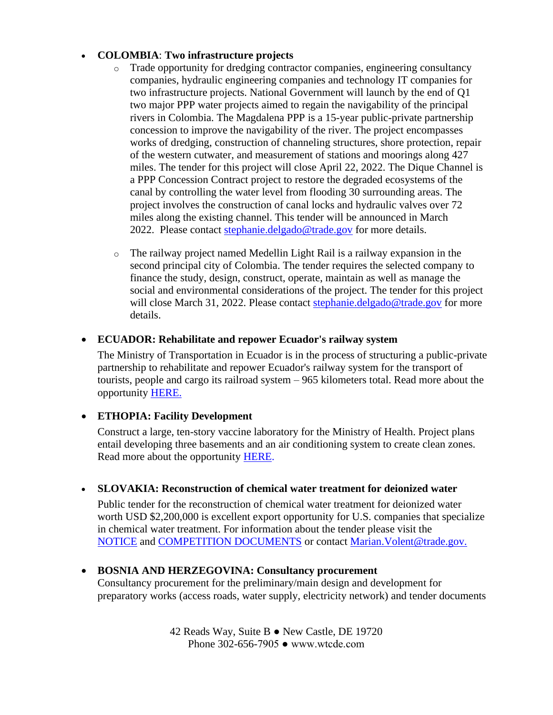### • **COLOMBIA**: **Two infrastructure projects**

- o Trade opportunity for dredging contractor companies, engineering consultancy companies, hydraulic engineering companies and technology IT companies for two infrastructure projects. National Government will launch by the end of Q1 two major PPP water projects aimed to regain the navigability of the principal rivers in Colombia. The Magdalena PPP is a 15-year public-private partnership concession to improve the navigability of the river. The project encompasses works of dredging, construction of channeling structures, shore protection, repair of the western cutwater, and measurement of stations and moorings along 427 miles. The tender for this project will close April 22, 2022. The Dique Channel is a PPP Concession Contract project to restore the degraded ecosystems of the canal by controlling the water level from flooding 30 surrounding areas. The project involves the construction of canal locks and hydraulic valves over 72 miles along the existing channel. This tender will be announced in March 2022. Please contact [stephanie.delgado@trade.gov](mailto:stephanie.delgado@trade.gov) for more details.
- o The railway project named Medellin Light Rail is a railway expansion in the second principal city of Colombia. The tender requires the selected company to finance the study, design, construct, operate, maintain as well as manage the social and environmental considerations of the project. The tender for this project will close March 31, 2022. Please contact [stephanie.delgado@trade.gov](mailto:stephanie.delgado@trade.gov) for more details.

## • **ECUADOR: Rehabilitate and repower Ecuador's railway system**

The Ministry of Transportation in Ecuador is in the process of structuring a public-private partnership to rehabilitate and repower Ecuador's railway system for the transport of tourists, people and cargo its railroad system – 965 kilometers total. Read more about the opportunity [HERE.](https://lnks.gd/l/eyJhbGciOiJIUzI1NiJ9.eyJidWxsZXRpbl9saW5rX2lkIjoxMTcsInVyaSI6ImJwMjpjbGljayIsImJ1bGxldGluX2lkIjoiMjAyMjAzMTEuNTQ3NTYxNzEiLCJ1cmwiOiJodHRwczovL3d3dy5vYnJhc3B1YmxpY2FzLmdvYi5lYy9pbmZvcm1hY2lvbi1kZWwtc2lzdGVtYS1mZXJyb3ZpYXJpby1kZWwtZWN1YWRvci8ifQ.K7kBriKfs3hzFcRayqR66bf5JmdtV_9h2QZhlYFArtk/s/375238915/br/127964015088-l)

# • **ETHOPIA: Facility Development**

Construct a large, ten-story vaccine laboratory for the Ministry of Health. Project plans entail developing three basements and an air conditioning system to create clean zones. Read more about the opportunity [HERE.](https://lnks.gd/l/eyJhbGciOiJIUzI1NiJ9.eyJidWxsZXRpbl9saW5rX2lkIjoxMTgsInVyaSI6ImJwMjpjbGljayIsImJ1bGxldGluX2lkIjoiMjAyMjAzMTEuNTQ3NTYxNzEiLCJ1cmwiOiJodHRwczovL3d3dy50cmFkZS5nb3Yvd2ViZm9ybS9pdGEtZXhwcmVzcy1sZWFkLWhlYWx0aGNhcmUtYWZyaWNhLW1hcmNoLTgtMjAyMiJ9.lz3nAYV27txdFpLAWwHX5pwxHlSXuik6bQqgf0xVzso/s/375238915/br/127964015088-l)

# • **SLOVAKIA: Reconstruction of chemical water treatment for deionized water**

Public tender for the reconstruction of chemical water treatment for deionized water worth USD \$2,200,000 is excellent export opportunity for U.S. companies that specialize in chemical water treatment. For information about the tender please visit th[e](https://lnks.gd/l/eyJhbGciOiJIUzI1NiJ9.eyJidWxsZXRpbl9saW5rX2lkIjoxMTksInVyaSI6ImJwMjpjbGljayIsImJ1bGxldGluX2lkIjoiMjAyMjAzMTEuNTQ3NTYxNzEiLCJ1cmwiOiJodHRwczovL3RlZC5ldXJvcGEuZXUvdWRsP3VyaT1URUQ6Tk9USUNFOjM3NDk5LTIwMjI6VEVYVDpFTjpIVE1MJnNyYz0wIn0.p0-c3VT4FfljqWMsSxsWrCDOoDmLD1nFMjpABpgmJZ4/s/375238915/br/127964015088-l) [NOTICE](https://lnks.gd/l/eyJhbGciOiJIUzI1NiJ9.eyJidWxsZXRpbl9saW5rX2lkIjoxMTksInVyaSI6ImJwMjpjbGljayIsImJ1bGxldGluX2lkIjoiMjAyMjAzMTEuNTQ3NTYxNzEiLCJ1cmwiOiJodHRwczovL3RlZC5ldXJvcGEuZXUvdWRsP3VyaT1URUQ6Tk9USUNFOjM3NDk5LTIwMjI6VEVYVDpFTjpIVE1MJnNyYz0wIn0.p0-c3VT4FfljqWMsSxsWrCDOoDmLD1nFMjpABpgmJZ4/s/375238915/br/127964015088-l) and [COMPETITION DOCUMENTS](https://lnks.gd/l/eyJhbGciOiJIUzI1NiJ9.eyJidWxsZXRpbl9saW5rX2lkIjoxMjAsInVyaSI6ImJwMjpjbGljayIsImJ1bGxldGluX2lkIjoiMjAyMjAzMTEuNTQ3NTYxNzEiLCJ1cmwiOiJodHRwczovL3d3dy51dm8uZ292LnNrL3Z5aGxhZGF2YW5pZS16YWthemllay9kZXRhaWwvZG9rdW1lbnR5LzQzNjUwNSJ9.wG8pMpmqfxM2yOiMip036HjOGAc-pQDJysgM3Q10yqA/s/375238915/br/127964015088-l) or contact [Marian.Volent@trade.gov.](mailto:Marian.Volent@trade.gov)

# • **BOSNIA AND HERZEGOVINA: Consultancy procurement**

Consultancy procurement for the preliminary/main design and development for preparatory works (access roads, water supply, electricity network) and tender documents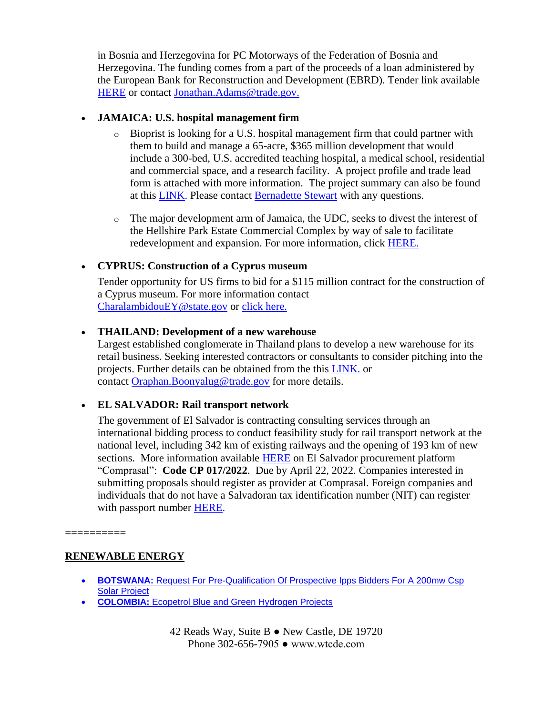in Bosnia and Herzegovina for PC Motorways of the Federation of Bosnia and Herzegovina. The funding comes from a part of the proceeds of a loan administered by the European Bank for Reconstruction and Development (EBRD). Tender link available [HERE](https://lnks.gd/l/eyJhbGciOiJIUzI1NiJ9.eyJidWxsZXRpbl9saW5rX2lkIjoxMjEsInVyaSI6ImJwMjpjbGljayIsImJ1bGxldGluX2lkIjoiMjAyMjAzMTEuNTQ3NTYxNzEiLCJ1cmwiOiJodHRwczovL2VjZXBwLmVicmQuY29tL2RlbHRhL3ZpZXdOb3RpY2UuaHRtbD9kaXNwbGF5Tm90aWNlSWQ9MjAwNDY1ODgifQ.WRcmwSZBgpjZlyPABkLAnTm5-curk2MqSfr5uV28FUI/s/375238915/br/127964015088-l) or contact [Jonathan.Adams@trade.gov.](mailto:Jonathan.Adams@trade.gov.)

### • **JAMAICA: U.S. hospital management firm**

- o Bioprist is looking for a U.S. hospital management firm that could partner with them to build and manage a 65-acre, \$365 million development that would include a 300-bed, U.S. accredited teaching hospital, a medical school, residential and commercial space, and a research facility. A project profile and trade lead form is attached with more information. The project summary can also be found at this [LINK.](https://lnks.gd/l/eyJhbGciOiJIUzI1NiJ9.eyJidWxsZXRpbl9saW5rX2lkIjoxMjIsInVyaSI6ImJwMjpjbGljayIsImJ1bGxldGluX2lkIjoiMjAyMjAzMTEuNTQ3NTYxNzEiLCJ1cmwiOiJodHRwczovL2djYzAyLnNhZmVsaW5rcy5wcm90ZWN0aW9uLm91dGxvb2suY29tLz91cmw9aHR0cHMlM0ElMkYlMkZkcml2ZS5nb29nbGUuY29tJTJGZmlsZSUyRmQlMkYxMGcwd1ZYN05FYnVQbWZWQUdULXBmQlZ3eVdWSWw2RTYlMkZ2aWV3JmRhdGE9MDQlN0MwMSU3Q0Jlcm5hZGV0dGUuU3Rld2FydCU0MHRyYWRlLmdvdiU3QzdkOGJmNTc5MGM5MTRlMmQ0NjcwMDhkYTAwNDI1YTZiJTdDYTFkMTgzZjI2YzdiNGQ5YWI5OTQ1ZjJmMzFiM2Y3ODAlN0MxJTdDMCU3QzYzNzgyMjU4MjQyNjUxNzM2MyU3Q1Vua25vd24lN0NUV0ZwYkdac2IzZDhleUpXSWpvaU1DNHdMakF3TURBaUxDSlFJam9pVjJsdU16SWlMQ0pCVGlJNklrMWhhV3dpTENKWFZDSTZNbjAlM0QlN0MzMDAwJnNkYXRhPXc1eDRRN2wwRVRMSDN4ZXNxSUZlZ2FoTUtzdHlnJTJCdUU4dXpyZ285bnhXWSUzRCZyZXNlcnZlZD0wIn0.XCcRfrsGdviJDlGx9V4Oga3KAFQQMl5s3DrznUkBWUQ/s/375238915/br/127964015088-l) Please contact [Bernadette Stewart](mailto:Bernadette.Stewart@trade.gov) with any questions.
- o The major development arm of Jamaica, the UDC, seeks to divest the interest of the Hellshire Park Estate Commercial Complex by way of sale to facilitate redevelopment and expansion. For more information, click [HERE.](https://lnks.gd/l/eyJhbGciOiJIUzI1NiJ9.eyJidWxsZXRpbl9saW5rX2lkIjoxMjMsInVyaSI6ImJwMjpjbGljayIsImJ1bGxldGluX2lkIjoiMjAyMjAzMTEuNTQ3NTYxNzEiLCJ1cmwiOiJodHRwczovL2NvbnRlbnQuZ292ZGVsaXZlcnkuY29tL2F0dGFjaG1lbnRzL1VTSVRBVFJBREUvMjAyMi8wMi8yNS9maWxlX2F0dGFjaG1lbnRzLzIwODc3NjQvVFJBREUlMjBMRUFEX1NBTEUlMjBPRiUyMEhFTExTSElSRSUyMFBBUkslMjBFU1RBVEUlMjBDT01NRVJDSUFMJTIwQ09NUExFWC5wZGYifQ.AO3tULE9V9eFmZ6iS04njTySBhWDPLc9WFTm8w_kxOo/s/375238915/br/127964015088-l)

## • **CYPRUS: Construction of a Cyprus museum**

Tender opportunity for US firms to bid for a \$115 million contract for the construction of a Cyprus museum. For more information contact [CharalambidouEY@state.gov](mailto:CharalambidouEY@state.gov) or click [here.](https://lnks.gd/l/eyJhbGciOiJIUzI1NiJ9.eyJidWxsZXRpbl9saW5rX2lkIjoxMjQsInVyaSI6ImJwMjpjbGljayIsImJ1bGxldGluX2lkIjoiMjAyMjAzMTEuNTQ3NTYxNzEiLCJ1cmwiOiJodHRwczovL2djYzAyLnNhZmVsaW5rcy5wcm90ZWN0aW9uLm91dGxvb2suY29tLz91cmw9aHR0cHMlM0ElMkYlMkZ3d3cuZXByb2N1cmVtZW50Lmdvdi5jeSUyRmVwcHMlMkZjZnQlMkZ2aWV3Q29udHJhY3ROb3RpY2VzLmRvJTNGcmVzb3VyY2VJZCUzRDUxMTUzNDQmZGF0YT0wNCU3QzAxJTdDVGVyZXNhLkdpbGUlNDB0cmFkZS5nb3YlN0M4YWUyYjljMGEwNjk0Njc3NGNhMDA4ZDlkNGQ1NzI0YyU3Q2ExZDE4M2YyNmM3YjRkOWFiOTk0NWYyZjMxYjNmNzgwJTdDMSU3QzAlN0M2Mzc3NzQ4MzU0NzQ5MzE2ODAlN0NVbmtub3duJTdDVFdGcGJHWnNiM2Q4ZXlKV0lqb2lNQzR3TGpBd01EQWlMQ0pRSWpvaVYybHVNeklpTENKQlRpSTZJazFoYVd3aUxDSlhWQ0k2TW4wJTNEJTdDMzAwMCZzZGF0YT1XSjFSaVZSQSUyRm9EYms4a0xuV2Z1eVc3NEFUemJ5T09VMzdCM0NYY3ZCZ1ElM0QmcmVzZXJ2ZWQ9MCJ9.wBi79I6DAsPpVyN73_4WtcF6RshU37JlZtjTe8wy8Yk/s/375238915/br/127964015088-l)

### • **THAILAND: Development of a new warehouse**

Largest established conglomerate in Thailand plans to develop a new warehouse for its retail business. Seeking interested contractors or consultants to consider pitching into the projects. Further details can be obtained from the this [LINK.](https://lnks.gd/l/eyJhbGciOiJIUzI1NiJ9.eyJidWxsZXRpbl9saW5rX2lkIjoxMjUsInVyaSI6ImJwMjpjbGljayIsImJ1bGxldGluX2lkIjoiMjAyMjAzMTEuNTQ3NTYxNzEiLCJ1cmwiOiJodHRwczovL2NvbnRlbnQuZ292ZGVsaXZlcnkuY29tL2F0dGFjaG1lbnRzL1VTSVRBVFJBREUvMjAyMi8wMy8wMi9maWxlX2F0dGFjaG1lbnRzLzIwOTE4NzAvQ29udHJhY3RvciUyMCUyMENvbnN1bHRhbnQlMjBTb3VyY2luZyUyMF9LZXklMjBwYWdlJTIwc3VtbWFyeSUyOEVOZyUyOS5wZGYifQ.i2KVWKyscLEXW86RV3IagucR0bB73DPZ1sDf90IKeFg/s/375238915/br/127964015088-l) or contact [Oraphan.Boonyalug@trade.gov](mailto:Oraphan.Boonyalug@trade.gov) for more details.

### • **EL SALVADOR: Rail transport network**

The government of El Salvador is contracting consulting services through an international bidding process to conduct feasibility study for rail transport network at the national level, including 342 km of existing railways and the opening of 193 km of new sections. More information available [HERE](https://lnks.gd/l/eyJhbGciOiJIUzI1NiJ9.eyJidWxsZXRpbl9saW5rX2lkIjoxMjYsInVyaSI6ImJwMjpjbGljayIsImJ1bGxldGluX2lkIjoiMjAyMjAzMTEuNTQ3NTYxNzEiLCJ1cmwiOiJodHRwczovL3d3dy5jb21wcmFzYWwuZ29iLnN2L2NvbXByYXNhbHdlYi9wcm9jZXNvcyJ9.qoQtUJf0OJqMTLVG_xRRIX6SzJ1km925TJiQjJS0xEQ/s/375238915/br/127964015088-l) on El Salvador procurement platform "Comprasal": **Code CP 017/2022**. Due by April 22, 2022. Companies interested in submitting proposals should register as provider at Comprasal. Foreign companies and individuals that do not have a Salvadoran tax identification number (NIT) can register with passport number [HERE.](https://lnks.gd/l/eyJhbGciOiJIUzI1NiJ9.eyJidWxsZXRpbl9saW5rX2lkIjoxMjcsInVyaSI6ImJwMjpjbGljayIsImJ1bGxldGluX2lkIjoiMjAyMjAzMTEuNTQ3NTYxNzEiLCJ1cmwiOiJodHRwczovL3d3dy5jb21wcmFzYWwuZ29iLnN2L2NvbXByYXNhbHdlYi9wcm9jZXNvcy8xNDc1MDEwOSJ9.p3JkGpttWEwgJOWiw1Zvto4k_BLxz6VRQYVsYCGx2ts/s/375238915/br/127964015088-l)

==========

# **RENEWABLE ENERGY**

- **[BOTSWANA:](https://lnks.gd/l/eyJhbGciOiJIUzI1NiJ9.eyJidWxsZXRpbl9saW5rX2lkIjoxNzgsInVyaSI6ImJwMjpjbGljayIsImJ1bGxldGluX2lkIjoiMjAyMjAzMDguNTQ1OTUzMDEiLCJ1cmwiOiJodHRwczovL2NvbnRlbnQuZ292ZGVsaXZlcnkuY29tL2F0dGFjaG1lbnRzL1VTSVRBVFJBREUvMjAyMi8wMy8wMS9maWxlX2F0dGFjaG1lbnRzLzIwOTAyNTcvQm90c3dhbmElMjBUcmFkZSUyMExlYWQucGRmIn0.AGTErc4xQ27KSXatnXypyg9IBbCRemgJvL0HUhEmoGU/s/375238915/br/127717727299-l)** [Request For Pre-Qualification Of Prospective Ipps Bidders For A 200mw Csp](https://lnks.gd/l/eyJhbGciOiJIUzI1NiJ9.eyJidWxsZXRpbl9saW5rX2lkIjoxNzksInVyaSI6ImJwMjpjbGljayIsImJ1bGxldGluX2lkIjoiMjAyMjAzMDguNTQ1OTUzMDEiLCJ1cmwiOiJodHRwczovL2NvbnRlbnQuZ292ZGVsaXZlcnkuY29tL2F0dGFjaG1lbnRzL1VTSVRBVFJBREUvMjAyMi8wMy8wMS9maWxlX2F0dGFjaG1lbnRzLzIwOTAyNTcvQm90c3dhbmElMjBUcmFkZSUyMExlYWQucGRmIn0.LbdG0iiXZdCEsq81yLpoR6tIJ13BWQvKqp5GxfQ5hwE/s/375238915/br/127717727299-l)  [Solar Project](https://lnks.gd/l/eyJhbGciOiJIUzI1NiJ9.eyJidWxsZXRpbl9saW5rX2lkIjoxNzksInVyaSI6ImJwMjpjbGljayIsImJ1bGxldGluX2lkIjoiMjAyMjAzMDguNTQ1OTUzMDEiLCJ1cmwiOiJodHRwczovL2NvbnRlbnQuZ292ZGVsaXZlcnkuY29tL2F0dGFjaG1lbnRzL1VTSVRBVFJBREUvMjAyMi8wMy8wMS9maWxlX2F0dGFjaG1lbnRzLzIwOTAyNTcvQm90c3dhbmElMjBUcmFkZSUyMExlYWQucGRmIn0.LbdG0iiXZdCEsq81yLpoR6tIJ13BWQvKqp5GxfQ5hwE/s/375238915/br/127717727299-l)
- **COLOMBIA:** [Ecopetrol Blue and Green Hydrogen Projects](https://lnks.gd/l/eyJhbGciOiJIUzI1NiJ9.eyJidWxsZXRpbl9saW5rX2lkIjoxODAsInVyaSI6ImJwMjpjbGljayIsImJ1bGxldGluX2lkIjoiMjAyMjAzMDguNTQ1OTUzMDEiLCJ1cmwiOiJodHRwczovL2NvbnRlbnQuZ292ZGVsaXZlcnkuY29tL2F0dGFjaG1lbnRzL1VTSVRBVFJBREUvMjAyMi8wMy8wOC9maWxlX2F0dGFjaG1lbnRzLzIwOTc0OTYvQ29sb21iaWEucGRmIn0.XfnQKQK5MV11bGo-Zj1r8sekgaVToUp0B_DsCjc9SME/s/375238915/br/127717727299-l)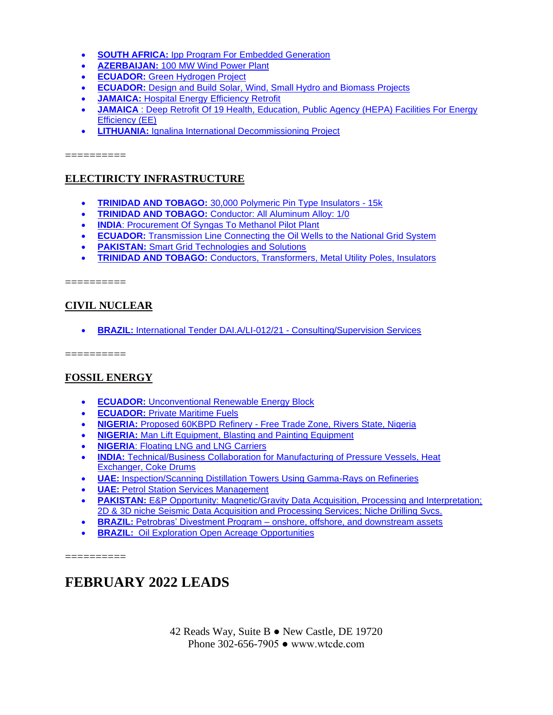- **SOUTH AFRICA: Ipp Program For Embedded Generation**
- **AZERBAIJAN:** [100 MW Wind Power Plant](https://lnks.gd/l/eyJhbGciOiJIUzI1NiJ9.eyJidWxsZXRpbl9saW5rX2lkIjoxODMsInVyaSI6ImJwMjpjbGljayIsImJ1bGxldGluX2lkIjoiMjAyMjAzMDguNTQ1OTUzMDEiLCJ1cmwiOiJodHRwczovL2NvbnRlbnQuZ292ZGVsaXZlcnkuY29tL2F0dGFjaG1lbnRzL1VTSVRBVFJBREUvMjAyMi8wMS8yNy9maWxlX2F0dGFjaG1lbnRzLzIwNjAwOTQvQXplcmJhaWphbi5wZGYifQ.Jmt_T4OwxjemUJaKKNp0e2xdt0qKwap3zKcC6VaNR0s/s/375238915/br/127717727299-l)
- **ECUADOR:** [Green Hydrogen Project](https://lnks.gd/l/eyJhbGciOiJIUzI1NiJ9.eyJidWxsZXRpbl9saW5rX2lkIjoxODUsInVyaSI6ImJwMjpjbGljayIsImJ1bGxldGluX2lkIjoiMjAyMjAzMDguNTQ1OTUzMDEiLCJ1cmwiOiJodHRwczovL2NvbnRlbnQuZ292ZGVsaXZlcnkuY29tL2F0dGFjaG1lbnRzL1VTSVRBVFJBREUvMjAyMi8wMi8wNC9maWxlX2F0dGFjaG1lbnRzLzIwNjc4ODEvRWN1YWRvciUyMFRyYWRlJTIwTGVhZCUyMCUyODElMjkucGRmIn0.j0_a7JgZT9HSMEvuGgIfiQgexM8olgeLQvx8AB4V3TE/s/375238915/br/127717727299-l)
- **ECUADOR:** [Design and Build Solar, Wind, Small Hydro and Biomass Projects](https://lnks.gd/l/eyJhbGciOiJIUzI1NiJ9.eyJidWxsZXRpbl9saW5rX2lkIjoxODYsInVyaSI6ImJwMjpjbGljayIsImJ1bGxldGluX2lkIjoiMjAyMjAzMDguNTQ1OTUzMDEiLCJ1cmwiOiJodHRwczovL2NvbnRlbnQuZ292ZGVsaXZlcnkuY29tL2F0dGFjaG1lbnRzL1VTSVRBVFJBREUvMjAyMi8wMS8xMi9maWxlX2F0dGFjaG1lbnRzLzIwNDUyODcvRWN1YWRvciUyMFVuY29udmVudGlvbmFsLnBkZiJ9.1jXnvKnvZIy_vPEyzQpmc0BFqglHdEH0ixbswJe7DcY/s/375238915/br/127717727299-l)
- **JAMAICA: [Hospital Energy Efficiency Retrofit](https://lnks.gd/l/eyJhbGciOiJIUzI1NiJ9.eyJidWxsZXRpbl9saW5rX2lkIjoxODcsInVyaSI6ImJwMjpjbGljayIsImJ1bGxldGluX2lkIjoiMjAyMjAzMDguNTQ1OTUzMDEiLCJ1cmwiOiJodHRwczovL2NvbnRlbnQuZ292ZGVsaXZlcnkuY29tL2F0dGFjaG1lbnRzL1VTSVRBVFJBREUvMjAyMi8wMi8wNC9maWxlX2F0dGFjaG1lbnRzLzIwNjc4ODAvSmFtYWljYSUyMHRyYWRlJTIwbGVhZC5wZGYifQ.0J_NjKCwapsoAHODW7GNxBpsI-cqxDpMwLAs2F-sEBE/s/375238915/br/127717727299-l)**
- **JAMAICA** [: Deep Retrofit Of 19 Health, Education, Public Agency \(HEPA\) Facilities For Energy](https://lnks.gd/l/eyJhbGciOiJIUzI1NiJ9.eyJidWxsZXRpbl9saW5rX2lkIjoxODgsInVyaSI6ImJwMjpjbGljayIsImJ1bGxldGluX2lkIjoiMjAyMjAzMDguNTQ1OTUzMDEiLCJ1cmwiOiJodHRwczovL2NvbnRlbnQuZ292ZGVsaXZlcnkuY29tL2F0dGFjaG1lbnRzL1VTSVRBVFJBREUvMjAyMi8wMi8wNC9maWxlX2F0dGFjaG1lbnRzLzIwNjgxNDgvSmFtYWljYSUyMHRyYWRlJTIwbGVhZCUyMC0lMjBFRS5wZGYifQ.4nJ14NiFyg54CJxGBbSeTkrcI4N9s-2z5vdMUoqb_1s/s/375238915/br/127717727299-l)  [Efficiency \(EE\)](https://lnks.gd/l/eyJhbGciOiJIUzI1NiJ9.eyJidWxsZXRpbl9saW5rX2lkIjoxODgsInVyaSI6ImJwMjpjbGljayIsImJ1bGxldGluX2lkIjoiMjAyMjAzMDguNTQ1OTUzMDEiLCJ1cmwiOiJodHRwczovL2NvbnRlbnQuZ292ZGVsaXZlcnkuY29tL2F0dGFjaG1lbnRzL1VTSVRBVFJBREUvMjAyMi8wMi8wNC9maWxlX2F0dGFjaG1lbnRzLzIwNjgxNDgvSmFtYWljYSUyMHRyYWRlJTIwbGVhZCUyMC0lMjBFRS5wZGYifQ.4nJ14NiFyg54CJxGBbSeTkrcI4N9s-2z5vdMUoqb_1s/s/375238915/br/127717727299-l)
- **LITHUANIA:** [Ignalina International Decommissioning Project](https://lnks.gd/l/eyJhbGciOiJIUzI1NiJ9.eyJidWxsZXRpbl9saW5rX2lkIjoxOTAsInVyaSI6ImJwMjpjbGljayIsImJ1bGxldGluX2lkIjoiMjAyMjAzMDguNTQ1OTUzMDEiLCJ1cmwiOiJodHRwczovL2NvbnRlbnQuZ292ZGVsaXZlcnkuY29tL2F0dGFjaG1lbnRzL1VTSVRBVFJBREUvMjAyMi8wMi8wNy9maWxlX2F0dGFjaG1lbnRzLzIwNjk1MTYvTGl0aHVhbmlhJTIwVHJhZGUlMjBMZWFkLnBkZiJ9.kiApR9vVRnI757lJOaqaMxjvTcgrEC8qnwpecqjVeyw/s/375238915/br/127717727299-l)

==========

## **ELECTIRICTY INFRASTRUCTURE**

- **TRINIDAD AND TOBAGO:** [30,000 Polymeric Pin Type Insulators -](https://lnks.gd/l/eyJhbGciOiJIUzI1NiJ9.eyJidWxsZXRpbl9saW5rX2lkIjoxOTEsInVyaSI6ImJwMjpjbGljayIsImJ1bGxldGluX2lkIjoiMjAyMjAzMDguNTQ1OTUzMDEiLCJ1cmwiOiJodHRwczovL2NvbnRlbnQuZ292ZGVsaXZlcnkuY29tL2F0dGFjaG1lbnRzL1VTSVRBVFJBREUvMjAyMi8wMy8wMS9maWxlX2F0dGFjaG1lbnRzLzIwOTAyNTgvVHJpbmlkYWQlMjBhbmQlMjBUb2JhZ28lMjBUcmFkZSUyMExlYWQucGRmIn0.MsS-41Rrr5S43PVsZ7EzR9mV4svQvovESlkGZLcveaY/s/375238915/br/127717727299-l) 15k
- **TRINIDAD AND TOBAGO:** [Conductor: All Aluminum Alloy: 1/0](https://lnks.gd/l/eyJhbGciOiJIUzI1NiJ9.eyJidWxsZXRpbl9saW5rX2lkIjoxOTIsInVyaSI6ImJwMjpjbGljayIsImJ1bGxldGluX2lkIjoiMjAyMjAzMDguNTQ1OTUzMDEiLCJ1cmwiOiJodHRwczovL2NvbnRlbnQuZ292ZGVsaXZlcnkuY29tL2F0dGFjaG1lbnRzL1VTSVRBVFJBREUvMjAyMi8wMy8wMS9maWxlX2F0dGFjaG1lbnRzLzIwOTAyNjEvVHJpbmlkYWQlMjBhbmQlMjBUb2JhZ28lMjBUcmFkZSUyMExlYWQlMjBBbHVtaW51bS5wZGYifQ.Or9xoyhkNDhe9xg2z4kD28jcUYv-ZPwjJ7DgYz9o8lQ/s/375238915/br/127717727299-l)
- **INDIA**[: Procurement Of Syngas To Methanol Pilot Plant](https://lnks.gd/l/eyJhbGciOiJIUzI1NiJ9.eyJidWxsZXRpbl9saW5rX2lkIjoxOTMsInVyaSI6ImJwMjpjbGljayIsImJ1bGxldGluX2lkIjoiMjAyMjAzMDguNTQ1OTUzMDEiLCJ1cmwiOiJodHRwczovL2NvbnRlbnQuZ292ZGVsaXZlcnkuY29tL2F0dGFjaG1lbnRzL1VTSVRBVFJBREUvMjAyMi8wMy8wMS9maWxlX2F0dGFjaG1lbnRzLzIwOTAyODEvSW5kaWElMjBUcmFkZSUyMExlYWQucGRmIn0.mVgtz4LiVacxwv3A3lLV3DaVQt9EkQfdEY2aZ1P9DzA/s/375238915/br/127717727299-l)
- **ECUADOR:** [Transmission Line Connecting the Oil Wells to the National Grid System](https://lnks.gd/l/eyJhbGciOiJIUzI1NiJ9.eyJidWxsZXRpbl9saW5rX2lkIjoxOTQsInVyaSI6ImJwMjpjbGljayIsImJ1bGxldGluX2lkIjoiMjAyMjAzMDguNTQ1OTUzMDEiLCJ1cmwiOiJodHRwczovL2NvbnRlbnQuZ292ZGVsaXZlcnkuY29tL2F0dGFjaG1lbnRzL1VTSVRBVFJBREUvMjAyMi8wMS8xMi9maWxlX2F0dGFjaG1lbnRzLzIwNDUyODcvRWN1YWRvciUyMFVuY29udmVudGlvbmFsLnBkZiJ9.F1_AMvTbejxUUKPgfBTt0DVaANM2U4thJ_xoe0D-VNs/s/375238915/br/127717727299-l)
- **PAKISTAN:** [Smart Grid Technologies and Solutions](https://lnks.gd/l/eyJhbGciOiJIUzI1NiJ9.eyJidWxsZXRpbl9saW5rX2lkIjoxOTUsInVyaSI6ImJwMjpjbGljayIsImJ1bGxldGluX2lkIjoiMjAyMjAzMDguNTQ1OTUzMDEiLCJ1cmwiOiJodHRwczovL2NvbnRlbnQuZ292ZGVsaXZlcnkuY29tL2F0dGFjaG1lbnRzL1VTSVRBVFJBREUvMjAyMi8wMS8xMi9maWxlX2F0dGFjaG1lbnRzLzIwNDUzMzQvcGFraXN0YW4uZG9jeCJ9.l5REmChPvcg7dmNSB8Jq-w7TLqcwBVMzbJSZsgFhEKw/s/375238915/br/127717727299-l)
- **TRINIDAD AND TOBAGO:** [Conductors, Transformers, Metal Utility Poles, Insulators](https://lnks.gd/l/eyJhbGciOiJIUzI1NiJ9.eyJidWxsZXRpbl9saW5rX2lkIjoxOTYsInVyaSI6ImJwMjpjbGljayIsImJ1bGxldGluX2lkIjoiMjAyMjAzMDguNTQ1OTUzMDEiLCJ1cmwiOiJodHRwczovL2NvbnRlbnQuZ292ZGVsaXZlcnkuY29tL2F0dGFjaG1lbnRzL1VTSVRBVFJBREUvMjAyMS8xMi8xMy9maWxlX2F0dGFjaG1lbnRzLzIwMjE3NDgvVHJpbmlkYWQlMjBhbmQlMjBUb2JhZ28ucGRmIn0.NME9PTEcFOaPpa4U0xoPjpYlXAJVoiFOubEy3Iw7pvc/s/375238915/br/127717727299-l)

==========

#### **CIVIL NUCLEAR**

• **BRAZIL:** [International Tender DAI.A/LI-012/21 -](https://lnks.gd/l/eyJhbGciOiJIUzI1NiJ9.eyJidWxsZXRpbl9saW5rX2lkIjoxOTcsInVyaSI6ImJwMjpjbGljayIsImJ1bGxldGluX2lkIjoiMjAyMjAzMDguNTQ1OTUzMDEiLCJ1cmwiOiJodHRwczovL2NvbnRlbnQuZ292ZGVsaXZlcnkuY29tL2F0dGFjaG1lbnRzL1VTSVRBVFJBREUvMjAyMi8wMy8wNy9maWxlX2F0dGFjaG1lbnRzLzIwOTY1MTcvQnJhemlsLnBkZiJ9.22nX2xFg0VaAXnkU7OUvAdaHgk40MJOd1C4iXhGW5ic/s/375238915/br/127717727299-l) Consulting/Supervision Services

==========

#### **FOSSIL ENERGY**

- **[ECUADOR:](https://lnks.gd/l/eyJhbGciOiJIUzI1NiJ9.eyJidWxsZXRpbl9saW5rX2lkIjoxOTgsInVyaSI6ImJwMjpjbGljayIsImJ1bGxldGluX2lkIjoiMjAyMjAzMDguNTQ1OTUzMDEiLCJ1cmwiOiJodHRwczovL2NvbnRlbnQuZ292ZGVsaXZlcnkuY29tL2F0dGFjaG1lbnRzL1VTSVRBVFJBREUvMjAyMi8wMS8xMi9maWxlX2F0dGFjaG1lbnRzLzIwNDUyODcvRWN1YWRvciUyMFVuY29udmVudGlvbmFsLnBkZiJ9.nLrq2V2I8uQjtBbANrxV1x8m8bc-_T1XcYrBWT8Hxuw/s/375238915/br/127717727299-l)** [Unconventional Renewable Energy Block](https://lnks.gd/l/eyJhbGciOiJIUzI1NiJ9.eyJidWxsZXRpbl9saW5rX2lkIjoxOTksInVyaSI6ImJwMjpjbGljayIsImJ1bGxldGluX2lkIjoiMjAyMjAzMDguNTQ1OTUzMDEiLCJ1cmwiOiJodHRwczovL2NvbnRlbnQuZ292ZGVsaXZlcnkuY29tL2F0dGFjaG1lbnRzL1VTSVRBVFJBREUvMjAyMi8wMS8xMi9maWxlX2F0dGFjaG1lbnRzLzIwNDUyODcvRWN1YWRvciUyMFVuY29udmVudGlvbmFsLnBkZiJ9._sKOXHPswZ7J7Hg5ZsgBtX5Cr1iMvQXq9n-JIo1h1Go/s/375238915/br/127717727299-l)
- **ECUADOR:** [Private Maritime Fuels](https://lnks.gd/l/eyJhbGciOiJIUzI1NiJ9.eyJidWxsZXRpbl9saW5rX2lkIjoyMDAsInVyaSI6ImJwMjpjbGljayIsImJ1bGxldGluX2lkIjoiMjAyMjAzMDguNTQ1OTUzMDEiLCJ1cmwiOiJodHRwczovL2NvbnRlbnQuZ292ZGVsaXZlcnkuY29tL2F0dGFjaG1lbnRzL1VTSVRBVFJBREUvMjAyMi8wMS8xMi9maWxlX2F0dGFjaG1lbnRzLzIwNDUyOTkvRWN1YWRvciUyME1hcml0aW1lJTIwRnVlbHMuJTIwcHViLnBkZiJ9.DR3J-8mJGG6VAswdwDW3fbJfEO1TAtXnC8bQb3Cd6yY/s/375238915/br/127717727299-l)
- **NIGERIA:** Proposed 60KBPD Refinery [Free Trade Zone, Rivers State, Nigeria](https://lnks.gd/l/eyJhbGciOiJIUzI1NiJ9.eyJidWxsZXRpbl9saW5rX2lkIjoyMDEsInVyaSI6ImJwMjpjbGljayIsImJ1bGxldGluX2lkIjoiMjAyMjAzMDguNTQ1OTUzMDEiLCJ1cmwiOiJodHRwczovL2NvbnRlbnQuZ292ZGVsaXZlcnkuY29tL2F0dGFjaG1lbnRzL1VTSVRBVFJBREUvMjAyMS8xMi8xMy9maWxlX2F0dGFjaG1lbnRzLzIwMjE2NjQvTmlnZXJpYS5wZGYifQ.tWtQy12IcvS2gmt09Y1Kq0bzQ7tOrWJSOoUVb1zRCOA/s/375238915/br/127717727299-l)
- **NIGERIA:** [Man Lift Equipment, Blasting and Painting Equipment](https://lnks.gd/l/eyJhbGciOiJIUzI1NiJ9.eyJidWxsZXRpbl9saW5rX2lkIjoyMDIsInVyaSI6ImJwMjpjbGljayIsImJ1bGxldGluX2lkIjoiMjAyMjAzMDguNTQ1OTUzMDEiLCJ1cmwiOiJodHRwczovL2NvbnRlbnQuZ292ZGVsaXZlcnkuY29tL2F0dGFjaG1lbnRzL1VTSVRBVFJBREUvMjAyMi8wMi8wNy9maWxlX2F0dGFjaG1lbnRzLzIwNjk1MzkvTmlnZXJpYS5EdWdhbC5wZGYifQ.m7A1RtVYUhD055mTgFTzxvfcdqm0gO5BzJkfaaIiRnI/s/375238915/br/127717727299-l)
- **NIGERIA**[: Floating LNG and LNG Carriers](https://lnks.gd/l/eyJhbGciOiJIUzI1NiJ9.eyJidWxsZXRpbl9saW5rX2lkIjoyMDMsInVyaSI6ImJwMjpjbGljayIsImJ1bGxldGluX2lkIjoiMjAyMjAzMDguNTQ1OTUzMDEiLCJ1cmwiOiJodHRwczovL2NvbnRlbnQuZ292ZGVsaXZlcnkuY29tL2F0dGFjaG1lbnRzL1VTSVRBVFJBREUvMjAyMi8wMi8wNi9maWxlX2F0dGFjaG1lbnRzLzIwNjkwMTYvTmlnZXJpYS5TdGVsb2cucGRmIn0.1BrSVw_XXNWPAXziptOIzI97LaBbOilx5IG8w2LXyBA/s/375238915/br/127717727299-l)
- **[INDIA:](https://lnks.gd/l/eyJhbGciOiJIUzI1NiJ9.eyJidWxsZXRpbl9saW5rX2lkIjoyMDQsInVyaSI6ImJwMjpjbGljayIsImJ1bGxldGluX2lkIjoiMjAyMjAzMDguNTQ1OTUzMDEiLCJ1cmwiOiJodHRwczovL2NvbnRlbnQuZ292ZGVsaXZlcnkuY29tL2F0dGFjaG1lbnRzL1VTSVRBVFJBREUvMjAyMS8xMS8wNC9maWxlX2F0dGFjaG1lbnRzLzE5ODcxMzgvSU5ESUElMjAxJTIwY29rZSUyMGRydW1zJTIwaGVhdCUyMGV4Y2hhbmdlci5wZGYifQ.UwgV5CmpYwUj7tk4t0z1MUDTSmKGepZNdqtr85DMpmY/s/375238915/br/127717727299-l)** [Technical/Business Collaboration for Manufacturing of Pressure Vessels, Heat](https://lnks.gd/l/eyJhbGciOiJIUzI1NiJ9.eyJidWxsZXRpbl9saW5rX2lkIjoyMDUsInVyaSI6ImJwMjpjbGljayIsImJ1bGxldGluX2lkIjoiMjAyMjAzMDguNTQ1OTUzMDEiLCJ1cmwiOiJodHRwczovL2NvbnRlbnQuZ292ZGVsaXZlcnkuY29tL2F0dGFjaG1lbnRzL1VTSVRBVFJBREUvMjAyMS8xMS8wNC9maWxlX2F0dGFjaG1lbnRzLzE5ODcxMzgvSU5ESUElMjAxJTIwY29rZSUyMGRydW1zJTIwaGVhdCUyMGV4Y2hhbmdlci5wZGYifQ.s2Xe4JZWw-xu5zJpuFjCP1dkkJbanKN83UQGf7U8U-4/s/375238915/br/127717727299-l)  [Exchanger, Coke Drums](https://lnks.gd/l/eyJhbGciOiJIUzI1NiJ9.eyJidWxsZXRpbl9saW5rX2lkIjoyMDUsInVyaSI6ImJwMjpjbGljayIsImJ1bGxldGluX2lkIjoiMjAyMjAzMDguNTQ1OTUzMDEiLCJ1cmwiOiJodHRwczovL2NvbnRlbnQuZ292ZGVsaXZlcnkuY29tL2F0dGFjaG1lbnRzL1VTSVRBVFJBREUvMjAyMS8xMS8wNC9maWxlX2F0dGFjaG1lbnRzLzE5ODcxMzgvSU5ESUElMjAxJTIwY29rZSUyMGRydW1zJTIwaGVhdCUyMGV4Y2hhbmdlci5wZGYifQ.s2Xe4JZWw-xu5zJpuFjCP1dkkJbanKN83UQGf7U8U-4/s/375238915/br/127717727299-l)
- **UAE:** [Inspection/Scanning Distillation Towers Using Gamma-Rays on Refineries](https://lnks.gd/l/eyJhbGciOiJIUzI1NiJ9.eyJidWxsZXRpbl9saW5rX2lkIjoyMDYsInVyaSI6ImJwMjpjbGljayIsImJ1bGxldGluX2lkIjoiMjAyMjAzMDguNTQ1OTUzMDEiLCJ1cmwiOiJodHRwczovL2NvbnRlbnQuZ292ZGVsaXZlcnkuY29tL2F0dGFjaG1lbnRzL1VTSVRBVFJBREUvMjAyMS8wNi8wMy9maWxlX2F0dGFjaG1lbnRzLzE4NDQyODkvdWFlJTIwMi5wZGYifQ.N2XqFGkYm8uQcj4x0RAAG47jUqY0AWxWIAad0vaneGk/s/375238915/br/127717727299-l)
- **UAE:** [Petrol Station Services Management](https://lnks.gd/l/eyJhbGciOiJIUzI1NiJ9.eyJidWxsZXRpbl9saW5rX2lkIjoyMDcsInVyaSI6ImJwMjpjbGljayIsImJ1bGxldGluX2lkIjoiMjAyMjAzMDguNTQ1OTUzMDEiLCJ1cmwiOiJodHRwczovL2NvbnRlbnQuZ292ZGVsaXZlcnkuY29tL2F0dGFjaG1lbnRzL1VTSVRBVFJBREUvMjAyMS8wNi8wMy9maWxlX2F0dGFjaG1lbnRzLzE4NDQyOTgvdWFlJTIwMS5wZGYifQ.gvZjdSKuMhYtvMW1MNThoZiDPvSz2jf-rtjzc4W8dVE/s/375238915/br/127717727299-l)
- **[PAKISTAN:](https://gcc02.safelinks.protection.outlook.com/?url=https%3A%2F%2Flnks.gd%2Fl%2FeyJhbGciOiJIUzI1NiJ9.eyJidWxsZXRpbl9saW5rX2lkIjoxODQsInVyaSI6ImJwMjpjbGljayIsImJ1bGxldGluX2lkIjoiMjAyMTA0MTUuMzg4NjE0NDEiLCJ1cmwiOiJodHRwczovL2NvbnRlbnQuZ292ZGVsaXZlcnkuY29tL2F0dGFjaG1lbnRzL1VTSVRBVFJBREUvMjAyMS8wNC8xNC9maWxlX2F0dGFjaG1lbnRzLzE3NTQwOTAvUEFLSVNUQU4ucGRmIn0.BWLW26HWqAyukVHKdHG4N7S6rM4m6lN554jReg4YK38%2Fs%2F761723631%2Fbr%2F102339645098-l&data=04%7C01%7Cdanielle.caltabiano%40trade.gov%7C911ff936d5f74be703b408d9003a0f86%7Ca1d183f26c7b4d9ab9945f2f31b3f780%7C1%7C1%7C637541071639266392%7CUnknown%7CTWFpbGZsb3d8eyJWIjoiMC4wLjAwMDAiLCJQIjoiV2luMzIiLCJBTiI6Ik1haWwiLCJXVCI6Mn0%3D%7C1000&sdata=0oh4c1ji3XwQaZfz4oa4wkt4BmJMY4ps7l74TVe5MZk%3D&reserved=0)** E&P Opportunity: Magnetic/Gravity Data Acquisition, Processing and Interpretation; [2D & 3D niche Seismic Data Acquisition and Processing Services; Niche Drilling Svcs.](https://gcc02.safelinks.protection.outlook.com/?url=https%3A%2F%2Flnks.gd%2Fl%2FeyJhbGciOiJIUzI1NiJ9.eyJidWxsZXRpbl9saW5rX2lkIjoxODUsInVyaSI6ImJwMjpjbGljayIsImJ1bGxldGluX2lkIjoiMjAyMTA0MTUuMzg4NjE0NDEiLCJ1cmwiOiJodHRwczovL2NvbnRlbnQuZ292ZGVsaXZlcnkuY29tL2F0dGFjaG1lbnRzL1VTSVRBVFJBREUvMjAyMS8wNC8xNC9maWxlX2F0dGFjaG1lbnRzLzE3NTQwOTAvUEFLSVNUQU4ucGRmIn0.68OnL0Ulfise9a6Ct8UtRKlQZtt_c3OuOwqgaq3oM7o%2Fs%2F761723631%2Fbr%2F102339645098-l&data=04%7C01%7Cdanielle.caltabiano%40trade.gov%7C911ff936d5f74be703b408d9003a0f86%7Ca1d183f26c7b4d9ab9945f2f31b3f780%7C1%7C1%7C637541071639266392%7CUnknown%7CTWFpbGZsb3d8eyJWIjoiMC4wLjAwMDAiLCJQIjoiV2luMzIiLCJBTiI6Ik1haWwiLCJXVCI6Mn0%3D%7C1000&sdata=i8pL8oElneiDZWcNddAQxiu7aP4uTkSwleyj%2B69JIe4%3D&reserved=0)
- **BRAZIL:** Petrobras' Divestment Program [onshore, offshore, and downstream assets](https://gcc02.safelinks.protection.outlook.com/?url=https%3A%2F%2Flnks.gd%2Fl%2FeyJhbGciOiJIUzI1NiJ9.eyJidWxsZXRpbl9saW5rX2lkIjoxOTIsInVyaSI6ImJwMjpjbGljayIsImJ1bGxldGluX2lkIjoiMjAyMTA0MTUuMzg4NjE0NDEiLCJ1cmwiOiJodHRwczovL2NvbnRlbnQuZ292ZGVsaXZlcnkuY29tL2F0dGFjaG1lbnRzL1VTSVRBVFJBREUvMjAyMC8xMi8wNy9maWxlX2F0dGFjaG1lbnRzLzE2MTkzOTYvQlJBWklMJTIwMi5wZGYifQ.vUbiLC6Z9d0HM2VFejDzIi5CThu3Xm5g2-vz9Ug7qkY%2Fs%2F761723631%2Fbr%2F102339645098-l&data=04%7C01%7Cdanielle.caltabiano%40trade.gov%7C911ff936d5f74be703b408d9003a0f86%7Ca1d183f26c7b4d9ab9945f2f31b3f780%7C1%7C1%7C637541071639296261%7CUnknown%7CTWFpbGZsb3d8eyJWIjoiMC4wLjAwMDAiLCJQIjoiV2luMzIiLCJBTiI6Ik1haWwiLCJXVCI6Mn0%3D%7C1000&sdata=Zan0ISdxxZ6nxdkp68s3cKpFAl9Eba27oo61yETye4Q%3D&reserved=0)
- **[BRAZIL:](https://gcc02.safelinks.protection.outlook.com/?url=https%3A%2F%2Flnks.gd%2Fl%2FeyJhbGciOiJIUzI1NiJ9.eyJidWxsZXRpbl9saW5rX2lkIjoxOTMsInVyaSI6ImJwMjpjbGljayIsImJ1bGxldGluX2lkIjoiMjAyMTA0MTUuMzg4NjE0NDEiLCJ1cmwiOiJodHRwczovL2NvbnRlbnQuZ292ZGVsaXZlcnkuY29tL2F0dGFjaG1lbnRzL1VTSVRBVFJBREUvMjAyMS8wMy8xMS9maWxlX2F0dGFjaG1lbnRzLzE3MjAyOTMvQlJBWklMJTIwMi5wZGYifQ.h6t-yuH2MUfe3_AMi6EfQ2TwMcJ09Ou0G1lwwoGV_gY%2Fs%2F761723631%2Fbr%2F102339645098-l&data=04%7C01%7Cdanielle.caltabiano%40trade.gov%7C911ff936d5f74be703b408d9003a0f86%7Ca1d183f26c7b4d9ab9945f2f31b3f780%7C1%7C1%7C637541071639296261%7CUnknown%7CTWFpbGZsb3d8eyJWIjoiMC4wLjAwMDAiLCJQIjoiV2luMzIiLCJBTiI6Ik1haWwiLCJXVCI6Mn0%3D%7C1000&sdata=ErwzoJlQNgZgJ3gpo6Yc4o9oTvxzpEjMf2qBFOxvUKc%3D&reserved=0)** [Oil Exploration Open Acreage Opportunities](https://gcc02.safelinks.protection.outlook.com/?url=https%3A%2F%2Flnks.gd%2Fl%2FeyJhbGciOiJIUzI1NiJ9.eyJidWxsZXRpbl9saW5rX2lkIjoxOTQsInVyaSI6ImJwMjpjbGljayIsImJ1bGxldGluX2lkIjoiMjAyMTA0MTUuMzg4NjE0NDEiLCJ1cmwiOiJodHRwczovL2NvbnRlbnQuZ292ZGVsaXZlcnkuY29tL2F0dGFjaG1lbnRzL1VTSVRBVFJBREUvMjAyMS8wMy8xMS9maWxlX2F0dGFjaG1lbnRzLzE3MjAyOTMvQlJBWklMJTIwMi5wZGYifQ.pDbxMfmWA0YaOl8QqY4XiLYzesDH3LsGHoIO7rZsNu4%2Fs%2F761723631%2Fbr%2F102339645098-l&data=04%7C01%7Cdanielle.caltabiano%40trade.gov%7C911ff936d5f74be703b408d9003a0f86%7Ca1d183f26c7b4d9ab9945f2f31b3f780%7C1%7C1%7C637541071639306218%7CUnknown%7CTWFpbGZsb3d8eyJWIjoiMC4wLjAwMDAiLCJQIjoiV2luMzIiLCJBTiI6Ik1haWwiLCJXVCI6Mn0%3D%7C1000&sdata=%2F8nVpYKh8U2bqkOT%2B9I2a3UV%2BbsJeobrxuQ%2FsHo%2B5A4%3D&reserved=0)

==========

# **FEBRUARY 2022 LEADS**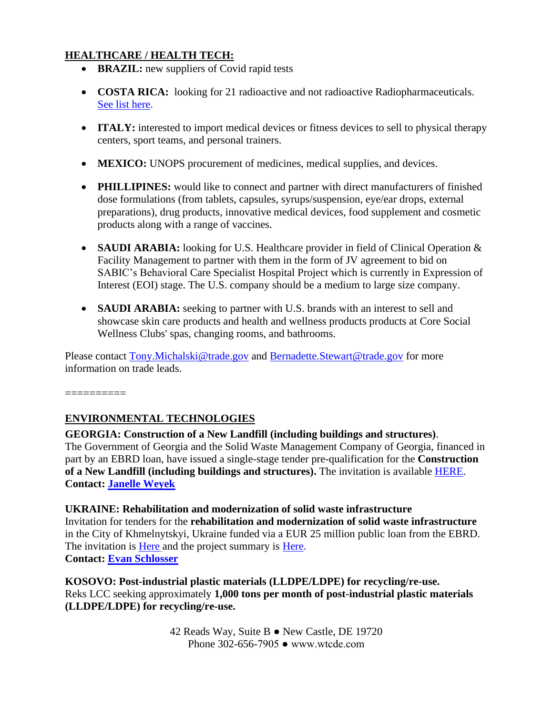## **HEALTHCARE / HEALTH TECH:**

- **BRAZIL:** new suppliers of Covid rapid tests
- **COSTA RICA:** looking for 21 radioactive and not radioactive Radiopharmaceuticals. [See list here.](https://lnks.gd/l/eyJhbGciOiJIUzI1NiJ9.eyJidWxsZXRpbl9saW5rX2lkIjoxMTYsInVyaSI6ImJwMjpjbGljayIsImJ1bGxldGluX2lkIjoiMjAyMjAyMDMuNTI4NDQ3NzEiLCJ1cmwiOiJodHRwczovL2NvbnRlbnQuZ292ZGVsaXZlcnkuY29tL2F0dGFjaG1lbnRzL1VTSVRBVFJBREUvMjAyMi8wMi8wMi9maWxlX2F0dGFjaG1lbnRzLzIwNjUxODAvQ29zdGElMjBSaWNhJTIwVHJhZGUlMjBMZWFkJTIwTGlzdC5wZGYifQ.kyD-T6-hhJdB0qt6w2Zc3g8jH-7aBZtJlj9KR8FgVG0/s/375238915/br/126103708592-l)
- **ITALY:** interested to import medical devices or fitness devices to sell to physical therapy centers, sport teams, and personal trainers.
- **MEXICO:** UNOPS procurement of medicines, medical supplies, and devices.
- **PHILLIPINES:** would like to connect and partner with direct manufacturers of finished dose formulations (from tablets, capsules, syrups/suspension, eye/ear drops, external preparations), drug products, innovative medical devices, food supplement and cosmetic products along with a range of vaccines.
- **SAUDI ARABIA:** looking for U.S. Healthcare provider in field of Clinical Operation  $\&$ Facility Management to partner with them in the form of JV agreement to bid on SABIC's Behavioral Care Specialist Hospital Project which is currently in Expression of Interest (EOI) stage. The U.S. company should be a medium to large size company.
- **SAUDI ARABIA:** seeking to partner with U.S. brands with an interest to sell and showcase skin care products and health and wellness products products at Core Social Wellness Clubs' spas, changing rooms, and bathrooms.

Please contact [Tony.Michalski@trade.gov](mailto:Tony.Michalski@trade.gov) and [Bernadette.Stewart@trade.gov](mailto:Bernadette.Stewart@trade.gov) for more information on trade leads.

#### ==========

# **ENVIRONMENTAL TECHNOLOGIES**

**GEORGIA: Construction of a New Landfill (including buildings and structures)**. The Government of Georgia and the Solid Waste Management Company of Georgia, financed in part by an EBRD loan, have issued a single-stage tender pre-qualification for the **Construction of a New Landfill (including buildings and structures).** The invitation is available [HERE.](https://lnks.gd/l/eyJhbGciOiJIUzI1NiJ9.eyJidWxsZXRpbl9saW5rX2lkIjoxMTksInVyaSI6ImJwMjpjbGljayIsImJ1bGxldGluX2lkIjoiMjAyMjAyMDQuNTI5MDQwMTEiLCJ1cmwiOiJodHRwczovL2VjZXBwLmVicmQuY29tL2RlbHRhL3ZpZXdOb3RpY2UuaHRtbD9kaXNwbGF5Tm90aWNlSWQ9MTk5MzYzODQifQ.48eZCooh_2G-bj3pcU8swki4Ql__Gs_3K80GuFbtGC0/s/375238915/br/126160594243-l) **Contact: [Janelle Weyek](mailto:Janelle.Weyek@trade.gov)**

### **UKRAINE: Rehabilitation and modernization of solid waste infrastructure**

Invitation for tenders for the **rehabilitation and modernization of solid waste infrastructure** in the City of Khmelnytskyi, Ukraine funded via a EUR 25 million public loan from the EBRD. The invitation is [Here](https://lnks.gd/l/eyJhbGciOiJIUzI1NiJ9.eyJidWxsZXRpbl9saW5rX2lkIjoxMjAsInVyaSI6ImJwMjpjbGljayIsImJ1bGxldGluX2lkIjoiMjAyMjAyMDQuNTI5MDQwMTEiLCJ1cmwiOiJodHRwczovL2VjZXBwLmVicmQuY29tL2RlbHRhL3ZpZXdOb3RpY2UuaHRtbD9kaXNwbGF5Tm90aWNlSWQ9MTI3MjQ2ODMifQ.OpXok93swEsdjHQ8dh8c6Dx9XGKNGTzHKVLlIOEkqdI/s/375238915/br/126160594243-l) and the project summary is [Here.](https://lnks.gd/l/eyJhbGciOiJIUzI1NiJ9.eyJidWxsZXRpbl9saW5rX2lkIjoxMjEsInVyaSI6ImJwMjpjbGljayIsImJ1bGxldGluX2lkIjoiMjAyMjAyMDQuNTI5MDQwMTEiLCJ1cmwiOiJodHRwczovL3d3dy5lYnJkLmNvbS93b3JrLXdpdGgtdXMvcHJvamVjdHMvcHNkLzUwNzI5Lmh0bWwifQ.zMUANqeLEBueRoR-JwxS56SJ1P7SK5sDVrso5iQQV-Q/s/375238915/br/126160594243-l) **Contact: [Evan Schlosser](mailto:Evan.schlosser@trade.gov)**

**KOSOVO: Post-industrial plastic materials (LLDPE/LDPE) for recycling/re-use.** Reks LCC seeking approximately **1,000 tons per month of post-industrial plastic materials (LLDPE/LDPE) for recycling/re-use.**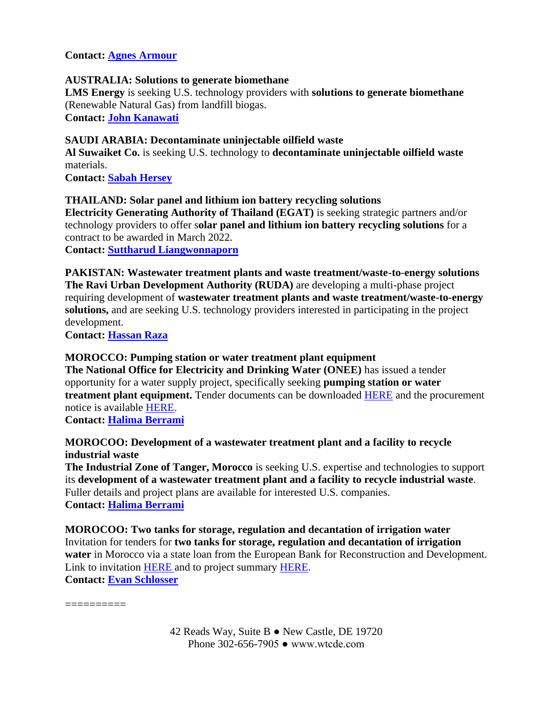#### **Contact: [Agnes Armour](mailto:Agnes.Armour@trade.gov)**

#### **AUSTRALIA: Solutions to generate biomethane**

**LMS Energy** is seeking U.S. technology providers with **solutions to generate biomethane** (Renewable Natural Gas) from landfill biogas. **Contact: [John Kanawati](mailto:John.Kanawati@trade.gov)**

#### **SAUDI ARABIA: Decontaminate uninjectable oilfield waste**

**Al Suwaiket Co.** is seeking U.S. technology to **decontaminate uninjectable oilfield waste** materials.

**Contact: [Sabah Hersey](mailto:sabah.hersey@trade.gov)**

#### **THAILAND: Solar panel and lithium ion battery recycling solutions**

**Electricity Generating Authority of Thailand (EGAT)** is seeking strategic partners and/or technology providers to offer s**olar panel and lithium ion battery recycling solutions** for a contract to be awarded in March 2022.

**Contact: [Suttharud Liangwonnaporn](mailto:Suttharud.Liangwonnaporn@trade.gov)**

**PAKISTAN: Wastewater treatment plants and waste treatment/waste-to-energy solutions The Ravi Urban Development Authority (RUDA)** are developing a multi-phase project requiring development of **wastewater treatment plants and waste treatment/waste-to-energy solutions,** and are seeking U.S. technology providers interested in participating in the project development.

**Contact: [Hassan Raza](mailto:Hassan.Raza@trade.gov)**

### **MOROCCO: Pumping station or water treatment plant equipment**

**The National Office for Electricity and Drinking Water (ONEE)** has issued a tender opportunity for a water supply project, specifically seeking **pumping station or water treatment plant equipment.** Tender documents can be downloaded [HERE](https://lnks.gd/l/eyJhbGciOiJIUzI1NiJ9.eyJidWxsZXRpbl9saW5rX2lkIjoxMjIsInVyaSI6ImJwMjpjbGljayIsImJ1bGxldGluX2lkIjoiMjAyMjAyMDQuNTI5MDQwMTEiLCJ1cmwiOiJodHRwczovL3d3dy5tYXJjaGVzcHVibGljcy5nb3YubWEvIn0.Pq3omL2aRGYo0YaYWaykovFJ-sHJGSA_Cyq0DvCgIwo/s/375238915/br/126160594243-l) and the procurement notice is available [HERE.](https://lnks.gd/l/eyJhbGciOiJIUzI1NiJ9.eyJidWxsZXRpbl9saW5rX2lkIjoxMjMsInVyaSI6ImJwMjpjbGljayIsImJ1bGxldGluX2lkIjoiMjAyMjAyMDQuNTI5MDQwMTEiLCJ1cmwiOiJodHRwczovL3d3dy5lYnJkLmNvbS93b3JrLXdpdGgtdXMvcHJvY3VyZW1lbnQvcC1wbi0yMjAxMzEuaHRtbCJ9.zqIXj1D41UGtxZd-rwvc8zzQEYDmNj9NivkfIAdOhtA/s/375238915/br/126160594243-l) **Contact: [Halima Berrami](mailto:Halima.Berrami@trade.gov)**

#### **MOROCOO: Development of a wastewater treatment plant and a facility to recycle industrial waste**

**The Industrial Zone of Tanger, Morocco** is seeking U.S. expertise and technologies to support its **development of a wastewater treatment plant and a facility to recycle industrial waste**. Fuller details and project plans are available for interested U.S. companies. **Contact: [Halima Berrami](mailto:Halima.Berrami@trade.gov)**

**MOROCOO: Two tanks for storage, regulation and decantation of irrigation water** Invitation for tenders for **two tanks for storage, regulation and decantation of irrigation water** in Morocco via a state loan from the European Bank for Reconstruction and Development. Link to invitation [HERE a](https://lnks.gd/l/eyJhbGciOiJIUzI1NiJ9.eyJidWxsZXRpbl9saW5rX2lkIjoxMjQsInVyaSI6ImJwMjpjbGljayIsImJ1bGxldGluX2lkIjoiMjAyMjAyMDQuNTI5MDQwMTEiLCJ1cmwiOiJodHRwczovL2VjZXBwLmVicmQuY29tL2RlbHRhL3ZpZXdOb3RpY2UuaHRtbD9kaXNwbGF5Tm90aWNlSWQ9MTk5MjE0MTYifQ.0HlSqN8GDPOwLELEc4nDaNQ6htLl2i21ZhJEX2sruo8/s/375238915/br/126160594243-l)nd to project summary [HERE.](https://lnks.gd/l/eyJhbGciOiJIUzI1NiJ9.eyJidWxsZXRpbl9saW5rX2lkIjoxMjUsInVyaSI6ImJwMjpjbGljayIsImJ1bGxldGluX2lkIjoiMjAyMjAyMDQuNTI5MDQwMTEiLCJ1cmwiOiJodHRwczovL3d3dy5lYnJkLmNvbS93b3JrLXdpdGgtdXMvcHJvamVjdHMvcHNkLzUxMjIzLmh0bWwifQ.l1rBQsa54slL3S-xI32m1meHvNrjb_pKDtNgDYiVG_w/s/375238915/br/126160594243-l) **Contact: [Evan Schlosser](mailto:Evan.schlosser@trade.gov)**

==========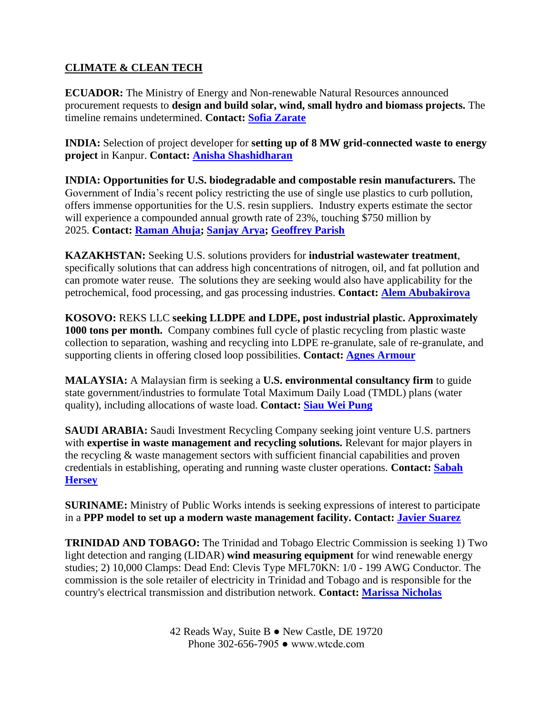# **CLIMATE & CLEAN TECH**

**ECUADOR:** The Ministry of Energy and Non-renewable Natural Resources announced procurement requests to **design and build solar, wind, small hydro and biomass projects.** The timeline remains undetermined. **Contact: [Sofia Zarate](mailto:ZarateSC@state.gov)**

**INDIA:** Selection of project developer for **setting up of 8 MW grid-connected waste to energy project** in Kanpur. **Contact: [Anisha Shashidharan](mailto:Anisha.Shashidharan@trade.gov)**

**INDIA: Opportunities for U.S. biodegradable and compostable resin manufacturers.** The Government of India's recent policy restricting the use of single use plastics to curb pollution, offers immense opportunities for the U.S. resin suppliers. Industry experts estimate the sector will experience a compounded annual growth rate of 23%, touching \$750 million by 2025. **Contact: [Raman Ahuja;](mailto:Raman.Ahuja@trade.gov) [Sanjay Arya;](mailto:Sanjay.Arya@trade.gov) [Geoffrey Parish](mailto:Geoffrey.Parish@trade.gov)**

**KAZAKHSTAN:** Seeking U.S. solutions providers for **industrial wastewater treatment**, specifically solutions that can address high concentrations of nitrogen, oil, and fat pollution and can promote water reuse. The solutions they are seeking would also have applicability for the petrochemical, food processing, and gas processing industries. **Contact: [Alem Abubakirova](mailto:Alem.Abubakirova@trade.gov)**

**KOSOVO:** REKS LLC **seeking LLDPE and LDPE, post industrial plastic. Approximately 1000 tons per month.** Company combines full cycle of plastic recycling from plastic waste collection to separation, washing and recycling into LDPE re-granulate, sale of re-granulate, and supporting clients in offering closed loop possibilities. **Contact: [Agnes Armour](mailto:agnes.armour@trade.gov)**

**MALAYSIA:** A Malaysian firm is seeking a **U.S. environmental consultancy firm** to guide state government/industries to formulate Total Maximum Daily Load (TMDL) plans (water quality), including allocations of waste load. **Contact: [Siau Wei Pung](mailto:SiauWei.Pung@trade.gov)**

**SAUDI ARABIA:** Saudi Investment Recycling Company seeking joint venture U.S. partners with **expertise in waste management and recycling solutions.** Relevant for major players in the recycling & waste management sectors with sufficient financial capabilities and proven credentials in establishing, operating and running waste cluster operations. **Contact: [Sabah](mailto:Sabah.Hersey@trade.gov)  [Hersey](mailto:Sabah.Hersey@trade.gov)**

**SURINAME:** Ministry of Public Works intends is seeking expressions of interest to participate in a **PPP model to set up a modern waste management facility. Contact: [Javier Suarez](mailto:Javier.Suarez@trade.gov)**

**TRINIDAD AND TOBAGO:** The Trinidad and Tobago Electric Commission is seeking 1) Two light detection and ranging (LIDAR) **wind measuring equipment** for wind renewable energy studies; 2) 10,000 Clamps: Dead End: Clevis Type MFL70KN: 1/0 - 199 AWG Conductor. The commission is the sole retailer of electricity in Trinidad and Tobago and is responsible for the country's electrical transmission and distribution network. **Contact: [Marissa Nicholas](mailto:Nicholasmr@state.gov)**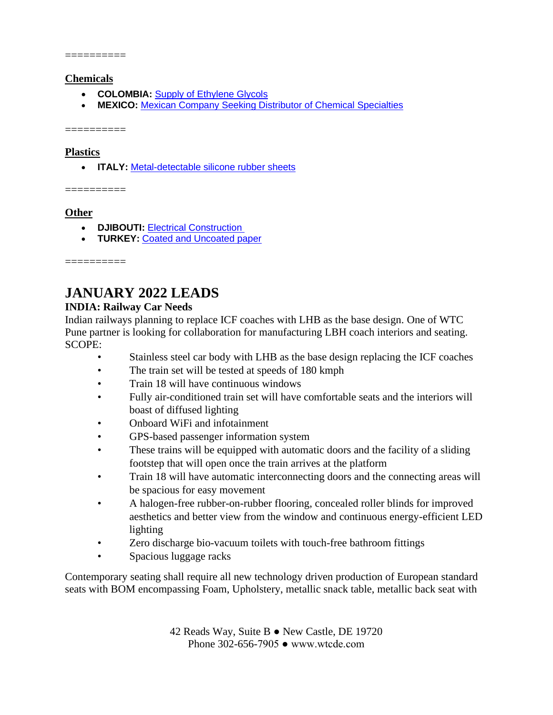#### **Chemicals**

- **COLOMBIA:** [Supply of Ethylene Glycols](https://lnks.gd/l/eyJhbGciOiJIUzI1NiJ9.eyJidWxsZXRpbl9saW5rX2lkIjoxMjgsInVyaSI6ImJwMjpjbGljayIsImJ1bGxldGluX2lkIjoiMjAyMjAyMDcuNTMwMTQwOTEiLCJ1cmwiOiJodHRwczovL2NvbnRlbnQuZ292ZGVsaXZlcnkuY29tL2F0dGFjaG1lbnRzL1VTSVRBVFJBREUvMjAyMS8wOS8yNC9maWxlX2F0dGFjaG1lbnRzLzE5NDg1MTAvMTAlMjBUcmFkZSUyMExlYWQlMjBDb2xvbWJpYSUyMFN1cHBseSUyMG9mJTIwRXRoeWxlbmUlMjBHbHljb2xzLnBkZiJ9.gudtsWA2kOMaFZyGJLtEjPyzsVoreM_GF9g3E0vHQpc/s/375238915/br/126239297989-l)
- **MEXICO:** [Mexican Company Seeking Distributor of Chemical](https://lnks.gd/l/eyJhbGciOiJIUzI1NiJ9.eyJidWxsZXRpbl9saW5rX2lkIjoxMjksInVyaSI6ImJwMjpjbGljayIsImJ1bGxldGluX2lkIjoiMjAyMjAyMDcuNTMwMTQwOTEiLCJ1cmwiOiJodHRwczovL2NvbnRlbnQuZ292ZGVsaXZlcnkuY29tL2F0dGFjaG1lbnRzL1VTSVRBVFJBREUvMjAyMS8xMS8yNC9maWxlX2F0dGFjaG1lbnRzLzIwMDUzODgvTWV4aWNhbiUyMENvbXBhbnklMjBTZWVraW5nJTIwRGlzdHJpYnV0b3IlMjBvZiUyMENoZW1pY2FsJTIwU3BlY2lhbHRpZXMucGRmIn0.9eejradPwBe9KeOdgJeFNSNN_YPY275oXhUWjmPsyes/s/375238915/br/126239297989-l) Specialties

#### ==========

#### **Plastics**

• **ITALY:** [Metal-detectable silicone rubber sheets](https://lnks.gd/l/eyJhbGciOiJIUzI1NiJ9.eyJidWxsZXRpbl9saW5rX2lkIjoxMzAsInVyaSI6ImJwMjpjbGljayIsImJ1bGxldGluX2lkIjoiMjAyMjAyMDcuNTMwMTQwOTEiLCJ1cmwiOiJodHRwczovL2NvbnRlbnQuZ292ZGVsaXZlcnkuY29tL2F0dGFjaG1lbnRzL1VTSVRBVFJBREUvMjAyMS8wOC8zMS9maWxlX2F0dGFjaG1lbnRzLzE5MjA0NDgvU2VwdCUyMFRyYWRlJTIwTGVhZCUyMEl0YWxpYW4lMjBEaXN0cmlidXRlciUyMFNlZWtpbmclMjBtZXRhbCUyMGRldGVjdGFibGUlMjBzaWxpY29uZSUyMHJ1YmJlciUyMHNoZWV0cy5wZGYifQ.IXZCgw3rf8wsAVIOxKnlqXe_gLu0j-gp1x4vFlekcHU/s/375238915/br/126239297989-l)

==========

#### **Other**

- **DJIBOUTI:** [Electrical Construction](https://lnks.gd/l/eyJhbGciOiJIUzI1NiJ9.eyJidWxsZXRpbl9saW5rX2lkIjoxMzEsInVyaSI6ImJwMjpjbGljayIsImJ1bGxldGluX2lkIjoiMjAyMjAyMDcuNTMwMTQwOTEiLCJ1cmwiOiJodHRwczovL2NvbnRlbnQuZ292ZGVsaXZlcnkuY29tL2F0dGFjaG1lbnRzL1VTSVRBVFJBREUvMjAyMi8wMi8wNy9maWxlX2F0dGFjaG1lbnRzLzIwNjk0OTMvVHJhZGUlMjBMZWFkJTIwQ29uc3RydWN0aW9uJTIwTWF0ZXJpYWxzJTIwZm9yJTIwRGppYm91dGklMjBEaXN0cmlidXRlci5wZGYifQ.MLxeKcAInus2Z83dSK-1xOUVV4z3M7MBtmoZq8J8TCY/s/375238915/br/126239297989-l)
- **TURKEY:** [Coated and Uncoated paper](https://lnks.gd/l/eyJhbGciOiJIUzI1NiJ9.eyJidWxsZXRpbl9saW5rX2lkIjoxMzIsInVyaSI6ImJwMjpjbGljayIsImJ1bGxldGluX2lkIjoiMjAyMjAyMDcuNTMwMTQwOTEiLCJ1cmwiOiJodHRwczovL2NvbnRlbnQuZ292ZGVsaXZlcnkuY29tL2F0dGFjaG1lbnRzL1VTSVRBVFJBREUvMjAyMS8xMC8yOC9maWxlX2F0dGFjaG1lbnRzLzE5NzkzNTEvMTAlMjBPY3RUcmFkZSUyMExlYWQlMjBDb2F0ZWQlMjBhbmQlMjBVbmNvYXRlZCUyMFBhcGVyJTIwZm9yJTIwVHVya2V5LnBkZiJ9.cV30vdGK5-XaHCQlR2CQ5x0rbJEK3GPFKvlkz19gHs8/s/375238915/br/126239297989-l)

==========

# **JANUARY 2022 LEADS**

#### **INDIA: Railway Car Needs**

Indian railways planning to replace ICF coaches with LHB as the base design. One of WTC Pune partner is looking for collaboration for manufacturing LBH coach interiors and seating. SCOPE:

- Stainless steel car body with LHB as the base design replacing the ICF coaches
- The train set will be tested at speeds of 180 kmph
- Train 18 will have continuous windows
- Fully air-conditioned train set will have comfortable seats and the interiors will boast of diffused lighting
- Onboard WiFi and infotainment
- GPS-based passenger information system
- These trains will be equipped with automatic doors and the facility of a sliding footstep that will open once the train arrives at the platform
- Train 18 will have automatic interconnecting doors and the connecting areas will be spacious for easy movement
- A halogen-free rubber-on-rubber flooring, concealed roller blinds for improved aesthetics and better view from the window and continuous energy-efficient LED lighting
- Zero discharge bio-vacuum toilets with touch-free bathroom fittings
- Spacious luggage racks

Contemporary seating shall require all new technology driven production of European standard seats with BOM encompassing Foam, Upholstery, metallic snack table, metallic back seat with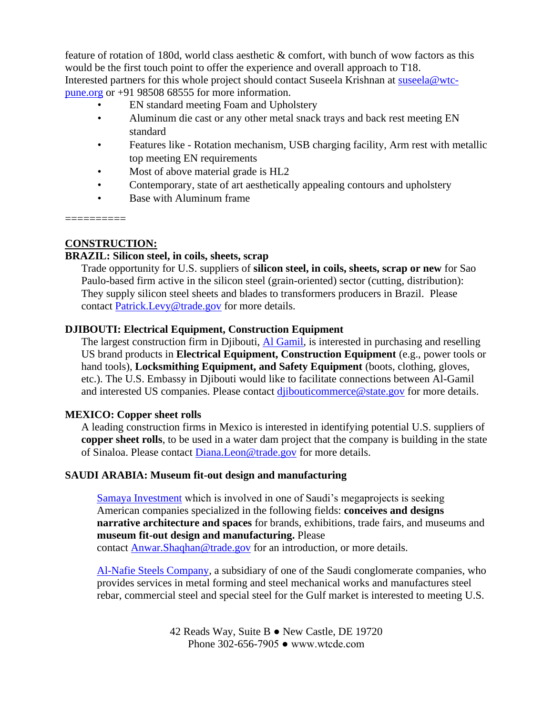feature of rotation of 180d, world class aesthetic & comfort, with bunch of wow factors as this would be the first touch point to offer the experience and overall approach to T18. Interested partners for this whole project should contact Suseela Krishnan at [suseela@wtc](mailto:suseela@wtc-pune.org)[pune.org](mailto:suseela@wtc-pune.org) or +91 98508 68555 for more information.

- EN standard meeting Foam and Upholstery
- Aluminum die cast or any other metal snack trays and back rest meeting EN standard
- Features like Rotation mechanism, USB charging facility, Arm rest with metallic top meeting EN requirements
- Most of above material grade is HL2
- Contemporary, state of art aesthetically appealing contours and upholstery
- Base with Aluminum frame

==========

#### **CONSTRUCTION:**

#### **BRAZIL: Silicon steel, in coils, sheets, scrap**

Trade opportunity for U.S. suppliers of **silicon steel, in coils, sheets, scrap or new** for Sao Paulo-based firm active in the silicon steel (grain-oriented) sector (cutting, distribution): They supply silicon steel sheets and blades to transformers producers in Brazil. Please contact [Patrick.Levy@trade.gov](mailto:Patrick.Levy@trade.gov) for more details.

#### **DJIBOUTI: Electrical Equipment, Construction Equipment**

The largest construction firm in Djibouti, **Al Gamil**, is interested in purchasing and reselling US brand products in **Electrical Equipment, Construction Equipment** (e.g., power tools or hand tools), **Locksmithing Equipment, and Safety Equipment** (boots, clothing, gloves, etc.). The U.S. Embassy in Djibouti would like to facilitate connections between Al-Gamil and interested US companies. Please contact [djibouticommerce@state.gov](mailto:djibouticommerce@state.gov) for more details.

#### **MEXICO: Copper sheet rolls**

A leading construction firms in Mexico is interested in identifying potential U.S. suppliers of **copper sheet rolls**, to be used in a water dam project that the company is building in the state of Sinaloa. Please contact [Diana.Leon@trade.gov](mailto:Diana.Leon@trade.gov) for more details.

### **SAUDI ARABIA: Museum fit-out design and manufacturing**

[Samaya Investment](https://lnks.gd/l/eyJhbGciOiJIUzI1NiJ9.eyJidWxsZXRpbl9saW5rX2lkIjoxMTUsInVyaSI6ImJwMjpjbGljayIsImJ1bGxldGluX2lkIjoiMjAyMjAxMjcuNTI0NDY0MzEiLCJ1cmwiOiJodHRwOi8vd3d3LnNhbWF5YWludmVzdC5jb20ifQ.ZegL2zZ-A5n25jXt-4NyUJ81sA_wwZi1ZevolRWYSXI/s/375238915/br/125722083532-l) which is involved in one of Saudi's megaprojects is seeking American companies specialized in the following fields: **conceives and designs narrative architecture and spaces** for brands, exhibitions, trade fairs, and museums and **museum fit-out design and manufacturing.** Please contact [Anwar.Shaqhan@trade.gov](mailto:Anwar.Shaqhan@trade.gov) for an introduction, or more details.

[Al-Nafie Steels Company,](https://lnks.gd/l/eyJhbGciOiJIUzI1NiJ9.eyJidWxsZXRpbl9saW5rX2lkIjoxMTYsInVyaSI6ImJwMjpjbGljayIsImJ1bGxldGluX2lkIjoiMjAyMjAxMjcuNTI0NDY0MzEiLCJ1cmwiOiJodHRwOi8vd3d3LmFsbmFmaWUtc3RlZWwuY29tLyJ9.Hr3OV6hc5IWEHBzvWUc1TxXWactj1qMYFPhWv5y-mkk/s/375238915/br/125722083532-l) a subsidiary of one of the Saudi conglomerate companies, who provides services in metal forming and steel mechanical works and manufactures steel rebar, commercial steel and special steel for the Gulf market is interested to meeting U.S.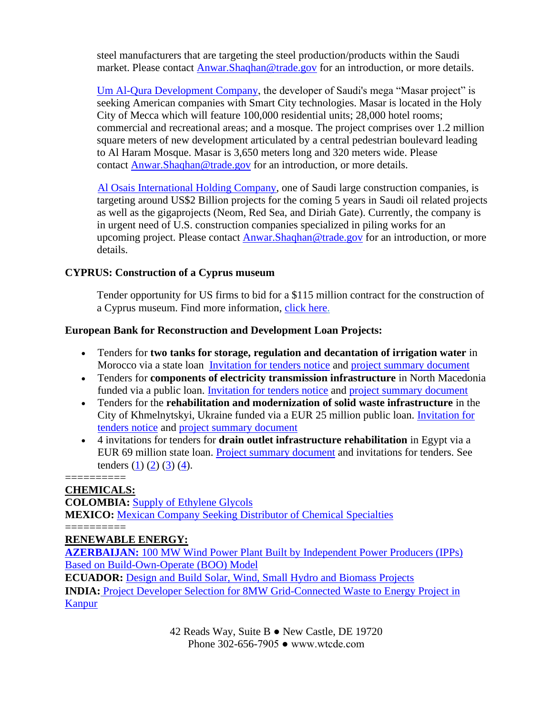steel manufacturers that are targeting the steel production/products within the Saudi market. Please contact Anwar. Shaqhan@trade.gov for an introduction, or more details.

[Um Al-Qura Development Company,](https://lnks.gd/l/eyJhbGciOiJIUzI1NiJ9.eyJidWxsZXRpbl9saW5rX2lkIjoxMTcsInVyaSI6ImJwMjpjbGljayIsImJ1bGxldGluX2lkIjoiMjAyMjAxMjcuNTI0NDY0MzEiLCJ1cmwiOiJodHRwOi8vd3d3Lm1hc2FybWFra2FoLmNvbS9lbmdsaXNoL2luZGV4LnBocCJ9.RmqZPICwgU3IXqw56VijzHtO-BIcT0umoJIbC42lrD8/s/375238915/br/125722083532-l) the developer of Saudi's mega "Masar project" is seeking American companies with Smart City technologies. Masar is located in the Holy City of Mecca which will feature 100,000 residential units; 28,000 hotel rooms; commercial and recreational areas; and a mosque. The project comprises over 1.2 million square meters of new development articulated by a central pedestrian boulevard leading to Al Haram Mosque. Masar is 3,650 meters long and 320 meters wide. Please contact [Anwar.Shaqhan@trade.gov](mailto:Anwar.Shaqhan@trade.gov) for an introduction, or more details.

[Al Osais International Holding Company,](https://lnks.gd/l/eyJhbGciOiJIUzI1NiJ9.eyJidWxsZXRpbl9saW5rX2lkIjoxMTgsInVyaSI6ImJwMjpjbGljayIsImJ1bGxldGluX2lkIjoiMjAyMjAxMjcuNTI0NDY0MzEiLCJ1cmwiOiJodHRwczovL3d3dy5hbG9zYWlzLmNvbS8ifQ.Hx8IpJvzdyMKjMMFBUvqfI0Bec_nDw0mDOy4LWi_F4E/s/375238915/br/125722083532-l) one of Saudi large construction companies, is targeting around US\$2 Billion projects for the coming 5 years in Saudi oil related projects as well as the gigaprojects (Neom, Red Sea, and Diriah Gate). Currently, the company is in urgent need of U.S. construction companies specialized in piling works for an upcoming project. Please contact [Anwar.Shaqhan@trade.gov](mailto:Anwar.Shaqhan@trade.gov) for an introduction, or more details.

## **CYPRUS: Construction of a Cyprus museum**

Tender opportunity for US firms to bid for a \$115 million contract for the construction of a Cyprus museum. Find more information, [click](https://lnks.gd/l/eyJhbGciOiJIUzI1NiJ9.eyJidWxsZXRpbl9saW5rX2lkIjoxMTksInVyaSI6ImJwMjpjbGljayIsImJ1bGxldGluX2lkIjoiMjAyMjAxMjcuNTI0NDY0MzEiLCJ1cmwiOiJodHRwczovL2djYzAyLnNhZmVsaW5rcy5wcm90ZWN0aW9uLm91dGxvb2suY29tLz91cmw9aHR0cHMlM0ElMkYlMkZ3d3cuZXByb2N1cmVtZW50Lmdvdi5jeSUyRmVwcHMlMkZjZnQlMkZ2aWV3Q29udHJhY3ROb3RpY2VzLmRvJTNGcmVzb3VyY2VJZCUzRDUxMTUzNDQmZGF0YT0wNCU3QzAxJTdDVGVyZXNhLkdpbGUlNDB0cmFkZS5nb3YlN0M4YWUyYjljMGEwNjk0Njc3NGNhMDA4ZDlkNGQ1NzI0YyU3Q2ExZDE4M2YyNmM3YjRkOWFiOTk0NWYyZjMxYjNmNzgwJTdDMSU3QzAlN0M2Mzc3NzQ4MzU0NzQ5MzE2ODAlN0NVbmtub3duJTdDVFdGcGJHWnNiM2Q4ZXlKV0lqb2lNQzR3TGpBd01EQWlMQ0pRSWpvaVYybHVNeklpTENKQlRpSTZJazFoYVd3aUxDSlhWQ0k2TW4wJTNEJTdDMzAwMCZzZGF0YT1XSjFSaVZSQSUyRm9EYms4a0xuV2Z1eVc3NEFUemJ5T09VMzdCM0NYY3ZCZ1ElM0QmcmVzZXJ2ZWQ9MCJ9.ZFyDgUoasXop-JnccYzeDplVO4JcQtppMKT4sn_0xwk/s/375238915/br/125722083532-l) her[e.](https://lnks.gd/l/eyJhbGciOiJIUzI1NiJ9.eyJidWxsZXRpbl9saW5rX2lkIjoxMjAsInVyaSI6ImJwMjpjbGljayIsImJ1bGxldGluX2lkIjoiMjAyMjAxMjcuNTI0NDY0MzEiLCJ1cmwiOiJodHRwczovL2djYzAyLnNhZmVsaW5rcy5wcm90ZWN0aW9uLm91dGxvb2suY29tLz91cmw9aHR0cHMlM0ElMkYlMkZ3d3cuZXByb2N1cmVtZW50Lmdvdi5jeSUyRmVwcHMlMkZjZnQlMkZ2aWV3Q29udHJhY3ROb3RpY2VzLmRvJTNGcmVzb3VyY2VJZCUzRDUxMTUzNDQmZGF0YT0wNCU3QzAxJTdDVGVyZXNhLkdpbGUlNDB0cmFkZS5nb3YlN0M4YWUyYjljMGEwNjk0Njc3NGNhMDA4ZDlkNGQ1NzI0YyU3Q2ExZDE4M2YyNmM3YjRkOWFiOTk0NWYyZjMxYjNmNzgwJTdDMSU3QzAlN0M2Mzc3NzQ4MzU0NzQ5MzE2ODAlN0NVbmtub3duJTdDVFdGcGJHWnNiM2Q4ZXlKV0lqb2lNQzR3TGpBd01EQWlMQ0pRSWpvaVYybHVNeklpTENKQlRpSTZJazFoYVd3aUxDSlhWQ0k2TW4wJTNEJTdDMzAwMCZzZGF0YT1XSjFSaVZSQSUyRm9EYms4a0xuV2Z1eVc3NEFUemJ5T09VMzdCM0NYY3ZCZ1ElM0QmcmVzZXJ2ZWQ9MCJ9.DMqP9b_hl6fJvP37Ml8CBwURlyna4x6oMj31tLRlMKI/s/375238915/br/125722083532-l)

## **European Bank for Reconstruction and Development Loan Projects:**

- Tenders for **two tanks for storage, regulation and decantation of irrigation water** in Morocco via a state loan [Invitation for tenders notice](https://lnks.gd/l/eyJhbGciOiJIUzI1NiJ9.eyJidWxsZXRpbl9saW5rX2lkIjoxMjEsInVyaSI6ImJwMjpjbGljayIsImJ1bGxldGluX2lkIjoiMjAyMjAxMjcuNTI0NDY0MzEiLCJ1cmwiOiJodHRwczovL2VjZXBwLmVicmQuY29tL2RlbHRhL3ZpZXdOb3RpY2UuaHRtbD9kaXNwbGF5Tm90aWNlSWQ9MTk5MjE0MTYifQ.OHgR_b2Uzv3VgPOmbVLlLE2dMnDf_jdA5ouRPuUSuw8/s/375238915/br/125722083532-l) and [project summary document](https://lnks.gd/l/eyJhbGciOiJIUzI1NiJ9.eyJidWxsZXRpbl9saW5rX2lkIjoxMjIsInVyaSI6ImJwMjpjbGljayIsImJ1bGxldGluX2lkIjoiMjAyMjAxMjcuNTI0NDY0MzEiLCJ1cmwiOiJodHRwczovL3d3dy5lYnJkLmNvbS93b3JrLXdpdGgtdXMvcHJvamVjdHMvcHNkLzUxMjIzLmh0bWwifQ.6ZiZ70LhMMuOib7oBaXsHzpdqm_rJ24OzUb98hV7JeQ/s/375238915/br/125722083532-l)
- Tenders for **components of electricity transmission infrastructure** in North Macedonia funded via a public loan. [Invitation for tenders notice](https://lnks.gd/l/eyJhbGciOiJIUzI1NiJ9.eyJidWxsZXRpbl9saW5rX2lkIjoxMjMsInVyaSI6ImJwMjpjbGljayIsImJ1bGxldGluX2lkIjoiMjAyMjAxMjcuNTI0NDY0MzEiLCJ1cmwiOiJodHRwczovL2VjZXBwLmVicmQuY29tL2RlbHRhL3ZpZXdOb3RpY2UuaHRtbD9kaXNwbGF5Tm90aWNlSWQ9MTA2MTk0MTUifQ.DJQbd9fIj268Tty9cQJ9kiSm6XpSWkwu4qkSic5bAeg/s/375238915/br/125722083532-l) and [project summary document](https://lnks.gd/l/eyJhbGciOiJIUzI1NiJ9.eyJidWxsZXRpbl9saW5rX2lkIjoxMjQsInVyaSI6ImJwMjpjbGljayIsImJ1bGxldGluX2lkIjoiMjAyMjAxMjcuNTI0NDY0MzEiLCJ1cmwiOiJodHRwczovL3d3dy5lYnJkLmNvbS93b3JrLXdpdGgtdXMvcHJvamVjdHMvcHNkL21lcHNvLXJlaGFiaWxpdGF0aW9uLWFuZC1jb250cm9sLXByb2plY3QuaHRtbCJ9.FxalN-4p8lUfTGxf9W2UzWwW_fvkV5K6EDrClWVZDPA/s/375238915/br/125722083532-l)
- Tenders for the **rehabilitation and modernization of solid waste infrastructure** in the City of Khmelnytskyi, Ukraine funded via a EUR 25 million public loan. [Invitation for](https://lnks.gd/l/eyJhbGciOiJIUzI1NiJ9.eyJidWxsZXRpbl9saW5rX2lkIjoxMjUsInVyaSI6ImJwMjpjbGljayIsImJ1bGxldGluX2lkIjoiMjAyMjAxMjcuNTI0NDY0MzEiLCJ1cmwiOiJodHRwczovL2VjZXBwLmVicmQuY29tL2RlbHRhL3ZpZXdOb3RpY2UuaHRtbD9kaXNwbGF5Tm90aWNlSWQ9MTI3MjQ2ODMifQ.rWNNX3WZdHcpXrm9HkdhsjWufGbYK_iDLg5RDT0Ar44/s/375238915/br/125722083532-l)  [tenders notice](https://lnks.gd/l/eyJhbGciOiJIUzI1NiJ9.eyJidWxsZXRpbl9saW5rX2lkIjoxMjUsInVyaSI6ImJwMjpjbGljayIsImJ1bGxldGluX2lkIjoiMjAyMjAxMjcuNTI0NDY0MzEiLCJ1cmwiOiJodHRwczovL2VjZXBwLmVicmQuY29tL2RlbHRhL3ZpZXdOb3RpY2UuaHRtbD9kaXNwbGF5Tm90aWNlSWQ9MTI3MjQ2ODMifQ.rWNNX3WZdHcpXrm9HkdhsjWufGbYK_iDLg5RDT0Ar44/s/375238915/br/125722083532-l) and [project summary document](https://lnks.gd/l/eyJhbGciOiJIUzI1NiJ9.eyJidWxsZXRpbl9saW5rX2lkIjoxMjYsInVyaSI6ImJwMjpjbGljayIsImJ1bGxldGluX2lkIjoiMjAyMjAxMjcuNTI0NDY0MzEiLCJ1cmwiOiJodHRwczovL3d3dy5lYnJkLmNvbS93b3JrLXdpdGgtdXMvcHJvamVjdHMvcHNkLzUwNzI5Lmh0bWwifQ.Dxxt7IvhrChXzDupIuDoLp5cqF9t5XLyA8dN4xNqdp0/s/375238915/br/125722083532-l)
- 4 invitations for tenders for **drain outlet infrastructure rehabilitation** in Egypt via a EUR 69 million state loan. [Project summary document](https://lnks.gd/l/eyJhbGciOiJIUzI1NiJ9.eyJidWxsZXRpbl9saW5rX2lkIjoxMjcsInVyaSI6ImJwMjpjbGljayIsImJ1bGxldGluX2lkIjoiMjAyMjAxMjcuNTI0NDY0MzEiLCJ1cmwiOiJodHRwczovL3d3dy5lYnJkLmNvbS93b3JrLXdpdGgtdXMvcHJvamVjdHMvcHNkL2tpdGNoZW5lci1kcmFpbi1kZXBvbGx1dGlvbi1kcmFpbi1yZWhhYmlsaXRhdGlvbi5odG1sIn0.qc7MfT1VDl1a9FLxV4cYsqDb2pKJWwRtmF8SnxU41i0/s/375238915/br/125722083532-l) and invitations for tenders. See tenders  $(1)$   $(2)$   $(3)$   $(4)$ . ==========

### **CHEMICALS:**

**COLOMBIA:** [Supply of Ethylene Glycols](https://lnks.gd/l/eyJhbGciOiJIUzI1NiJ9.eyJidWxsZXRpbl9saW5rX2lkIjoxMjMsInVyaSI6ImJwMjpjbGljayIsImJ1bGxldGluX2lkIjoiMjAyMjAxMTMuNTE3NTA2NzEiLCJ1cmwiOiJodHRwczovL2NvbnRlbnQuZ292ZGVsaXZlcnkuY29tL2F0dGFjaG1lbnRzL1VTSVRBVFJBREUvMjAyMS8wOS8yNC9maWxlX2F0dGFjaG1lbnRzLzE5NDg1MTAvMTAlMjBUcmFkZSUyMExlYWQlMjBDb2xvbWJpYSUyMFN1cHBseSUyMG9mJTIwRXRoeWxlbmUlMjBHbHljb2xzLnBkZiJ9.fowz5g47JThIsrdNnK1z2hZkV5hQwU8OmH4ylU6lwtw/s/375238915/br/124845304769-l) **MEXICO:** [Mexican Company Seeking Distributor of Chemical](https://lnks.gd/l/eyJhbGciOiJIUzI1NiJ9.eyJidWxsZXRpbl9saW5rX2lkIjoxMjQsInVyaSI6ImJwMjpjbGljayIsImJ1bGxldGluX2lkIjoiMjAyMjAxMTMuNTE3NTA2NzEiLCJ1cmwiOiJodHRwczovL2NvbnRlbnQuZ292ZGVsaXZlcnkuY29tL2F0dGFjaG1lbnRzL1VTSVRBVFJBREUvMjAyMS8xMS8yNC9maWxlX2F0dGFjaG1lbnRzLzIwMDUzODgvTWV4aWNhbiUyMENvbXBhbnklMjBTZWVraW5nJTIwRGlzdHJpYnV0b3IlMjBvZiUyMENoZW1pY2FsJTIwU3BlY2lhbHRpZXMucGRmIn0.19E1O6Yf-QNMr_smS0wsq664NPUaMuwzPOqrxXCfncc/s/375238915/br/124845304769-l) Specialties ==========

### **RENEWABLE ENERGY:**

**[AZERBAIJAN:](https://lnks.gd/l/eyJhbGciOiJIUzI1NiJ9.eyJidWxsZXRpbl9saW5rX2lkIjoxNjMsInVyaSI6ImJwMjpjbGljayIsImJ1bGxldGluX2lkIjoiMjAyMjAxMTMuNTE3MzA4MzEiLCJ1cmwiOiJodHRwczovL2NvbnRlbnQuZ292ZGVsaXZlcnkuY29tL2F0dGFjaG1lbnRzL1VTSVRBVFJBREUvMjAyMi8wMS8xMy9maWxlX2F0dGFjaG1lbnRzLzIwNDYxNDYvQXplcmJhaWphbi5wZGYifQ.gt4pEuUjrBOUN424reDaB59FetX21Z50tUIDAkDjQi4/s/375238915/br/124821300011-l)** [100 MW Wind Power Plant Built by Independent Power Producers \(IPPs\)](https://lnks.gd/l/eyJhbGciOiJIUzI1NiJ9.eyJidWxsZXRpbl9saW5rX2lkIjoxNjQsInVyaSI6ImJwMjpjbGljayIsImJ1bGxldGluX2lkIjoiMjAyMjAxMTMuNTE3MzA4MzEiLCJ1cmwiOiJodHRwczovL2NvbnRlbnQuZ292ZGVsaXZlcnkuY29tL2F0dGFjaG1lbnRzL1VTSVRBVFJBREUvMjAyMi8wMS8xMy9maWxlX2F0dGFjaG1lbnRzLzIwNDYxNDYvQXplcmJhaWphbi5wZGYifQ.lifmdkBk1E-BFgpshUu-z8XN1gDEBtSqow5TRTmobi0/s/375238915/br/124821300011-l)  [Based on Build-Own-Operate \(BOO\) Model](https://lnks.gd/l/eyJhbGciOiJIUzI1NiJ9.eyJidWxsZXRpbl9saW5rX2lkIjoxNjQsInVyaSI6ImJwMjpjbGljayIsImJ1bGxldGluX2lkIjoiMjAyMjAxMTMuNTE3MzA4MzEiLCJ1cmwiOiJodHRwczovL2NvbnRlbnQuZ292ZGVsaXZlcnkuY29tL2F0dGFjaG1lbnRzL1VTSVRBVFJBREUvMjAyMi8wMS8xMy9maWxlX2F0dGFjaG1lbnRzLzIwNDYxNDYvQXplcmJhaWphbi5wZGYifQ.lifmdkBk1E-BFgpshUu-z8XN1gDEBtSqow5TRTmobi0/s/375238915/br/124821300011-l)

**ECUADOR:** [Design and Build Solar, Wind, Small Hydro and Biomass Projects](https://lnks.gd/l/eyJhbGciOiJIUzI1NiJ9.eyJidWxsZXRpbl9saW5rX2lkIjoxNjUsInVyaSI6ImJwMjpjbGljayIsImJ1bGxldGluX2lkIjoiMjAyMjAxMTMuNTE3MzA4MzEiLCJ1cmwiOiJodHRwczovL2NvbnRlbnQuZ292ZGVsaXZlcnkuY29tL2F0dGFjaG1lbnRzL1VTSVRBVFJBREUvMjAyMi8wMS8xMi9maWxlX2F0dGFjaG1lbnRzLzIwNDUyODcvRWN1YWRvciUyMFVuY29udmVudGlvbmFsLnBkZiJ9.LZ0_HtDMYrlhgLlqUkGeOd-wkBNSwlOSOIKWrcVXjog/s/375238915/br/124821300011-l) **INDIA:** [Project Developer Selection for 8MW Grid-Connected Waste to Energy Project in](https://lnks.gd/l/eyJhbGciOiJIUzI1NiJ9.eyJidWxsZXRpbl9saW5rX2lkIjoxNjYsInVyaSI6ImJwMjpjbGljayIsImJ1bGxldGluX2lkIjoiMjAyMjAxMTMuNTE3MzA4MzEiLCJ1cmwiOiJodHRwczovL2NvbnRlbnQuZ292ZGVsaXZlcnkuY29tL2F0dGFjaG1lbnRzL1VTSVRBVFJBREUvMjAyMi8wMS8xMi9maWxlX2F0dGFjaG1lbnRzLzIwNDUzMDYvaW5kaWEucGRmIn0.ix9qFT5ObKQG55qhgBr6j1RgsGUrh3P9n-qI74I2JTo/s/375238915/br/124821300011-l)  [Kanpur](https://lnks.gd/l/eyJhbGciOiJIUzI1NiJ9.eyJidWxsZXRpbl9saW5rX2lkIjoxNjYsInVyaSI6ImJwMjpjbGljayIsImJ1bGxldGluX2lkIjoiMjAyMjAxMTMuNTE3MzA4MzEiLCJ1cmwiOiJodHRwczovL2NvbnRlbnQuZ292ZGVsaXZlcnkuY29tL2F0dGFjaG1lbnRzL1VTSVRBVFJBREUvMjAyMi8wMS8xMi9maWxlX2F0dGFjaG1lbnRzLzIwNDUzMDYvaW5kaWEucGRmIn0.ix9qFT5ObKQG55qhgBr6j1RgsGUrh3P9n-qI74I2JTo/s/375238915/br/124821300011-l)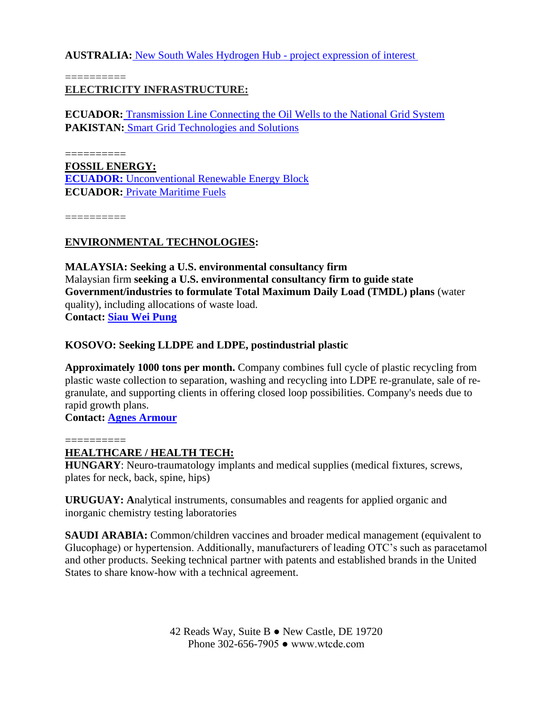## **AUSTRALIA:** [New South Wales Hydrogen Hub -](https://lnks.gd/l/eyJhbGciOiJIUzI1NiJ9.eyJidWxsZXRpbl9saW5rX2lkIjoxNjcsInVyaSI6ImJwMjpjbGljayIsImJ1bGxldGluX2lkIjoiMjAyMjAxMTMuNTE3MzA4MzEiLCJ1cmwiOiJodHRwczovL2NvbnRlbnQuZ292ZGVsaXZlcnkuY29tL2F0dGFjaG1lbnRzL1VTSVRBVFJBREUvMjAyMi8wMS8xMi9maWxlX2F0dGFjaG1lbnRzLzIwNDUzMzgvQVVTVFJBTElBLnBkZiJ9.-4NeiFGZI-JBz6FePVmdgd5DoMjwnq4JdsEK0OTsRkQ/s/375238915/br/124821300011-l) project expression of interest

#### ==========

### **ELECTRICITY INFRASTRUCTURE:**

**ECUADOR:** [Transmission Line Connecting the Oil Wells to the National Grid System](https://lnks.gd/l/eyJhbGciOiJIUzI1NiJ9.eyJidWxsZXRpbl9saW5rX2lkIjoxNzAsInVyaSI6ImJwMjpjbGljayIsImJ1bGxldGluX2lkIjoiMjAyMjAxMTMuNTE3MzA4MzEiLCJ1cmwiOiJodHRwczovL2NvbnRlbnQuZ292ZGVsaXZlcnkuY29tL2F0dGFjaG1lbnRzL1VTSVRBVFJBREUvMjAyMi8wMS8xMi9maWxlX2F0dGFjaG1lbnRzLzIwNDUyODcvRWN1YWRvciUyMFVuY29udmVudGlvbmFsLnBkZiJ9.pDU87-l8YfigkYBMOjeM8RdfJnjPwbTndZNvalITiW0/s/375238915/br/124821300011-l) **PAKISTAN:** [Smart Grid Technologies and Solutions](https://lnks.gd/l/eyJhbGciOiJIUzI1NiJ9.eyJidWxsZXRpbl9saW5rX2lkIjoxNzEsInVyaSI6ImJwMjpjbGljayIsImJ1bGxldGluX2lkIjoiMjAyMjAxMTMuNTE3MzA4MzEiLCJ1cmwiOiJodHRwczovL2NvbnRlbnQuZ292ZGVsaXZlcnkuY29tL2F0dGFjaG1lbnRzL1VTSVRBVFJBREUvMjAyMi8wMS8xMi9maWxlX2F0dGFjaG1lbnRzLzIwNDUzMzQvcGFraXN0YW4uZG9jeCJ9.M7IQ25JfZuNglcB85HhsQWrU5atmOdtYpnYk-kkj_5U/s/375238915/br/124821300011-l)

==========

**FOSSIL ENERGY: [ECUADOR:](https://lnks.gd/l/eyJhbGciOiJIUzI1NiJ9.eyJidWxsZXRpbl9saW5rX2lkIjoxNzQsInVyaSI6ImJwMjpjbGljayIsImJ1bGxldGluX2lkIjoiMjAyMjAxMTMuNTE3MzA4MzEiLCJ1cmwiOiJodHRwczovL2NvbnRlbnQuZ292ZGVsaXZlcnkuY29tL2F0dGFjaG1lbnRzL1VTSVRBVFJBREUvMjAyMi8wMS8xMi9maWxlX2F0dGFjaG1lbnRzLzIwNDUyODcvRWN1YWRvciUyMFVuY29udmVudGlvbmFsLnBkZiJ9.A-i8tfH7PnI-xYgcNVsWkgQZMn4PKsujR-mBqQG39_A/s/375238915/br/124821300011-l)** [Unconventional Renewable Energy Block](https://lnks.gd/l/eyJhbGciOiJIUzI1NiJ9.eyJidWxsZXRpbl9saW5rX2lkIjoxNzUsInVyaSI6ImJwMjpjbGljayIsImJ1bGxldGluX2lkIjoiMjAyMjAxMTMuNTE3MzA4MzEiLCJ1cmwiOiJodHRwczovL2NvbnRlbnQuZ292ZGVsaXZlcnkuY29tL2F0dGFjaG1lbnRzL1VTSVRBVFJBREUvMjAyMi8wMS8xMi9maWxlX2F0dGFjaG1lbnRzLzIwNDUyODcvRWN1YWRvciUyMFVuY29udmVudGlvbmFsLnBkZiJ9.SfYlOL-pX_XQk1gGv-uBZ7MFlwhtBSmn5SYNbcwgJJ0/s/375238915/br/124821300011-l) **ECUADOR:** [Private Maritime Fuels](https://lnks.gd/l/eyJhbGciOiJIUzI1NiJ9.eyJidWxsZXRpbl9saW5rX2lkIjoxNzYsInVyaSI6ImJwMjpjbGljayIsImJ1bGxldGluX2lkIjoiMjAyMjAxMTMuNTE3MzA4MzEiLCJ1cmwiOiJodHRwczovL2NvbnRlbnQuZ292ZGVsaXZlcnkuY29tL2F0dGFjaG1lbnRzL1VTSVRBVFJBREUvMjAyMi8wMS8xMi9maWxlX2F0dGFjaG1lbnRzLzIwNDUyOTkvRWN1YWRvciUyME1hcml0aW1lJTIwRnVlbHMuJTIwcHViLnBkZiJ9.JZGYHWmQdHNduLcNrD6pHtTevocjGpXToi7GyzFQmAc/s/375238915/br/124821300011-l)

==========

## **ENVIRONMENTAL TECHNOLOGIES:**

**MALAYSIA: Seeking a U.S. environmental consultancy firm** Malaysian firm **seeking a U.S. environmental consultancy firm to guide state Government/industries to formulate Total Maximum Daily Load (TMDL) plans** (water quality), including allocations of waste load. **Contact: [Siau Wei Pung](mailto:SiauWei.Pung@trade.gov)**

### **KOSOVO: Seeking LLDPE and LDPE, postindustrial plastic**

**Approximately 1000 tons per month.** Company combines full cycle of plastic recycling from plastic waste collection to separation, washing and recycling into LDPE re-granulate, sale of regranulate, and supporting clients in offering closed loop possibilities. Company's needs due to rapid growth plans.

**Contact: [Agnes Armour](mailto:agnes.armour@trade.gov)**

#### ==========

#### **HEALTHCARE / HEALTH TECH:**

**HUNGARY**: Neuro-traumatology implants and medical supplies (medical fixtures, screws, plates for neck, back, spine, hips)

**URUGUAY: A**nalytical instruments, consumables and reagents for applied organic and inorganic chemistry testing laboratories

**SAUDI ARABIA:** Common/children vaccines and broader medical management (equivalent to Glucophage) or hypertension. Additionally, manufacturers of leading OTC's such as paracetamol and other products. Seeking technical partner with patents and established brands in the United States to share know-how with a technical agreement.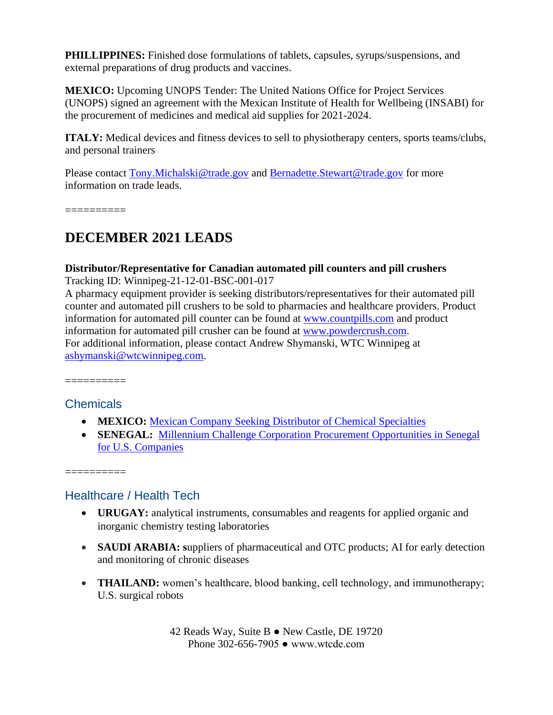**PHILLIPPINES:** Finished dose formulations of tablets, capsules, syrups/suspensions, and external preparations of drug products and vaccines.

**MEXICO:** Upcoming UNOPS Tender: The United Nations Office for Project Services (UNOPS) signed an agreement with the Mexican Institute of Health for Wellbeing (INSABI) for the procurement of medicines and medical aid supplies for 2021-2024.

**ITALY:** Medical devices and fitness devices to sell to physiotherapy centers, sports teams/clubs, and personal trainers

Please contact Tony. Michalski@trade.gov and Bernadette. Stewart@trade.gov for more information on trade leads.

==========

# **DECEMBER 2021 LEADS**

# **Distributor/Representative for Canadian automated pill counters and pill crushers**

Tracking ID: Winnipeg-21-12-01-BSC-001-017

A pharmacy equipment provider is seeking distributors/representatives for their automated pill counter and automated pill crushers to be sold to pharmacies and healthcare providers. Product information for automated pill counter can be found at [www.countpills.com](http://www.countpills.com/) and product information for automated pill crusher can be found at [www.powdercrush.com.](http://www.powdercrush.com/) For additional information, please contact Andrew Shymanski, WTC Winnipeg at [ashymanski@wtcwinnipeg.com.](mailto:ashymanski@wtcwinnipeg.com)

==========

# **Chemicals**

- **MEXICO:** [Mexican Company Seeking Distributor of Chemical Specialties](https://lnks.gd/l/eyJhbGciOiJIUzI1NiJ9.eyJidWxsZXRpbl9saW5rX2lkIjoxMjMsInVyaSI6ImJwMjpjbGljayIsImJ1bGxldGluX2lkIjoiMjAyMTEyMDEuNDk2MDczNTEiLCJ1cmwiOiJodHRwczovL2NvbnRlbnQuZ292ZGVsaXZlcnkuY29tL2F0dGFjaG1lbnRzL1VTSVRBVFJBREUvMjAyMS8xMS8yNC9maWxlX2F0dGFjaG1lbnRzLzIwMDUzODgvTWV4aWNhbiUyMENvbXBhbnklMjBTZWVraW5nJTIwRGlzdHJpYnV0b3IlMjBvZiUyMENoZW1pY2FsJTIwU3BlY2lhbHRpZXMucGRmIn0.vFfLERCxtV20rOnoCF_TcalR8Grd2j4kb7ifH7A1tlY/s/375238915/br/122051957350-l)
- **SENEGAL:** [Millennium Challenge Corporation Procurement Opportunities in Senegal](https://ustda.gov/trade_lead/millennium-challenge-corporation-procurement-opportunities-in-senegal-for-u-s-companies/)  [for U.S. Companies](https://ustda.gov/trade_lead/millennium-challenge-corporation-procurement-opportunities-in-senegal-for-u-s-companies/)

==========

# Healthcare / Health Tech

- **URUGAY:** analytical instruments, consumables and reagents for applied organic and inorganic chemistry testing laboratories
- **SAUDI ARABIA:** suppliers of pharmaceutical and OTC products; AI for early detection and monitoring of chronic diseases
- **THAILAND:** women's healthcare, blood banking, cell technology, and immunotherapy; U.S. surgical robots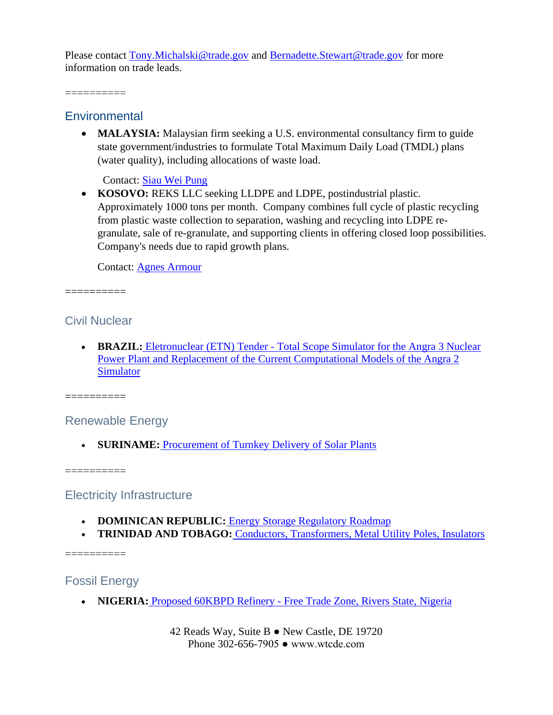Please contact [Tony.Michalski@trade.gov](mailto:Tony.Michalski@trade.gov) and [Bernadette.Stewart@trade.gov](mailto:Bernadette.Stewart@trade.gov) for more information on trade leads.

==========

### **Environmental**

• **MALAYSIA:** Malaysian firm seeking a U.S. environmental consultancy firm to guide state government/industries to formulate Total Maximum Daily Load (TMDL) plans (water quality), including allocations of waste load.

Contact: [Siau Wei Pung](mailto:SiauWei.Pung@trade.gov)

• **KOSOVO:** REKS LLC seeking LLDPE and LDPE, postindustrial plastic. Approximately 1000 tons per month. Company combines full cycle of plastic recycling from plastic waste collection to separation, washing and recycling into LDPE regranulate, sale of re-granulate, and supporting clients in offering closed loop possibilities. Company's needs due to rapid growth plans.

Contact: [Agnes Armour](mailto:agnes.armour@trade.gov)

==========

Civil Nuclear

• **BRAZIL:** Eletronuclear (ETN) Tender - Total Scope Simulator for the Angra 3 Nuclear [Power Plant and Replacement of the Current Computational Models of the Angra 2](https://lnks.gd/l/eyJhbGciOiJIUzI1NiJ9.eyJidWxsZXRpbl9saW5rX2lkIjoxNjksInVyaSI6ImJwMjpjbGljayIsImJ1bGxldGluX2lkIjoiMjAyMTEyMTQuNTAyODI4NzEiLCJ1cmwiOiJodHRwczovL2NvbnRlbnQuZ292ZGVsaXZlcnkuY29tL2F0dGFjaG1lbnRzL1VTSVRBVFJBREUvMjAyMS8xMi8xMy9maWxlX2F0dGFjaG1lbnRzLzIwMjE3MzYvQnJhemlsLnBkZiJ9.3Sho0iLPqjYAaKSivp1YDWWMxbCZJ3OHYenFPl39cBM/s/375238915/br/123060158046-l)  [Simulator](https://lnks.gd/l/eyJhbGciOiJIUzI1NiJ9.eyJidWxsZXRpbl9saW5rX2lkIjoxNjksInVyaSI6ImJwMjpjbGljayIsImJ1bGxldGluX2lkIjoiMjAyMTEyMTQuNTAyODI4NzEiLCJ1cmwiOiJodHRwczovL2NvbnRlbnQuZ292ZGVsaXZlcnkuY29tL2F0dGFjaG1lbnRzL1VTSVRBVFJBREUvMjAyMS8xMi8xMy9maWxlX2F0dGFjaG1lbnRzLzIwMjE3MzYvQnJhemlsLnBkZiJ9.3Sho0iLPqjYAaKSivp1YDWWMxbCZJ3OHYenFPl39cBM/s/375238915/br/123060158046-l)

==========

Renewable Energy

• **SURINAME:** [Procurement of Turnkey Delivery of Solar Plants](https://lnks.gd/l/eyJhbGciOiJIUzI1NiJ9.eyJidWxsZXRpbl9saW5rX2lkIjoxNzAsInVyaSI6ImJwMjpjbGljayIsImJ1bGxldGluX2lkIjoiMjAyMTEyMTQuNTAyODI4NzEiLCJ1cmwiOiJodHRwczovL2NvbnRlbnQuZ292ZGVsaXZlcnkuY29tL2F0dGFjaG1lbnRzL1VTSVRBVFJBREUvMjAyMS8xMi8xNC9maWxlX2F0dGFjaG1lbnRzLzIwMjIyODMvc3VyaW5hbWUucGRmIn0.8gqQG39oHL7PfDdSojLN26KN3lO8WfQRa4W88gKzkNY/s/375238915/br/123060158046-l)

==========

Electricity Infrastructure

- **DOMINICAN REPUBLIC:** [Energy Storage Regulatory Roadmap](https://lnks.gd/l/eyJhbGciOiJIUzI1NiJ9.eyJidWxsZXRpbl9saW5rX2lkIjoxNzIsInVyaSI6ImJwMjpjbGljayIsImJ1bGxldGluX2lkIjoiMjAyMTEyMTQuNTAyODI4NzEiLCJ1cmwiOiJodHRwczovL2NvbnRlbnQuZ292ZGVsaXZlcnkuY29tL2F0dGFjaG1lbnRzL1VTSVRBVFJBREUvMjAyMS8xMi8xMy9maWxlX2F0dGFjaG1lbnRzLzIwMjE3NDEvRG9taW5jYW4lMjBSZXB1YmxpYy5wZGYifQ.7ck7439dLHhPWRLWkTkoBX-4cUa0rdOVUIT7kb5Ux0k/s/375238915/br/123060158046-l)
- **TRINIDAD AND TOBAGO:** [Conductors, Transformers, Metal Utility Poles, Insulators](https://lnks.gd/l/eyJhbGciOiJIUzI1NiJ9.eyJidWxsZXRpbl9saW5rX2lkIjoxNzMsInVyaSI6ImJwMjpjbGljayIsImJ1bGxldGluX2lkIjoiMjAyMTEyMTQuNTAyODI4NzEiLCJ1cmwiOiJodHRwczovL2NvbnRlbnQuZ292ZGVsaXZlcnkuY29tL2F0dGFjaG1lbnRzL1VTSVRBVFJBREUvMjAyMS8xMi8xMy9maWxlX2F0dGFjaG1lbnRzLzIwMjE3NDgvVHJpbmlkYWQlMjBhbmQlMjBUb2JhZ28ucGRmIn0.9LfcI8fCjeAFEFJs3wa0rpVYZ_EKOaa2tv5D7Qv9F1M/s/375238915/br/123060158046-l)

==========

Fossil Energy

- **NIGERIA:** Proposed 60KBPD Refinery [Free Trade Zone, Rivers State, Nigeria](https://lnks.gd/l/eyJhbGciOiJIUzI1NiJ9.eyJidWxsZXRpbl9saW5rX2lkIjoxNzQsInVyaSI6ImJwMjpjbGljayIsImJ1bGxldGluX2lkIjoiMjAyMTEyMTQuNTAyODI4NzEiLCJ1cmwiOiJodHRwczovL2NvbnRlbnQuZ292ZGVsaXZlcnkuY29tL2F0dGFjaG1lbnRzL1VTSVRBVFJBREUvMjAyMS8xMi8xMy9maWxlX2F0dGFjaG1lbnRzLzIwMjE2NjQvTmlnZXJpYS5wZGYifQ.38VYyaTxV8Wrgz6EEa4j3zh6RZAZ8jGowUHjqcF6P44/s/375238915/br/123060158046-l)
	- 42 Reads Way, Suite B New Castle, DE 19720 Phone 302-656-7905 ● www.wtcde.com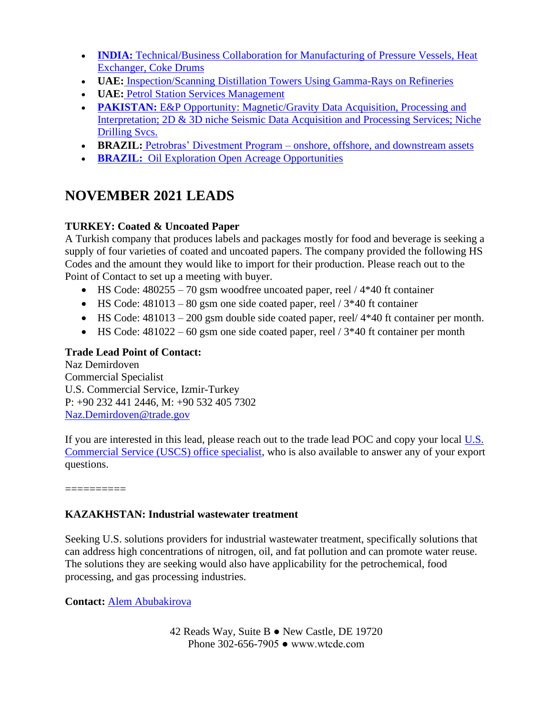- **[INDIA:](https://lnks.gd/l/eyJhbGciOiJIUzI1NiJ9.eyJidWxsZXRpbl9saW5rX2lkIjoxNzUsInVyaSI6ImJwMjpjbGljayIsImJ1bGxldGluX2lkIjoiMjAyMTEyMTQuNTAyODI4NzEiLCJ1cmwiOiJodHRwczovL2NvbnRlbnQuZ292ZGVsaXZlcnkuY29tL2F0dGFjaG1lbnRzL1VTSVRBVFJBREUvMjAyMS8xMS8wNC9maWxlX2F0dGFjaG1lbnRzLzE5ODcxMzgvSU5ESUElMjAxJTIwY29rZSUyMGRydW1zJTIwaGVhdCUyMGV4Y2hhbmdlci5wZGYifQ.0ZCfm5UQ5vjGL-xD8tCu6-LA8E9sb_vSmha7fPFdY3E/s/375238915/br/123060158046-l)** Technical/Business Collaboration for Manufacturing of Pressure Vessels, Heat [Exchanger, Coke Drums](https://lnks.gd/l/eyJhbGciOiJIUzI1NiJ9.eyJidWxsZXRpbl9saW5rX2lkIjoxNzYsInVyaSI6ImJwMjpjbGljayIsImJ1bGxldGluX2lkIjoiMjAyMTEyMTQuNTAyODI4NzEiLCJ1cmwiOiJodHRwczovL2NvbnRlbnQuZ292ZGVsaXZlcnkuY29tL2F0dGFjaG1lbnRzL1VTSVRBVFJBREUvMjAyMS8xMS8wNC9maWxlX2F0dGFjaG1lbnRzLzE5ODcxMzgvSU5ESUElMjAxJTIwY29rZSUyMGRydW1zJTIwaGVhdCUyMGV4Y2hhbmdlci5wZGYifQ.9fsdcvAc9ibJUca1ZOn3CfIP2NjlKoA-6i7V_SUeDr0/s/375238915/br/123060158046-l)
- **UAE:** [Inspection/Scanning Distillation Towers Using Gamma-Rays on Refineries](https://lnks.gd/l/eyJhbGciOiJIUzI1NiJ9.eyJidWxsZXRpbl9saW5rX2lkIjoxNzcsInVyaSI6ImJwMjpjbGljayIsImJ1bGxldGluX2lkIjoiMjAyMTEyMTQuNTAyODI4NzEiLCJ1cmwiOiJodHRwczovL2NvbnRlbnQuZ292ZGVsaXZlcnkuY29tL2F0dGFjaG1lbnRzL1VTSVRBVFJBREUvMjAyMS8wNi8wMy9maWxlX2F0dGFjaG1lbnRzLzE4NDQyODkvdWFlJTIwMi5wZGYifQ.NbBJkojjKednhwN1rMZnk-hSbCSQmEwSA5dnHI71Y8s/s/375238915/br/123060158046-l)
- **UAE:** [Petrol Station Services Management](https://lnks.gd/l/eyJhbGciOiJIUzI1NiJ9.eyJidWxsZXRpbl9saW5rX2lkIjoxNzgsInVyaSI6ImJwMjpjbGljayIsImJ1bGxldGluX2lkIjoiMjAyMTEyMTQuNTAyODI4NzEiLCJ1cmwiOiJodHRwczovL2NvbnRlbnQuZ292ZGVsaXZlcnkuY29tL2F0dGFjaG1lbnRzL1VTSVRBVFJBREUvMjAyMS8wNi8wMy9maWxlX2F0dGFjaG1lbnRzLzE4NDQyOTgvdWFlJTIwMS5wZGYifQ.UjBlF60Y10n73eJbeGhhT9xynhM3Y8NnUXUPVfwOxSY/s/375238915/br/123060158046-l)
- **[PAKISTAN:](https://gcc02.safelinks.protection.outlook.com/?url=https%3A%2F%2Flnks.gd%2Fl%2FeyJhbGciOiJIUzI1NiJ9.eyJidWxsZXRpbl9saW5rX2lkIjoxODQsInVyaSI6ImJwMjpjbGljayIsImJ1bGxldGluX2lkIjoiMjAyMTA0MTUuMzg4NjE0NDEiLCJ1cmwiOiJodHRwczovL2NvbnRlbnQuZ292ZGVsaXZlcnkuY29tL2F0dGFjaG1lbnRzL1VTSVRBVFJBREUvMjAyMS8wNC8xNC9maWxlX2F0dGFjaG1lbnRzLzE3NTQwOTAvUEFLSVNUQU4ucGRmIn0.BWLW26HWqAyukVHKdHG4N7S6rM4m6lN554jReg4YK38%2Fs%2F761723631%2Fbr%2F102339645098-l&data=04%7C01%7Cdanielle.caltabiano%40trade.gov%7C911ff936d5f74be703b408d9003a0f86%7Ca1d183f26c7b4d9ab9945f2f31b3f780%7C1%7C1%7C637541071639266392%7CUnknown%7CTWFpbGZsb3d8eyJWIjoiMC4wLjAwMDAiLCJQIjoiV2luMzIiLCJBTiI6Ik1haWwiLCJXVCI6Mn0%3D%7C1000&sdata=0oh4c1ji3XwQaZfz4oa4wkt4BmJMY4ps7l74TVe5MZk%3D&reserved=0)** E&P Opportunity: Magnetic/Gravity Data Acquisition, Processing and [Interpretation; 2D & 3D niche Seismic Data Acquisition and Processing Services; Niche](https://gcc02.safelinks.protection.outlook.com/?url=https%3A%2F%2Flnks.gd%2Fl%2FeyJhbGciOiJIUzI1NiJ9.eyJidWxsZXRpbl9saW5rX2lkIjoxODUsInVyaSI6ImJwMjpjbGljayIsImJ1bGxldGluX2lkIjoiMjAyMTA0MTUuMzg4NjE0NDEiLCJ1cmwiOiJodHRwczovL2NvbnRlbnQuZ292ZGVsaXZlcnkuY29tL2F0dGFjaG1lbnRzL1VTSVRBVFJBREUvMjAyMS8wNC8xNC9maWxlX2F0dGFjaG1lbnRzLzE3NTQwOTAvUEFLSVNUQU4ucGRmIn0.68OnL0Ulfise9a6Ct8UtRKlQZtt_c3OuOwqgaq3oM7o%2Fs%2F761723631%2Fbr%2F102339645098-l&data=04%7C01%7Cdanielle.caltabiano%40trade.gov%7C911ff936d5f74be703b408d9003a0f86%7Ca1d183f26c7b4d9ab9945f2f31b3f780%7C1%7C1%7C637541071639266392%7CUnknown%7CTWFpbGZsb3d8eyJWIjoiMC4wLjAwMDAiLCJQIjoiV2luMzIiLCJBTiI6Ik1haWwiLCJXVCI6Mn0%3D%7C1000&sdata=i8pL8oElneiDZWcNddAQxiu7aP4uTkSwleyj%2B69JIe4%3D&reserved=0)  [Drilling Svcs.](https://gcc02.safelinks.protection.outlook.com/?url=https%3A%2F%2Flnks.gd%2Fl%2FeyJhbGciOiJIUzI1NiJ9.eyJidWxsZXRpbl9saW5rX2lkIjoxODUsInVyaSI6ImJwMjpjbGljayIsImJ1bGxldGluX2lkIjoiMjAyMTA0MTUuMzg4NjE0NDEiLCJ1cmwiOiJodHRwczovL2NvbnRlbnQuZ292ZGVsaXZlcnkuY29tL2F0dGFjaG1lbnRzL1VTSVRBVFJBREUvMjAyMS8wNC8xNC9maWxlX2F0dGFjaG1lbnRzLzE3NTQwOTAvUEFLSVNUQU4ucGRmIn0.68OnL0Ulfise9a6Ct8UtRKlQZtt_c3OuOwqgaq3oM7o%2Fs%2F761723631%2Fbr%2F102339645098-l&data=04%7C01%7Cdanielle.caltabiano%40trade.gov%7C911ff936d5f74be703b408d9003a0f86%7Ca1d183f26c7b4d9ab9945f2f31b3f780%7C1%7C1%7C637541071639266392%7CUnknown%7CTWFpbGZsb3d8eyJWIjoiMC4wLjAwMDAiLCJQIjoiV2luMzIiLCJBTiI6Ik1haWwiLCJXVCI6Mn0%3D%7C1000&sdata=i8pL8oElneiDZWcNddAQxiu7aP4uTkSwleyj%2B69JIe4%3D&reserved=0)
- **BRAZIL:** Petrobras' Divestment Program [onshore, offshore, and downstream assets](https://gcc02.safelinks.protection.outlook.com/?url=https%3A%2F%2Flnks.gd%2Fl%2FeyJhbGciOiJIUzI1NiJ9.eyJidWxsZXRpbl9saW5rX2lkIjoxOTIsInVyaSI6ImJwMjpjbGljayIsImJ1bGxldGluX2lkIjoiMjAyMTA0MTUuMzg4NjE0NDEiLCJ1cmwiOiJodHRwczovL2NvbnRlbnQuZ292ZGVsaXZlcnkuY29tL2F0dGFjaG1lbnRzL1VTSVRBVFJBREUvMjAyMC8xMi8wNy9maWxlX2F0dGFjaG1lbnRzLzE2MTkzOTYvQlJBWklMJTIwMi5wZGYifQ.vUbiLC6Z9d0HM2VFejDzIi5CThu3Xm5g2-vz9Ug7qkY%2Fs%2F761723631%2Fbr%2F102339645098-l&data=04%7C01%7Cdanielle.caltabiano%40trade.gov%7C911ff936d5f74be703b408d9003a0f86%7Ca1d183f26c7b4d9ab9945f2f31b3f780%7C1%7C1%7C637541071639296261%7CUnknown%7CTWFpbGZsb3d8eyJWIjoiMC4wLjAwMDAiLCJQIjoiV2luMzIiLCJBTiI6Ik1haWwiLCJXVCI6Mn0%3D%7C1000&sdata=Zan0ISdxxZ6nxdkp68s3cKpFAl9Eba27oo61yETye4Q%3D&reserved=0)
- **[BRAZIL:](https://gcc02.safelinks.protection.outlook.com/?url=https%3A%2F%2Flnks.gd%2Fl%2FeyJhbGciOiJIUzI1NiJ9.eyJidWxsZXRpbl9saW5rX2lkIjoxOTMsInVyaSI6ImJwMjpjbGljayIsImJ1bGxldGluX2lkIjoiMjAyMTA0MTUuMzg4NjE0NDEiLCJ1cmwiOiJodHRwczovL2NvbnRlbnQuZ292ZGVsaXZlcnkuY29tL2F0dGFjaG1lbnRzL1VTSVRBVFJBREUvMjAyMS8wMy8xMS9maWxlX2F0dGFjaG1lbnRzLzE3MjAyOTMvQlJBWklMJTIwMi5wZGYifQ.h6t-yuH2MUfe3_AMi6EfQ2TwMcJ09Ou0G1lwwoGV_gY%2Fs%2F761723631%2Fbr%2F102339645098-l&data=04%7C01%7Cdanielle.caltabiano%40trade.gov%7C911ff936d5f74be703b408d9003a0f86%7Ca1d183f26c7b4d9ab9945f2f31b3f780%7C1%7C1%7C637541071639296261%7CUnknown%7CTWFpbGZsb3d8eyJWIjoiMC4wLjAwMDAiLCJQIjoiV2luMzIiLCJBTiI6Ik1haWwiLCJXVCI6Mn0%3D%7C1000&sdata=ErwzoJlQNgZgJ3gpo6Yc4o9oTvxzpEjMf2qBFOxvUKc%3D&reserved=0)** [Oil Exploration Open Acreage Opportunities](https://gcc02.safelinks.protection.outlook.com/?url=https%3A%2F%2Flnks.gd%2Fl%2FeyJhbGciOiJIUzI1NiJ9.eyJidWxsZXRpbl9saW5rX2lkIjoxOTQsInVyaSI6ImJwMjpjbGljayIsImJ1bGxldGluX2lkIjoiMjAyMTA0MTUuMzg4NjE0NDEiLCJ1cmwiOiJodHRwczovL2NvbnRlbnQuZ292ZGVsaXZlcnkuY29tL2F0dGFjaG1lbnRzL1VTSVRBVFJBREUvMjAyMS8wMy8xMS9maWxlX2F0dGFjaG1lbnRzLzE3MjAyOTMvQlJBWklMJTIwMi5wZGYifQ.pDbxMfmWA0YaOl8QqY4XiLYzesDH3LsGHoIO7rZsNu4%2Fs%2F761723631%2Fbr%2F102339645098-l&data=04%7C01%7Cdanielle.caltabiano%40trade.gov%7C911ff936d5f74be703b408d9003a0f86%7Ca1d183f26c7b4d9ab9945f2f31b3f780%7C1%7C1%7C637541071639306218%7CUnknown%7CTWFpbGZsb3d8eyJWIjoiMC4wLjAwMDAiLCJQIjoiV2luMzIiLCJBTiI6Ik1haWwiLCJXVCI6Mn0%3D%7C1000&sdata=%2F8nVpYKh8U2bqkOT%2B9I2a3UV%2BbsJeobrxuQ%2FsHo%2B5A4%3D&reserved=0)

# **NOVEMBER 2021 LEADS**

## **TURKEY: Coated & Uncoated Paper**

A Turkish company that produces labels and packages mostly for food and beverage is seeking a supply of four varieties of coated and uncoated papers. The company provided the following HS Codes and the amount they would like to import for their production. Please reach out to the Point of Contact to set up a meeting with buyer.

- HS Code:  $480255 70$  gsm woodfree uncoated paper, reel  $/4*40$  ft container
- HS Code:  $481013 80$  gsm one side coated paper, reel /  $3*40$  ft container
- HS Code:  $481013 200$  gsm double side coated paper, reel/  $4*40$  ft container per month.
- HS Code:  $481022 60$  gsm one side coated paper, reel /  $3*40$  ft container per month

### **Trade Lead Point of Contact:**

Naz Demirdoven Commercial Specialist U.S. Commercial Service, Izmir-Turkey P: +90 232 441 2446, M: +90 532 405 7302 [Naz.Demirdoven@trade.gov](mailto:Naz.Demirdoven@trade.gov)

If you are interested in this lead, please reach out to the trade lead POC and copy your local [U.S.](https://www.trade.gov/commercial-services-offices-us)  [Commercial Service \(USCS\) office specialist,](https://www.trade.gov/commercial-services-offices-us) who is also available to answer any of your export questions.

==========

# **KAZAKHSTAN: Industrial wastewater treatment**

Seeking U.S. solutions providers for industrial wastewater treatment, specifically solutions that can address high concentrations of nitrogen, oil, and fat pollution and can promote water reuse. The solutions they are seeking would also have applicability for the petrochemical, food processing, and gas processing industries.

**Contact:** [Alem Abubakirova](mailto:Alem.Abubakirova@trade.gov)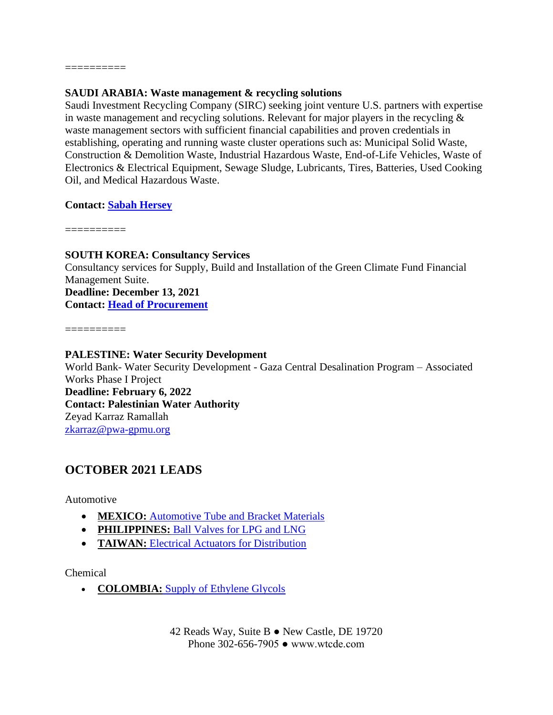==========

#### **SAUDI ARABIA: Waste management & recycling solutions**

Saudi Investment Recycling Company (SIRC) seeking joint venture U.S. partners with expertise in waste management and recycling solutions. Relevant for major players in the recycling & waste management sectors with sufficient financial capabilities and proven credentials in establishing, operating and running waste cluster operations such as: Municipal Solid Waste, Construction & Demolition Waste, Industrial Hazardous Waste, End-of-Life Vehicles, Waste of Electronics & Electrical Equipment, Sewage Sludge, Lubricants, Tires, Batteries, Used Cooking Oil, and Medical Hazardous Waste.

#### **Contact: [Sabah Hersey](mailto:Sabah.Hersey@trade.gov)**

==========

**SOUTH KOREA: Consultancy Services** Consultancy services for Supply, Build and Installation of the Green Climate Fund Financial Management Suite. **Deadline: December 13, 2021 Contact: [Head of Procurement](mailto:procurement@gcfund.org)**

==========

**PALESTINE: Water Security Development**  World Bank- Water Security Development - Gaza Central Desalination Program – Associated Works Phase I Project **Deadline: February 6, 2022 Contact: Palestinian Water Authority** Zeyad Karraz Ramallah [zkarraz@pwa-gpmu.org](mailto:zkarraz@pwa-gpmu.org)

# **OCTOBER 2021 LEADS**

Automotive

- **MEXICO:** [Automotive Tube and Bracket Materials](https://lnks.gd/l/eyJhbGciOiJIUzI1NiJ9.eyJidWxsZXRpbl9saW5rX2lkIjoxNDcsInVyaSI6ImJwMjpjbGljayIsImJ1bGxldGluX2lkIjoiMjAyMTA5MjguNDY2MDIzNDEiLCJ1cmwiOiJodHRwczovL2NvbnRlbnQuZ292ZGVsaXZlcnkuY29tL2F0dGFjaG1lbnRzL1VTSVRBVFJBREUvMjAyMS8wOS8yNC9maWxlX2F0dGFjaG1lbnRzLzE5NDg0OTUvMTAlMjBUcmFkZSUyMExlYWQlMjBNZXhpY28lMjBBdXRvbW90aXZlJTIwVHViZSUyMGFuZCUyMEJyYWNrZXQlMjBNYXRlcmlhbHMucGRmIn0.S0t10_FrV0B_94-aEAc2jxY-IuF303MIrIJS-_w76pY/s/375238915/br/113045259873-l)
- **PHILIPPINES:** [Ball Valves for LPG and LNG](https://lnks.gd/l/eyJhbGciOiJIUzI1NiJ9.eyJidWxsZXRpbl9saW5rX2lkIjoxNDgsInVyaSI6ImJwMjpjbGljayIsImJ1bGxldGluX2lkIjoiMjAyMTA5MjguNDY2MDIzNDEiLCJ1cmwiOiJodHRwczovL2NvbnRlbnQuZ292ZGVsaXZlcnkuY29tL2F0dGFjaG1lbnRzL1VTSVRBVFJBREUvMjAyMS8wOS8yNC9maWxlX2F0dGFjaG1lbnRzLzE5NDg0OTYvMTAlMjBQaGlsaXBwaW5lcyUyMENvbXBhbnklMjBTZWVraW5nJTIwQmFsbCUyMFZhbHZlJTIwU3VwcGxpZXIucGRmIn0.ydC9cst0roBiVFYgMjbR8N55nd1CuHUYXbxwwXFwh6s/s/375238915/br/113045259873-l)
- **TAIWAN:** [Electrical Actuators for Distribution](https://lnks.gd/l/eyJhbGciOiJIUzI1NiJ9.eyJidWxsZXRpbl9saW5rX2lkIjoxNDksInVyaSI6ImJwMjpjbGljayIsImJ1bGxldGluX2lkIjoiMjAyMTA5MjguNDY2MDIzNDEiLCJ1cmwiOiJodHRwczovL2NvbnRlbnQuZ292ZGVsaXZlcnkuY29tL2F0dGFjaG1lbnRzL1VTSVRBVFJBREUvMjAyMS8wOS8yNC9maWxlX2F0dGFjaG1lbnRzLzE5NDg1MTEvMTAlMjBUcmFkZSUyMExlYWQlMjBUYWl3YW4lMjBBY3R1YXRvcnMlMjBEaXN0cmlidXRvci5wZGYifQ.w7BwXD3C2Q649i0D67Zyh1SDnt-8OJaTS-lnoBPPnS0/s/375238915/br/113045259873-l)

Chemical

• **COLOMBIA:** [Supply of Ethylene Glycols](https://lnks.gd/l/eyJhbGciOiJIUzI1NiJ9.eyJidWxsZXRpbl9saW5rX2lkIjoxNDEsInVyaSI6ImJwMjpjbGljayIsImJ1bGxldGluX2lkIjoiMjAyMTA5MjguNDY2MDIzNDEiLCJ1cmwiOiJodHRwczovL2NvbnRlbnQuZ292ZGVsaXZlcnkuY29tL2F0dGFjaG1lbnRzL1VTSVRBVFJBREUvMjAyMS8wOS8yNC9maWxlX2F0dGFjaG1lbnRzLzE5NDg1MTAvMTAlMjBUcmFkZSUyMExlYWQlMjBDb2xvbWJpYSUyMFN1cHBseSUyMG9mJTIwRXRoeWxlbmUlMjBHbHljb2xzLnBkZiJ9.zgKsGwY2cBUiTto020k-Ibgo3wAPiYHJCnN2AgxPswQ/s/375238915/br/113045259873-l)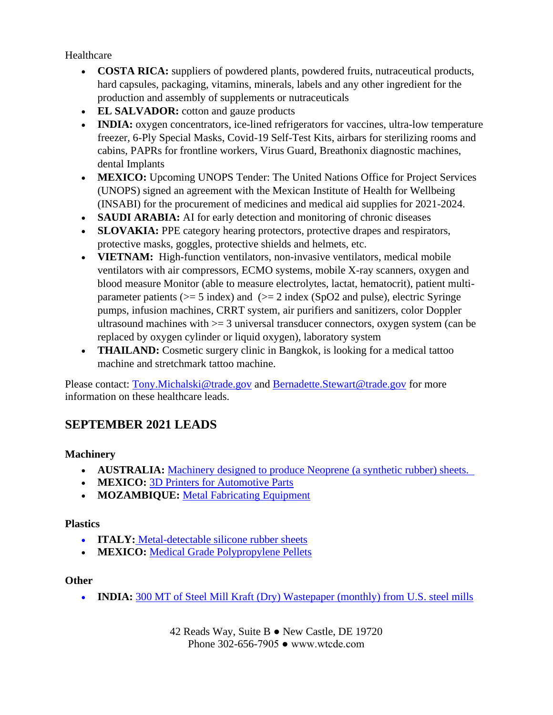Healthcare

- **COSTA RICA:** suppliers of powdered plants, powdered fruits, nutraceutical products, hard capsules, packaging, vitamins, minerals, labels and any other ingredient for the production and assembly of supplements or nutraceuticals
- **EL SALVADOR:** cotton and gauze products
- **INDIA:** oxygen concentrators, ice-lined refrigerators for vaccines, ultra-low temperature freezer, 6-Ply Special Masks, Covid-19 Self-Test Kits, airbars for sterilizing rooms and cabins, PAPRs for frontline workers, Virus Guard, Breathonix diagnostic machines, dental Implants
- **MEXICO:** Upcoming UNOPS Tender: The United Nations Office for Project Services (UNOPS) signed an agreement with the Mexican Institute of Health for Wellbeing (INSABI) for the procurement of medicines and medical aid supplies for 2021-2024.
- **SAUDI ARABIA:** AI for early detection and monitoring of chronic diseases
- **SLOVAKIA:** PPE category hearing protectors, protective drapes and respirators, protective masks, goggles, protective shields and helmets, etc.
- **VIETNAM:** High-function ventilators, non-invasive ventilators, medical mobile ventilators with air compressors, ECMO systems, mobile X-ray scanners, oxygen and blood measure Monitor (able to measure electrolytes, lactat, hematocrit), patient multiparameter patients ( $> = 5$  index) and ( $> = 2$  index (SpO2 and pulse), electric Syringe pumps, infusion machines, CRRT system, air purifiers and sanitizers, color Doppler ultrasound machines with  $\geq$  3 universal transducer connectors, oxygen system (can be replaced by oxygen cylinder or liquid oxygen), laboratory system
- **THAILAND:** Cosmetic surgery clinic in Bangkok, is looking for a medical tattoo machine and stretchmark tattoo machine.

Please contact: [Tony.Michalski@trade.gov](mailto:Tony.Michalski@trade.gov) and [Bernadette.Stewart@trade.gov](mailto:Bernadette.Stewart@trade.gov) for more information on these healthcare leads.

# **SEPTEMBER 2021 LEADS**

# **Machinery**

- **AUSTRALIA:** Machinery designed to produce Neoprene (a synthetic rubber) sheets.
- **MEXICO:** [3D Printers for Automotive Parts](https://lnks.gd/l/eyJhbGciOiJIUzI1NiJ9.eyJidWxsZXRpbl9saW5rX2lkIjoxNTEsInVyaSI6ImJwMjpjbGljayIsImJ1bGxldGluX2lkIjoiMjAyMTA5MDguNDU2Mjk3OTEiLCJ1cmwiOiJodHRwczovL2NvbnRlbnQuZ292ZGVsaXZlcnkuY29tL2F0dGFjaG1lbnRzL1VTSVRBVFJBREUvMjAyMS8wOC8yMy9maWxlX2F0dGFjaG1lbnRzLzE5MTM4OTkvU2VwdCUyMFRyYWRlJTIwTGVhZCUyME1leGljbyUyMDNEJTIwUHJpbnRlcnMlMjBmb3IlMjBBdXRvbW90aXZlJTIwUGFydHMucGRmIn0._LqrdSe7IRx9yCczI9Rp_gF6wDXShcKemMokh2jL2fM/s/375238915/br/112043620999-l)
- **MOZAMBIQUE:** [Metal Fabricating Equipment](https://lnks.gd/l/eyJhbGciOiJIUzI1NiJ9.eyJidWxsZXRpbl9saW5rX2lkIjoxNTIsInVyaSI6ImJwMjpjbGljayIsImJ1bGxldGluX2lkIjoiMjAyMTA5MDguNDU2Mjk3OTEiLCJ1cmwiOiJodHRwczovL2NvbnRlbnQuZ292ZGVsaXZlcnkuY29tL2F0dGFjaG1lbnRzL1VTSVRBVFJBREUvMjAyMS8wNi8yNC9maWxlX2F0dGFjaG1lbnRzLzE4NjI4NjQvSnVseSUyMFRyYWRlJTIwTGVhZCUyMFdvcmtzaG9wJTIwRXF1aXBtZW50JTIwZnJvbSUyME1vemFtYmlxdWUucGRmIn0.GDRP0-DEffQ0ZbOYwWMvDHqWNl2ossyxPtPsYIJR6fU/s/375238915/br/112043620999-l)

# **Plastics**

- **ITALY:** [Metal-detectable silicone rubber sheets](https://lnks.gd/l/eyJhbGciOiJIUzI1NiJ9.eyJidWxsZXRpbl9saW5rX2lkIjoxNTMsInVyaSI6ImJwMjpjbGljayIsImJ1bGxldGluX2lkIjoiMjAyMTA5MDguNDU2Mjk3OTEiLCJ1cmwiOiJodHRwczovL2NvbnRlbnQuZ292ZGVsaXZlcnkuY29tL2F0dGFjaG1lbnRzL1VTSVRBVFJBREUvMjAyMS8wOC8zMS9maWxlX2F0dGFjaG1lbnRzLzE5MjA0NDgvU2VwdCUyMFRyYWRlJTIwTGVhZCUyMEl0YWxpYW4lMjBEaXN0cmlidXRlciUyMFNlZWtpbmclMjBtZXRhbCUyMGRldGVjdGFibGUlMjBzaWxpY29uZSUyMHJ1YmJlciUyMHNoZWV0cy5wZGYifQ._E2x9NLhvzxDnJbgCJXZqdABezcZyo8UVfsqZ41uNZE/s/375238915/br/112043620999-l)
- **MEXICO:** [Medical Grade Polypropylene Pellets](https://lnks.gd/l/eyJhbGciOiJIUzI1NiJ9.eyJidWxsZXRpbl9saW5rX2lkIjoxNTQsInVyaSI6ImJwMjpjbGljayIsImJ1bGxldGluX2lkIjoiMjAyMTA5MDguNDU2Mjk3OTEiLCJ1cmwiOiJodHRwczovL2NvbnRlbnQuZ292ZGVsaXZlcnkuY29tL2F0dGFjaG1lbnRzL1VTSVRBVFJBREUvMjAyMS8wNy8zMC9maWxlX2F0dGFjaG1lbnRzLzE4OTMyODgvQVVHJTIwTWV4aWNvJTIwTWVkaWNhbCUyMEdyYWRlJTIwUG9seXByb3B5bGVuZSUyMFBlbGxldHMucGRmIn0.-oiR-4MDjDCncCnLfWPphKdGC9mu7jiaQpsAFf4H73Y/s/375238915/br/112043620999-l)

# **Other**

• **INDIA:** [300 MT of Steel Mill Kraft \(Dry\) Wastepaper \(monthly\) from U.S. steel mills](https://lnks.gd/l/eyJhbGciOiJIUzI1NiJ9.eyJidWxsZXRpbl9saW5rX2lkIjoxNTUsInVyaSI6ImJwMjpjbGljayIsImJ1bGxldGluX2lkIjoiMjAyMTA5MDguNDU2Mjk3OTEiLCJ1cmwiOiJodHRwczovL2NvbnRlbnQuZ292ZGVsaXZlcnkuY29tL2F0dGFjaG1lbnRzL1VTSVRBVFJBREUvMjAyMS8wNy8yOC9maWxlX2F0dGFjaG1lbnRzLzE4OTAxNTgvQVVHJTIwSW5kaWElMjBTdGVlbCUyMEtyYWZ0JTIwUGFwZXIucGRmIn0.jfe9sMcFFO0teUOnHYCWyNk3n9NYsOJksmJTHqhivrg/s/375238915/br/112043620999-l)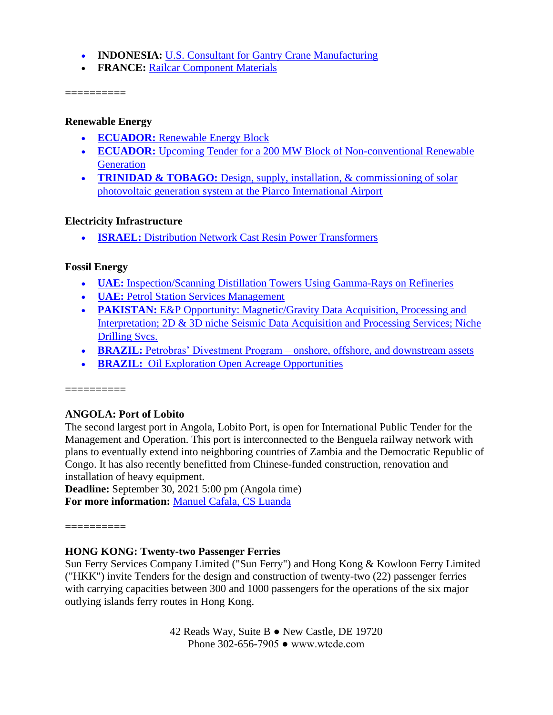- **INDONESIA:** [U.S. Consultant for Gantry Crane Manufacturing](https://lnks.gd/l/eyJhbGciOiJIUzI1NiJ9.eyJidWxsZXRpbl9saW5rX2lkIjoxNTYsInVyaSI6ImJwMjpjbGljayIsImJ1bGxldGluX2lkIjoiMjAyMTA5MDguNDU2Mjk3OTEiLCJ1cmwiOiJodHRwczovL2NvbnRlbnQuZ292ZGVsaXZlcnkuY29tL2F0dGFjaG1lbnRzL1VTSVRBVFJBREUvMjAyMS8wNy8yOC9maWxlX2F0dGFjaG1lbnRzLzE4OTAxNTcvQVVHJTIwVHJhZGUlMjBMZWFkJTIwSW5kb25lc2lhJTIwR2FudHJ5JTIwQ3JhbmUlMjBDb25zdWx0YW50LnBkZiJ9.ZT5hlgkMVczORHeD897F0UUQFDAFHokjksE8aeNH1Uo/s/375238915/br/112043620999-l)
- **FRANCE:** [Railcar Component Materials](https://lnks.gd/l/eyJhbGciOiJIUzI1NiJ9.eyJidWxsZXRpbl9saW5rX2lkIjoxNTcsInVyaSI6ImJwMjpjbGljayIsImJ1bGxldGluX2lkIjoiMjAyMTA5MDguNDU2Mjk3OTEiLCJ1cmwiOiJodHRwczovL2NvbnRlbnQuZ292ZGVsaXZlcnkuY29tL2F0dGFjaG1lbnRzL1VTSVRBVFJBREUvMjAyMS8wOC8zMC9maWxlX2F0dGFjaG1lbnRzLzE5MjAyMjkvU0VQVCUyMFRyYWRlJTIwTGVhZCUyMExvY29tb3RpdmUlMjBDb25tcG9uZW50cyUyMEZyYW5jZS5wZGYifQ.cNfIUyKiX16nlUrHEnc_h3BUEuHL_aw3IN-a1LWK_eY/s/375238915/br/112043620999-l)

==========

#### **Renewable Energy**

- **ECUADOR:** [Renewable Energy Block](https://lnks.gd/l/eyJhbGciOiJIUzI1NiJ9.eyJidWxsZXRpbl9saW5rX2lkIjoxNjMsInVyaSI6ImJwMjpjbGljayIsImJ1bGxldGluX2lkIjoiMjAyMTA5MTYuNDYwNTUxMTEiLCJ1cmwiOiJodHRwczovL2NvbnRlbnQuZ292ZGVsaXZlcnkuY29tL2F0dGFjaG1lbnRzL1VTSVRBVFJBREUvMjAyMS8wOS8xNC9maWxlX2F0dGFjaG1lbnRzLzE5MzQ5NDgvRWN1YWRvci5wZGYifQ.-4PYBX4Sv-xekloDkf4WG3sLroTXslyx5nYXJ7Dqq7A/s/375238915/br/112500262194-l)
- **ECUADOR:** [Upcoming Tender for a 200 MW Block of Non-conventional Renewable](https://gcc02.safelinks.protection.outlook.com/?url=https%3A%2F%2Flnks.gd%2Fl%2FeyJhbGciOiJIUzI1NiJ9.eyJidWxsZXRpbl9saW5rX2lkIjoxNzEsInVyaSI6ImJwMjpjbGljayIsImJ1bGxldGluX2lkIjoiMjAyMTA0MTUuMzg4NjE0NDEiLCJ1cmwiOiJodHRwczovL2NvbnRlbnQuZ292ZGVsaXZlcnkuY29tL2F0dGFjaG1lbnRzL1VTSVRBVFJBREUvMjAyMC8xMC8wNS9maWxlX2F0dGFjaG1lbnRzLzE1NjI3MTAvRUNVQURPUi5wZGYifQ.vk-Fss6yVMqKup48I3QAX3BIxsRjnJPObyk24Bpd_aE%2Fs%2F761723631%2Fbr%2F102339645098-l&data=04%7C01%7Cdanielle.caltabiano%40trade.gov%7C911ff936d5f74be703b408d9003a0f86%7Ca1d183f26c7b4d9ab9945f2f31b3f780%7C1%7C1%7C637541071639196701%7CUnknown%7CTWFpbGZsb3d8eyJWIjoiMC4wLjAwMDAiLCJQIjoiV2luMzIiLCJBTiI6Ik1haWwiLCJXVCI6Mn0%3D%7C1000&sdata=BbodM4SAwUHYJcD%2BRUTLjjznIqmc8Fg%2FoOELfcVyKK8%3D&reserved=0)  **[Generation](https://gcc02.safelinks.protection.outlook.com/?url=https%3A%2F%2Flnks.gd%2Fl%2FeyJhbGciOiJIUzI1NiJ9.eyJidWxsZXRpbl9saW5rX2lkIjoxNzEsInVyaSI6ImJwMjpjbGljayIsImJ1bGxldGluX2lkIjoiMjAyMTA0MTUuMzg4NjE0NDEiLCJ1cmwiOiJodHRwczovL2NvbnRlbnQuZ292ZGVsaXZlcnkuY29tL2F0dGFjaG1lbnRzL1VTSVRBVFJBREUvMjAyMC8xMC8wNS9maWxlX2F0dGFjaG1lbnRzLzE1NjI3MTAvRUNVQURPUi5wZGYifQ.vk-Fss6yVMqKup48I3QAX3BIxsRjnJPObyk24Bpd_aE%2Fs%2F761723631%2Fbr%2F102339645098-l&data=04%7C01%7Cdanielle.caltabiano%40trade.gov%7C911ff936d5f74be703b408d9003a0f86%7Ca1d183f26c7b4d9ab9945f2f31b3f780%7C1%7C1%7C637541071639196701%7CUnknown%7CTWFpbGZsb3d8eyJWIjoiMC4wLjAwMDAiLCJQIjoiV2luMzIiLCJBTiI6Ik1haWwiLCJXVCI6Mn0%3D%7C1000&sdata=BbodM4SAwUHYJcD%2BRUTLjjznIqmc8Fg%2FoOELfcVyKK8%3D&reserved=0)**
- **TRINIDAD & TOBAGO:** Design, supply, installation, & commissioning of solar [photovoltaic generation system at the Piarco International Airport](https://lnks.gd/l/eyJhbGciOiJIUzI1NiJ9.eyJidWxsZXRpbl9saW5rX2lkIjoxNjQsInVyaSI6ImJwMjpjbGljayIsImJ1bGxldGluX2lkIjoiMjAyMTA5MTYuNDYwNTUxMTEiLCJ1cmwiOiJodHRwczovL2NvbnRlbnQuZ292ZGVsaXZlcnkuY29tL2F0dGFjaG1lbnRzL1VTSVRBVFJBREUvMjAyMS8wNy8wNi9maWxlX2F0dGFjaG1lbnRzLzE4NzE2NjIvRW5lcmd5JTIwVHJhZGUlMjBMZWFkcyUyMC0lMjBUJlRfJTIwU29sYXIlMjBQViUyMEdlbiUyMFN5c3RlbS5wZGYifQ.hhG5YQl7YWm2kb-GYBoBujDynhT5z3UIZFAeu9CVHo4/s/375238915/br/112500262194-l)

#### **Electricity Infrastructure**

• **ISRAEL:** [Distribution Network Cast Resin Power Transformers](https://lnks.gd/l/eyJhbGciOiJIUzI1NiJ9.eyJidWxsZXRpbl9saW5rX2lkIjoxNjUsInVyaSI6ImJwMjpjbGljayIsImJ1bGxldGluX2lkIjoiMjAyMTA5MTYuNDYwNTUxMTEiLCJ1cmwiOiJodHRwczovL2NvbnRlbnQuZ292ZGVsaXZlcnkuY29tL2F0dGFjaG1lbnRzL1VTSVRBVFJBREUvMjAyMS8wOS8xNC9maWxlX2F0dGFjaG1lbnRzLzE5MzQ5MzQvSXNyYWVsLnBkZiJ9.vJNMqXRIA_pHVjTTHUd27QrK_2ghq8dcpab3BwAiwqk/s/375238915/br/112500262194-l)

#### **Fossil Energy**

- **UAE:** [Inspection/Scanning Distillation Towers Using Gamma-Rays on Refineries](https://lnks.gd/l/eyJhbGciOiJIUzI1NiJ9.eyJidWxsZXRpbl9saW5rX2lkIjoxNjYsInVyaSI6ImJwMjpjbGljayIsImJ1bGxldGluX2lkIjoiMjAyMTA5MTYuNDYwNTUxMTEiLCJ1cmwiOiJodHRwczovL2NvbnRlbnQuZ292ZGVsaXZlcnkuY29tL2F0dGFjaG1lbnRzL1VTSVRBVFJBREUvMjAyMS8wNi8wMy9maWxlX2F0dGFjaG1lbnRzLzE4NDQyODkvdWFlJTIwMi5wZGYifQ.3kEQWQp9srZS_4FuWZPnOYr4AKZReJ0TMsA1A6ZLblw/s/375238915/br/112500262194-l)
- **UAE:** [Petrol Station Services Management](https://lnks.gd/l/eyJhbGciOiJIUzI1NiJ9.eyJidWxsZXRpbl9saW5rX2lkIjoxNjcsInVyaSI6ImJwMjpjbGljayIsImJ1bGxldGluX2lkIjoiMjAyMTA5MTYuNDYwNTUxMTEiLCJ1cmwiOiJodHRwczovL2NvbnRlbnQuZ292ZGVsaXZlcnkuY29tL2F0dGFjaG1lbnRzL1VTSVRBVFJBREUvMjAyMS8wNi8wMy9maWxlX2F0dGFjaG1lbnRzLzE4NDQyOTgvdWFlJTIwMS5wZGYifQ.9qwTxo4NHMa3Co1kvLS-xpv1dTwlIBwQKWsYoP5D7so/s/375238915/br/112500262194-l)
- **PAKISTAN:** E&P Opportunity: Magnetic/Gravity Data Acquisition, Processing and [Interpretation; 2D & 3D niche Seismic Data Acquisition and Processing Services; Niche](https://gcc02.safelinks.protection.outlook.com/?url=https%3A%2F%2Flnks.gd%2Fl%2FeyJhbGciOiJIUzI1NiJ9.eyJidWxsZXRpbl9saW5rX2lkIjoxODUsInVyaSI6ImJwMjpjbGljayIsImJ1bGxldGluX2lkIjoiMjAyMTA0MTUuMzg4NjE0NDEiLCJ1cmwiOiJodHRwczovL2NvbnRlbnQuZ292ZGVsaXZlcnkuY29tL2F0dGFjaG1lbnRzL1VTSVRBVFJBREUvMjAyMS8wNC8xNC9maWxlX2F0dGFjaG1lbnRzLzE3NTQwOTAvUEFLSVNUQU4ucGRmIn0.68OnL0Ulfise9a6Ct8UtRKlQZtt_c3OuOwqgaq3oM7o%2Fs%2F761723631%2Fbr%2F102339645098-l&data=04%7C01%7Cdanielle.caltabiano%40trade.gov%7C911ff936d5f74be703b408d9003a0f86%7Ca1d183f26c7b4d9ab9945f2f31b3f780%7C1%7C1%7C637541071639266392%7CUnknown%7CTWFpbGZsb3d8eyJWIjoiMC4wLjAwMDAiLCJQIjoiV2luMzIiLCJBTiI6Ik1haWwiLCJXVCI6Mn0%3D%7C1000&sdata=i8pL8oElneiDZWcNddAQxiu7aP4uTkSwleyj%2B69JIe4%3D&reserved=0)  [Drilling Svcs.](https://gcc02.safelinks.protection.outlook.com/?url=https%3A%2F%2Flnks.gd%2Fl%2FeyJhbGciOiJIUzI1NiJ9.eyJidWxsZXRpbl9saW5rX2lkIjoxODUsInVyaSI6ImJwMjpjbGljayIsImJ1bGxldGluX2lkIjoiMjAyMTA0MTUuMzg4NjE0NDEiLCJ1cmwiOiJodHRwczovL2NvbnRlbnQuZ292ZGVsaXZlcnkuY29tL2F0dGFjaG1lbnRzL1VTSVRBVFJBREUvMjAyMS8wNC8xNC9maWxlX2F0dGFjaG1lbnRzLzE3NTQwOTAvUEFLSVNUQU4ucGRmIn0.68OnL0Ulfise9a6Ct8UtRKlQZtt_c3OuOwqgaq3oM7o%2Fs%2F761723631%2Fbr%2F102339645098-l&data=04%7C01%7Cdanielle.caltabiano%40trade.gov%7C911ff936d5f74be703b408d9003a0f86%7Ca1d183f26c7b4d9ab9945f2f31b3f780%7C1%7C1%7C637541071639266392%7CUnknown%7CTWFpbGZsb3d8eyJWIjoiMC4wLjAwMDAiLCJQIjoiV2luMzIiLCJBTiI6Ik1haWwiLCJXVCI6Mn0%3D%7C1000&sdata=i8pL8oElneiDZWcNddAQxiu7aP4uTkSwleyj%2B69JIe4%3D&reserved=0)
- **BRAZIL:** Petrobras' Divestment Program [onshore, offshore, and downstream assets](https://gcc02.safelinks.protection.outlook.com/?url=https%3A%2F%2Flnks.gd%2Fl%2FeyJhbGciOiJIUzI1NiJ9.eyJidWxsZXRpbl9saW5rX2lkIjoxOTIsInVyaSI6ImJwMjpjbGljayIsImJ1bGxldGluX2lkIjoiMjAyMTA0MTUuMzg4NjE0NDEiLCJ1cmwiOiJodHRwczovL2NvbnRlbnQuZ292ZGVsaXZlcnkuY29tL2F0dGFjaG1lbnRzL1VTSVRBVFJBREUvMjAyMC8xMi8wNy9maWxlX2F0dGFjaG1lbnRzLzE2MTkzOTYvQlJBWklMJTIwMi5wZGYifQ.vUbiLC6Z9d0HM2VFejDzIi5CThu3Xm5g2-vz9Ug7qkY%2Fs%2F761723631%2Fbr%2F102339645098-l&data=04%7C01%7Cdanielle.caltabiano%40trade.gov%7C911ff936d5f74be703b408d9003a0f86%7Ca1d183f26c7b4d9ab9945f2f31b3f780%7C1%7C1%7C637541071639296261%7CUnknown%7CTWFpbGZsb3d8eyJWIjoiMC4wLjAwMDAiLCJQIjoiV2luMzIiLCJBTiI6Ik1haWwiLCJXVCI6Mn0%3D%7C1000&sdata=Zan0ISdxxZ6nxdkp68s3cKpFAl9Eba27oo61yETye4Q%3D&reserved=0)
- **[BRAZIL:](https://gcc02.safelinks.protection.outlook.com/?url=https%3A%2F%2Flnks.gd%2Fl%2FeyJhbGciOiJIUzI1NiJ9.eyJidWxsZXRpbl9saW5rX2lkIjoxOTMsInVyaSI6ImJwMjpjbGljayIsImJ1bGxldGluX2lkIjoiMjAyMTA0MTUuMzg4NjE0NDEiLCJ1cmwiOiJodHRwczovL2NvbnRlbnQuZ292ZGVsaXZlcnkuY29tL2F0dGFjaG1lbnRzL1VTSVRBVFJBREUvMjAyMS8wMy8xMS9maWxlX2F0dGFjaG1lbnRzLzE3MjAyOTMvQlJBWklMJTIwMi5wZGYifQ.h6t-yuH2MUfe3_AMi6EfQ2TwMcJ09Ou0G1lwwoGV_gY%2Fs%2F761723631%2Fbr%2F102339645098-l&data=04%7C01%7Cdanielle.caltabiano%40trade.gov%7C911ff936d5f74be703b408d9003a0f86%7Ca1d183f26c7b4d9ab9945f2f31b3f780%7C1%7C1%7C637541071639296261%7CUnknown%7CTWFpbGZsb3d8eyJWIjoiMC4wLjAwMDAiLCJQIjoiV2luMzIiLCJBTiI6Ik1haWwiLCJXVCI6Mn0%3D%7C1000&sdata=ErwzoJlQNgZgJ3gpo6Yc4o9oTvxzpEjMf2qBFOxvUKc%3D&reserved=0)** [Oil Exploration Open Acreage Opportunities](https://gcc02.safelinks.protection.outlook.com/?url=https%3A%2F%2Flnks.gd%2Fl%2FeyJhbGciOiJIUzI1NiJ9.eyJidWxsZXRpbl9saW5rX2lkIjoxOTQsInVyaSI6ImJwMjpjbGljayIsImJ1bGxldGluX2lkIjoiMjAyMTA0MTUuMzg4NjE0NDEiLCJ1cmwiOiJodHRwczovL2NvbnRlbnQuZ292ZGVsaXZlcnkuY29tL2F0dGFjaG1lbnRzL1VTSVRBVFJBREUvMjAyMS8wMy8xMS9maWxlX2F0dGFjaG1lbnRzLzE3MjAyOTMvQlJBWklMJTIwMi5wZGYifQ.pDbxMfmWA0YaOl8QqY4XiLYzesDH3LsGHoIO7rZsNu4%2Fs%2F761723631%2Fbr%2F102339645098-l&data=04%7C01%7Cdanielle.caltabiano%40trade.gov%7C911ff936d5f74be703b408d9003a0f86%7Ca1d183f26c7b4d9ab9945f2f31b3f780%7C1%7C1%7C637541071639306218%7CUnknown%7CTWFpbGZsb3d8eyJWIjoiMC4wLjAwMDAiLCJQIjoiV2luMzIiLCJBTiI6Ik1haWwiLCJXVCI6Mn0%3D%7C1000&sdata=%2F8nVpYKh8U2bqkOT%2B9I2a3UV%2BbsJeobrxuQ%2FsHo%2B5A4%3D&reserved=0)

==========

### **ANGOLA: Port of Lobito**

The second largest port in Angola, Lobito Port, is open for International Public Tender for the Management and Operation. This port is interconnected to the Benguela railway network with plans to eventually extend into neighboring countries of Zambia and the Democratic Republic of Congo. It has also recently benefitted from Chinese-funded construction, renovation and installation of heavy equipment.

**Deadline:** September 30, 2021 5:00 pm (Angola time) **For more information:** [Manuel Cafala, CS Luanda](mailto:Manuel.Cafala@trade.gov)

==========

### **HONG KONG: Twenty-two Passenger Ferries**

Sun Ferry Services Company Limited ("Sun Ferry") and Hong Kong & Kowloon Ferry Limited ("HKK") invite Tenders for the design and construction of twenty-two (22) passenger ferries with carrying capacities between 300 and 1000 passengers for the operations of the six major outlying islands ferry routes in Hong Kong.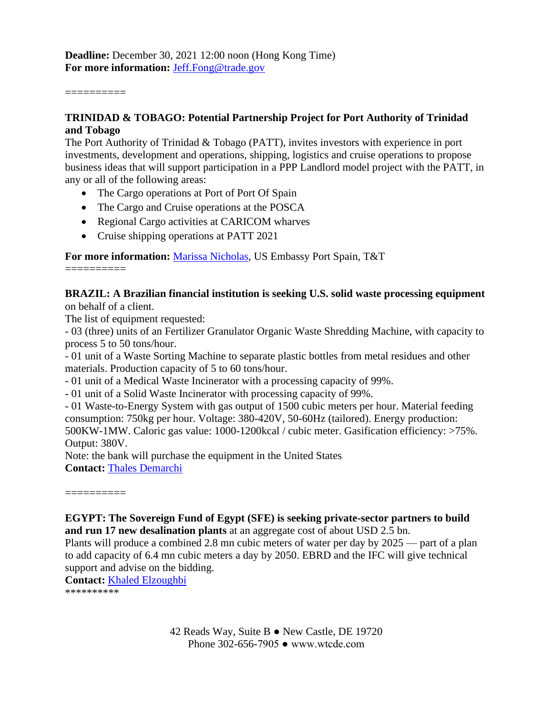**Deadline:** December 30, 2021 12:00 noon (Hong Kong Time) **For more information:** [Jeff.Fong@trade.gov](mailto:Jeff.Fong@trade.gov)

==========

#### **TRINIDAD & TOBAGO: Potential Partnership Project for Port Authority of Trinidad and Tobago**

The Port Authority of Trinidad & Tobago (PATT), invites investors with experience in port investments, development and operations, shipping, logistics and cruise operations to propose business ideas that will support participation in a PPP Landlord model project with the PATT, in any or all of the following areas:

- The Cargo operations at Port of Port Of Spain
- The Cargo and Cruise operations at the POSCA
- Regional Cargo activities at CARICOM wharves
- Cruise shipping operations at PATT 2021

**For more information:** [Marissa Nicholas,](mailto:NicholasMR@state.gov) US Embassy Port Spain, T&T

==========

#### **BRAZIL: A Brazilian financial institution is seeking U.S. solid waste processing equipment** on behalf of a client.

The list of equipment requested:

- 03 (three) units of an Fertilizer Granulator Organic Waste Shredding Machine, with capacity to process 5 to 50 tons/hour.

- 01 unit of a Waste Sorting Machine to separate plastic bottles from metal residues and other materials. Production capacity of 5 to 60 tons/hour.

- 01 unit of a Medical Waste Incinerator with a processing capacity of 99%.

- 01 unit of a Solid Waste Incinerator with processing capacity of 99%.

- 01 Waste-to-Energy System with gas output of 1500 cubic meters per hour. Material feeding consumption: 750kg per hour. Voltage: 380-420V, 50-60Hz (tailored). Energy production: 500KW-1MW. Caloric gas value: 1000-1200kcal / cubic meter. Gasification efficiency: >75%. Output: 380V.

Note: the bank will purchase the equipment in the United States **Contact:** [Thales Demarchi](mailto:Thales.Demarchi@trade.gov)

==========

#### **EGYPT: The Sovereign Fund of Egypt (SFE) is seeking private-sector partners to build and run 17 new desalination plants** at an aggregate cost of about USD 2.5 bn.

Plants will produce a combined 2.8 mn cubic meters of water per day by 2025 — part of a plan to add capacity of 6.4 mn cubic meters a day by 2050. EBRD and the IFC will give technical support and advise on the bidding.

**Contact:** [Khaled Elzoughbi](mailto:khaled.elzoughbi@trade.gov)

\*\*\*\*\*\*\*\*\*\*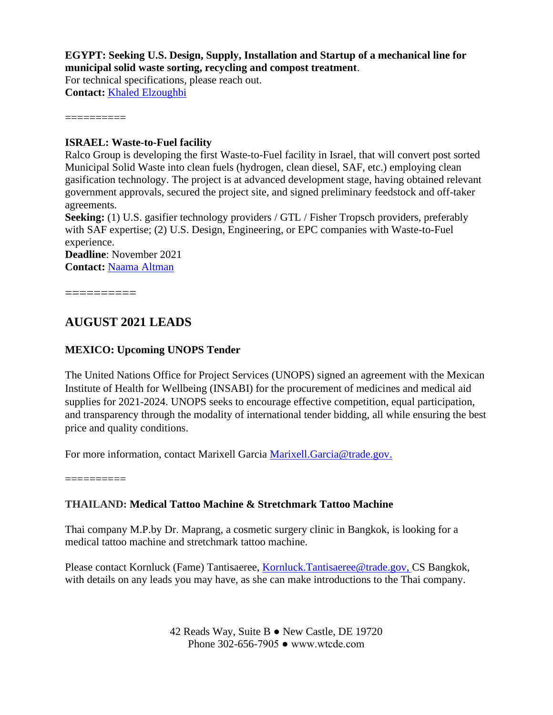#### **EGYPT: Seeking U.S. Design, Supply, Installation and Startup of a mechanical line for municipal solid waste sorting, recycling and compost treatment**.

For technical specifications, please reach out. **Contact:** [Khaled Elzoughbi](mailto:khaled.elzoughbi@trade.gov)

==========

### **ISRAEL: Waste-to-Fuel facility**

Ralco Group is developing the first Waste-to-Fuel facility in Israel, that will convert post sorted Municipal Solid Waste into clean fuels (hydrogen, clean diesel, SAF, etc.) employing clean gasification technology. The project is at advanced development stage, having obtained relevant government approvals, secured the project site, and signed preliminary feedstock and off-taker agreements.

**Seeking:** (1) U.S. gasifier technology providers / GTL / Fisher Tropsch providers, preferably with SAF expertise; (2) U.S. Design, Engineering, or EPC companies with Waste-to-Fuel experience.

**Deadline**: November 2021 **Contact:** [Naama Altman](mailto:Naama.Altman@Trade.gov)

==========

# **AUGUST 2021 LEADS**

# **MEXICO: Upcoming UNOPS Tender**

The United Nations Office for Project Services (UNOPS) signed an agreement with the Mexican Institute of Health for Wellbeing (INSABI) for the procurement of medicines and medical aid supplies for 2021-2024. UNOPS seeks to encourage effective competition, equal participation, and transparency through the modality of international tender bidding, all while ensuring the best price and quality conditions.

For more information, contact Marixell Garcia [Marixell.Garcia@trade.gov.](mailto:Marixell.Garcia@trade.gov)

==========

# **THAILAND: Medical Tattoo Machine & Stretchmark Tattoo Machine**

Thai company M.P.by Dr. Maprang, a cosmetic surgery clinic in Bangkok, is looking for a medical tattoo machine and stretchmark tattoo machine.

Please contact Kornluck (Fame) Tantisaeree, [Kornluck.Tantisaeree@trade.gov,](mailto:Kornluck.Tantisaeree@trade.gov) CS Bangkok, with details on any leads you may have, as she can make introductions to the Thai company.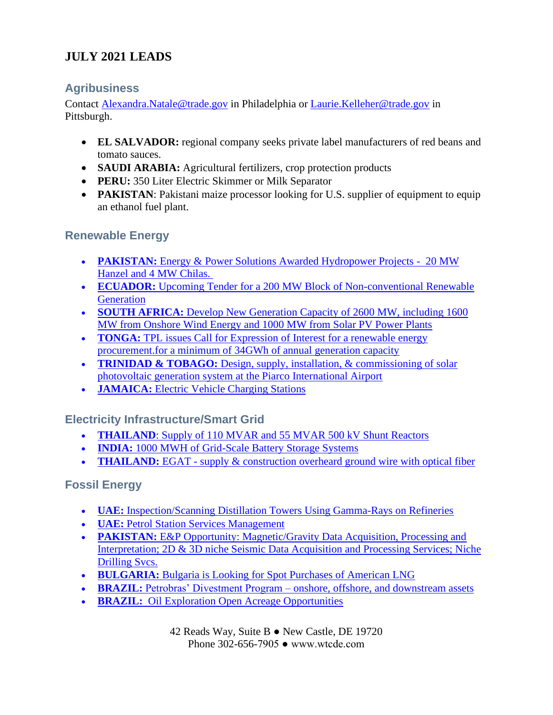# **JULY 2021 LEADS**

# **Agribusiness**

Contact [Alexandra.Natale@trade.gov](mailto:Alexandra.Natale@trade.gov) in Philadelphia or [Laurie.Kelleher@trade.gov](mailto:Laurie.Kelleher@trade.gov) in Pittsburgh.

- **EL SALVADOR:** regional company seeks private label manufacturers of red beans and tomato sauces.
- **SAUDI ARABIA:** Agricultural fertilizers, crop protection products
- **PERU:** 350 Liter Electric Skimmer or Milk Separator
- **PAKISTAN**: Pakistani maize processor looking for U.S. supplier of equipment to equip an ethanol fuel plant.

# **Renewable Energy**

- **PAKISTAN:** Energy & Power Solutions Awarded Hydropower Projects 20 MW [Hanzel and 4 MW Chilas.](https://lnks.gd/l/eyJhbGciOiJIUzI1NiJ9.eyJidWxsZXRpbl9saW5rX2lkIjoxNzksInVyaSI6ImJwMjpjbGljayIsImJ1bGxldGluX2lkIjoiMjAyMTA2MDcuNDE1NjgwOTEiLCJ1cmwiOiJodHRwczovL2NvbnRlbnQuZ292ZGVsaXZlcnkuY29tL2F0dGFjaG1lbnRzL1VTSVRBVFJBREUvMjAyMS8wNi8wNC9maWxlX2F0dGFjaG1lbnRzLzE4NDQ2NjgvUGFraXN0YW4ucGRmIn0.qSW8zk6N13R-1wLtz_X8RXzkEurO3ublVSFrGiQhzno/s/375238915/br/107528082450-l)
- **ECUADOR:** [Upcoming Tender for a 200 MW Block of Non-conventional Renewable](https://gcc02.safelinks.protection.outlook.com/?url=https%3A%2F%2Flnks.gd%2Fl%2FeyJhbGciOiJIUzI1NiJ9.eyJidWxsZXRpbl9saW5rX2lkIjoxNzEsInVyaSI6ImJwMjpjbGljayIsImJ1bGxldGluX2lkIjoiMjAyMTA0MTUuMzg4NjE0NDEiLCJ1cmwiOiJodHRwczovL2NvbnRlbnQuZ292ZGVsaXZlcnkuY29tL2F0dGFjaG1lbnRzL1VTSVRBVFJBREUvMjAyMC8xMC8wNS9maWxlX2F0dGFjaG1lbnRzLzE1NjI3MTAvRUNVQURPUi5wZGYifQ.vk-Fss6yVMqKup48I3QAX3BIxsRjnJPObyk24Bpd_aE%2Fs%2F761723631%2Fbr%2F102339645098-l&data=04%7C01%7Cdanielle.caltabiano%40trade.gov%7C911ff936d5f74be703b408d9003a0f86%7Ca1d183f26c7b4d9ab9945f2f31b3f780%7C1%7C1%7C637541071639196701%7CUnknown%7CTWFpbGZsb3d8eyJWIjoiMC4wLjAwMDAiLCJQIjoiV2luMzIiLCJBTiI6Ik1haWwiLCJXVCI6Mn0%3D%7C1000&sdata=BbodM4SAwUHYJcD%2BRUTLjjznIqmc8Fg%2FoOELfcVyKK8%3D&reserved=0)  **[Generation](https://gcc02.safelinks.protection.outlook.com/?url=https%3A%2F%2Flnks.gd%2Fl%2FeyJhbGciOiJIUzI1NiJ9.eyJidWxsZXRpbl9saW5rX2lkIjoxNzEsInVyaSI6ImJwMjpjbGljayIsImJ1bGxldGluX2lkIjoiMjAyMTA0MTUuMzg4NjE0NDEiLCJ1cmwiOiJodHRwczovL2NvbnRlbnQuZ292ZGVsaXZlcnkuY29tL2F0dGFjaG1lbnRzL1VTSVRBVFJBREUvMjAyMC8xMC8wNS9maWxlX2F0dGFjaG1lbnRzLzE1NjI3MTAvRUNVQURPUi5wZGYifQ.vk-Fss6yVMqKup48I3QAX3BIxsRjnJPObyk24Bpd_aE%2Fs%2F761723631%2Fbr%2F102339645098-l&data=04%7C01%7Cdanielle.caltabiano%40trade.gov%7C911ff936d5f74be703b408d9003a0f86%7Ca1d183f26c7b4d9ab9945f2f31b3f780%7C1%7C1%7C637541071639196701%7CUnknown%7CTWFpbGZsb3d8eyJWIjoiMC4wLjAwMDAiLCJQIjoiV2luMzIiLCJBTiI6Ik1haWwiLCJXVCI6Mn0%3D%7C1000&sdata=BbodM4SAwUHYJcD%2BRUTLjjznIqmc8Fg%2FoOELfcVyKK8%3D&reserved=0)**
- **SOUTH AFRICA:** Develop New Generation Capacity of 2600 MW, including 1600 [MW from Onshore Wind Energy and 1000 MW from Solar PV Power Plants](https://gcc02.safelinks.protection.outlook.com/?url=https%3A%2F%2Flnks.gd%2Fl%2FeyJhbGciOiJIUzI1NiJ9.eyJidWxsZXRpbl9saW5rX2lkIjoxNzMsInVyaSI6ImJwMjpjbGljayIsImJ1bGxldGluX2lkIjoiMjAyMTA0MTUuMzg4NjE0NDEiLCJ1cmwiOiJodHRwczovL2NvbnRlbnQuZ292ZGVsaXZlcnkuY29tL2F0dGFjaG1lbnRzL1VTSVRBVFJBREUvMjAyMS8wNC8xNS9maWxlX2F0dGFjaG1lbnRzLzE3NTU2NTMvU09VVEglMjBBRlJJQ0ElMjAyLnBkZiJ9.N77GBCwW52D44JroQcAeKuF5zofEvF73j3Cf1ASHXl8%2Fs%2F761723631%2Fbr%2F102339645098-l&data=04%7C01%7Cdanielle.caltabiano%40trade.gov%7C911ff936d5f74be703b408d9003a0f86%7Ca1d183f26c7b4d9ab9945f2f31b3f780%7C1%7C1%7C637541071639196701%7CUnknown%7CTWFpbGZsb3d8eyJWIjoiMC4wLjAwMDAiLCJQIjoiV2luMzIiLCJBTiI6Ik1haWwiLCJXVCI6Mn0%3D%7C1000&sdata=PtPdn8oDPRIANsVJpUam%2BPSuogiu6UbmFU2xCUqUviU%3D&reserved=0)
- **TONGA:** TPL issues Call for Expression of Interest for a renewable energy [procurement.for a minimum of 34GWh of annual generation capacity](https://lnks.gd/l/eyJhbGciOiJIUzI1NiJ9.eyJidWxsZXRpbl9saW5rX2lkIjoxNzUsInVyaSI6ImJwMjpjbGljayIsImJ1bGxldGluX2lkIjoiMjAyMTA3MTMuNDMxNTU3OTEiLCJ1cmwiOiJodHRwczovL3RvbmdhcG93ZXIudG8vRU9JJTNBLSUyMElOREVQRU5ERU5UJTIwUE9XRVIlMjBQUk9EVUNFUiUyMEZPUiUyMFJFTkVXQUJMRSUyMEVORVJHWSUyMEdFTkVSQVRJT04ifQ.z_4P8xk1j92BRCyVprtWlIwoTnvO3LIGOqcrChTFf7Q/s/375238915/br/109249672824-l)
- **TRINIDAD & TOBAGO:** Design, supply, installation, & commissioning of solar [photovoltaic generation system at the Piarco International Airport](https://lnks.gd/l/eyJhbGciOiJIUzI1NiJ9.eyJidWxsZXRpbl9saW5rX2lkIjoxNzYsInVyaSI6ImJwMjpjbGljayIsImJ1bGxldGluX2lkIjoiMjAyMTA3MTMuNDMxNTU3OTEiLCJ1cmwiOiJodHRwczovL2NvbnRlbnQuZ292ZGVsaXZlcnkuY29tL2F0dGFjaG1lbnRzL1VTSVRBVFJBREUvMjAyMS8wNy8wNi9maWxlX2F0dGFjaG1lbnRzLzE4NzE2NjIvRW5lcmd5JTIwVHJhZGUlMjBMZWFkcyUyMC0lMjBUJlRfJTIwU29sYXIlMjBQViUyMEdlbiUyMFN5c3RlbS5wZGYifQ.6Wbb6A47gr5UXwkBu8TNt2DDUT5AXH9KLmwHGldJ-N4/s/375238915/br/109249672824-l)
- **JAMAICA:** [Electric Vehicle Charging Stations](https://lnks.gd/l/eyJhbGciOiJIUzI1NiJ9.eyJidWxsZXRpbl9saW5rX2lkIjoxODIsInVyaSI6ImJwMjpjbGljayIsImJ1bGxldGluX2lkIjoiMjAyMTA2MDcuNDE1NjgwOTEiLCJ1cmwiOiJodHRwczovL2NvbnRlbnQuZ292ZGVsaXZlcnkuY29tL2F0dGFjaG1lbnRzL1VTSVRBVFJBREUvMjAyMS8wNi8wNy9maWxlX2F0dGFjaG1lbnRzLzE4NDYxNzcvamFtYWljYS5wZGYifQ.18KLWkRwAcQoOoFtzVioEbn7lM6ZlAAhBd7pD2kiIrI/s/375238915/br/107528082450-l)

**Electricity Infrastructure/Smart Grid**

- **THAILAND**: [Supply of 110 MVAR and 55 MVAR 500 kV Shunt Reactors](https://gcc02.safelinks.protection.outlook.com/?url=https%3A%2F%2Flnks.gd%2Fl%2FeyJhbGciOiJIUzI1NiJ9.eyJidWxsZXRpbl9saW5rX2lkIjoxMTAsInVyaSI6ImJwMjpjbGljayIsImJ1bGxldGluX2lkIjoiMjAyMTA0MDkuMzg1MTc0MTEiLCJ1cmwiOiJodHRwczovL2NvbnRlbnQuZ292ZGVsaXZlcnkuY29tL2F0dGFjaG1lbnRzL1VTSVRBVFJBREUvMjAyMS8wNC8wOC9maWxlX2F0dGFjaG1lbnRzLzE3NDkzNjMvVGhhaWxhbmQlMjBFR0FUJTIwVHJhZGUlMjBMZWFkJTIwU2h1bnQlMjBSZWFjdG9ycy5wZGYifQ.Xd77ZGGCCwy3Tm9LpMgmpEuzGefmC_fv84xT5wVl404%2Fs%2F750949893%2Fbr%2F101749705727-l&data=04%7C01%7Cdanielle.caltabiano%40trade.gov%7C911ff936d5f74be703b408d9003a0f86%7Ca1d183f26c7b4d9ab9945f2f31b3f780%7C1%7C1%7C637541071639226570%7CUnknown%7CTWFpbGZsb3d8eyJWIjoiMC4wLjAwMDAiLCJQIjoiV2luMzIiLCJBTiI6Ik1haWwiLCJXVCI6Mn0%3D%7C1000&sdata=p6Pk8QA48OKvgYhhshfY1h24gRBJICcOadjnfq1j6EM%3D&reserved=0)
- **INDIA:** [1000 MWH of Grid-Scale Battery Storage Systems](https://lnks.gd/l/eyJhbGciOiJIUzI1NiJ9.eyJidWxsZXRpbl9saW5rX2lkIjoxNzksInVyaSI6ImJwMjpjbGljayIsImJ1bGxldGluX2lkIjoiMjAyMTA3MTMuNDMxNTU3OTEiLCJ1cmwiOiJodHRwczovL2NvbnRlbnQuZ292ZGVsaXZlcnkuY29tL2F0dGFjaG1lbnRzL1VTSVRBVFJBREUvMjAyMS8wNy8wNi9maWxlX2F0dGFjaG1lbnRzLzE4NzE2NjQvSW5kaWFfJTIwR3JpZCUyMFNjYWxlJTIwQmF0dGVyeSUyMFN0b3JhZ2UlMjBTeXN0ZW1zLnBkZiJ9.TrkRb-oTTcs-Ox6e1laqTKqYnGoxWZ2drXjpvgarHO8/s/375238915/br/109249672824-l)
- **[THAILAND:](https://lnks.gd/l/eyJhbGciOiJIUzI1NiJ9.eyJidWxsZXRpbl9saW5rX2lkIjoxODAsInVyaSI6ImJwMjpjbGljayIsImJ1bGxldGluX2lkIjoiMjAyMTA3MTMuNDMxNTU3OTEiLCJ1cmwiOiJodHRwczovL2NvbnRlbnQuZ292ZGVsaXZlcnkuY29tL2F0dGFjaG1lbnRzL1VTSVRBVFJBREUvMjAyMS8wNy8wNi9maWxlX2F0dGFjaG1lbnRzLzE4NzE2MzkvVHJhZGUlMjBMZWFkX0JpZCUyMG5vLiUyMFROUlAtTDE3LU9QLnBkZiJ9.RgxUWrP_3RCdf-l4kjbOcLiSzux54oX54Kvkaz7L8_s/s/375238915/br/109249672824-l)** EGAT [supply & construction overheard ground wire with optical fiber](https://lnks.gd/l/eyJhbGciOiJIUzI1NiJ9.eyJidWxsZXRpbl9saW5rX2lkIjoxODEsInVyaSI6ImJwMjpjbGljayIsImJ1bGxldGluX2lkIjoiMjAyMTA3MTMuNDMxNTU3OTEiLCJ1cmwiOiJodHRwczovL2NvbnRlbnQuZ292ZGVsaXZlcnkuY29tL2F0dGFjaG1lbnRzL1VTSVRBVFJBREUvMjAyMS8wNy8wNi9maWxlX2F0dGFjaG1lbnRzLzE4NzE2MzkvVHJhZGUlMjBMZWFkX0JpZCUyMG5vLiUyMFROUlAtTDE3LU9QLnBkZiJ9.vjkc12qW1J-b29rMjhz_NQ1CgBrK3AYEAH44wbDOzoA/s/375238915/br/109249672824-l)

# **Fossil Energy**

- **UAE:** [Inspection/Scanning Distillation Towers Using Gamma-Rays on Refineries](https://lnks.gd/l/eyJhbGciOiJIUzI1NiJ9.eyJidWxsZXRpbl9saW5rX2lkIjoxODMsInVyaSI6ImJwMjpjbGljayIsImJ1bGxldGluX2lkIjoiMjAyMTA2MDcuNDE1NjgwOTEiLCJ1cmwiOiJodHRwczovL2NvbnRlbnQuZ292ZGVsaXZlcnkuY29tL2F0dGFjaG1lbnRzL1VTSVRBVFJBREUvMjAyMS8wNi8wMy9maWxlX2F0dGFjaG1lbnRzLzE4NDQyODkvdWFlJTIwMi5wZGYifQ.ttYGArAWsqer-0EgWdKrGCifl5k7Pffkgz2gVRHbVKo/s/375238915/br/107528082450-l)
- **UAE:** [Petrol Station Services Management](https://lnks.gd/l/eyJhbGciOiJIUzI1NiJ9.eyJidWxsZXRpbl9saW5rX2lkIjoxODQsInVyaSI6ImJwMjpjbGljayIsImJ1bGxldGluX2lkIjoiMjAyMTA2MDcuNDE1NjgwOTEiLCJ1cmwiOiJodHRwczovL2NvbnRlbnQuZ292ZGVsaXZlcnkuY29tL2F0dGFjaG1lbnRzL1VTSVRBVFJBREUvMjAyMS8wNi8wMy9maWxlX2F0dGFjaG1lbnRzLzE4NDQyOTgvdWFlJTIwMS5wZGYifQ.OL0hOHRzfiTL7mR7IKr4xTvIyi_TTxfVnddn9RJrovU/s/375238915/br/107528082450-l)
- **[PAKISTAN:](https://gcc02.safelinks.protection.outlook.com/?url=https%3A%2F%2Flnks.gd%2Fl%2FeyJhbGciOiJIUzI1NiJ9.eyJidWxsZXRpbl9saW5rX2lkIjoxODQsInVyaSI6ImJwMjpjbGljayIsImJ1bGxldGluX2lkIjoiMjAyMTA0MTUuMzg4NjE0NDEiLCJ1cmwiOiJodHRwczovL2NvbnRlbnQuZ292ZGVsaXZlcnkuY29tL2F0dGFjaG1lbnRzL1VTSVRBVFJBREUvMjAyMS8wNC8xNC9maWxlX2F0dGFjaG1lbnRzLzE3NTQwOTAvUEFLSVNUQU4ucGRmIn0.BWLW26HWqAyukVHKdHG4N7S6rM4m6lN554jReg4YK38%2Fs%2F761723631%2Fbr%2F102339645098-l&data=04%7C01%7Cdanielle.caltabiano%40trade.gov%7C911ff936d5f74be703b408d9003a0f86%7Ca1d183f26c7b4d9ab9945f2f31b3f780%7C1%7C1%7C637541071639266392%7CUnknown%7CTWFpbGZsb3d8eyJWIjoiMC4wLjAwMDAiLCJQIjoiV2luMzIiLCJBTiI6Ik1haWwiLCJXVCI6Mn0%3D%7C1000&sdata=0oh4c1ji3XwQaZfz4oa4wkt4BmJMY4ps7l74TVe5MZk%3D&reserved=0)** E&P Opportunity: Magnetic/Gravity Data Acquisition, Processing and [Interpretation; 2D & 3D niche Seismic Data Acquisition and Processing Services; Niche](https://gcc02.safelinks.protection.outlook.com/?url=https%3A%2F%2Flnks.gd%2Fl%2FeyJhbGciOiJIUzI1NiJ9.eyJidWxsZXRpbl9saW5rX2lkIjoxODUsInVyaSI6ImJwMjpjbGljayIsImJ1bGxldGluX2lkIjoiMjAyMTA0MTUuMzg4NjE0NDEiLCJ1cmwiOiJodHRwczovL2NvbnRlbnQuZ292ZGVsaXZlcnkuY29tL2F0dGFjaG1lbnRzL1VTSVRBVFJBREUvMjAyMS8wNC8xNC9maWxlX2F0dGFjaG1lbnRzLzE3NTQwOTAvUEFLSVNUQU4ucGRmIn0.68OnL0Ulfise9a6Ct8UtRKlQZtt_c3OuOwqgaq3oM7o%2Fs%2F761723631%2Fbr%2F102339645098-l&data=04%7C01%7Cdanielle.caltabiano%40trade.gov%7C911ff936d5f74be703b408d9003a0f86%7Ca1d183f26c7b4d9ab9945f2f31b3f780%7C1%7C1%7C637541071639266392%7CUnknown%7CTWFpbGZsb3d8eyJWIjoiMC4wLjAwMDAiLCJQIjoiV2luMzIiLCJBTiI6Ik1haWwiLCJXVCI6Mn0%3D%7C1000&sdata=i8pL8oElneiDZWcNddAQxiu7aP4uTkSwleyj%2B69JIe4%3D&reserved=0)  [Drilling Svcs.](https://gcc02.safelinks.protection.outlook.com/?url=https%3A%2F%2Flnks.gd%2Fl%2FeyJhbGciOiJIUzI1NiJ9.eyJidWxsZXRpbl9saW5rX2lkIjoxODUsInVyaSI6ImJwMjpjbGljayIsImJ1bGxldGluX2lkIjoiMjAyMTA0MTUuMzg4NjE0NDEiLCJ1cmwiOiJodHRwczovL2NvbnRlbnQuZ292ZGVsaXZlcnkuY29tL2F0dGFjaG1lbnRzL1VTSVRBVFJBREUvMjAyMS8wNC8xNC9maWxlX2F0dGFjaG1lbnRzLzE3NTQwOTAvUEFLSVNUQU4ucGRmIn0.68OnL0Ulfise9a6Ct8UtRKlQZtt_c3OuOwqgaq3oM7o%2Fs%2F761723631%2Fbr%2F102339645098-l&data=04%7C01%7Cdanielle.caltabiano%40trade.gov%7C911ff936d5f74be703b408d9003a0f86%7Ca1d183f26c7b4d9ab9945f2f31b3f780%7C1%7C1%7C637541071639266392%7CUnknown%7CTWFpbGZsb3d8eyJWIjoiMC4wLjAwMDAiLCJQIjoiV2luMzIiLCJBTiI6Ik1haWwiLCJXVCI6Mn0%3D%7C1000&sdata=i8pL8oElneiDZWcNddAQxiu7aP4uTkSwleyj%2B69JIe4%3D&reserved=0)
- **BULGARIA:** [Bulgaria is Looking for Spot Purchases of American LNG](https://gcc02.safelinks.protection.outlook.com/?url=https%3A%2F%2Flnks.gd%2Fl%2FeyJhbGciOiJIUzI1NiJ9.eyJidWxsZXRpbl9saW5rX2lkIjoxOTEsInVyaSI6ImJwMjpjbGljayIsImJ1bGxldGluX2lkIjoiMjAyMTA0MTUuMzg4NjE0NDEiLCJ1cmwiOiJodHRwczovL2NvbnRlbnQuZ292ZGVsaXZlcnkuY29tL2F0dGFjaG1lbnRzL1VTSVRBVFJBREUvMjAyMC8wOC8wNS9maWxlX2F0dGFjaG1lbnRzLzE1MTE5MzYvQnVsZ2FyaWElMjBUTC5wZGYifQ.Q93UBheLsOSNuCjk61ngk_QBfLcgj2H8OVIfEWCWPwE%2Fs%2F761723631%2Fbr%2F102339645098-l&data=04%7C01%7Cdanielle.caltabiano%40trade.gov%7C911ff936d5f74be703b408d9003a0f86%7Ca1d183f26c7b4d9ab9945f2f31b3f780%7C1%7C1%7C637541071639296261%7CUnknown%7CTWFpbGZsb3d8eyJWIjoiMC4wLjAwMDAiLCJQIjoiV2luMzIiLCJBTiI6Ik1haWwiLCJXVCI6Mn0%3D%7C1000&sdata=orIr%2B7hMrUoCv6NCZZyOAK3Rh6IaMQl0ydpwkTa4isA%3D&reserved=0)
- **BRAZIL:** Petrobras' Divestment Program [onshore, offshore, and downstream assets](https://gcc02.safelinks.protection.outlook.com/?url=https%3A%2F%2Flnks.gd%2Fl%2FeyJhbGciOiJIUzI1NiJ9.eyJidWxsZXRpbl9saW5rX2lkIjoxOTIsInVyaSI6ImJwMjpjbGljayIsImJ1bGxldGluX2lkIjoiMjAyMTA0MTUuMzg4NjE0NDEiLCJ1cmwiOiJodHRwczovL2NvbnRlbnQuZ292ZGVsaXZlcnkuY29tL2F0dGFjaG1lbnRzL1VTSVRBVFJBREUvMjAyMC8xMi8wNy9maWxlX2F0dGFjaG1lbnRzLzE2MTkzOTYvQlJBWklMJTIwMi5wZGYifQ.vUbiLC6Z9d0HM2VFejDzIi5CThu3Xm5g2-vz9Ug7qkY%2Fs%2F761723631%2Fbr%2F102339645098-l&data=04%7C01%7Cdanielle.caltabiano%40trade.gov%7C911ff936d5f74be703b408d9003a0f86%7Ca1d183f26c7b4d9ab9945f2f31b3f780%7C1%7C1%7C637541071639296261%7CUnknown%7CTWFpbGZsb3d8eyJWIjoiMC4wLjAwMDAiLCJQIjoiV2luMzIiLCJBTiI6Ik1haWwiLCJXVCI6Mn0%3D%7C1000&sdata=Zan0ISdxxZ6nxdkp68s3cKpFAl9Eba27oo61yETye4Q%3D&reserved=0)
- **[BRAZIL:](https://gcc02.safelinks.protection.outlook.com/?url=https%3A%2F%2Flnks.gd%2Fl%2FeyJhbGciOiJIUzI1NiJ9.eyJidWxsZXRpbl9saW5rX2lkIjoxOTMsInVyaSI6ImJwMjpjbGljayIsImJ1bGxldGluX2lkIjoiMjAyMTA0MTUuMzg4NjE0NDEiLCJ1cmwiOiJodHRwczovL2NvbnRlbnQuZ292ZGVsaXZlcnkuY29tL2F0dGFjaG1lbnRzL1VTSVRBVFJBREUvMjAyMS8wMy8xMS9maWxlX2F0dGFjaG1lbnRzLzE3MjAyOTMvQlJBWklMJTIwMi5wZGYifQ.h6t-yuH2MUfe3_AMi6EfQ2TwMcJ09Ou0G1lwwoGV_gY%2Fs%2F761723631%2Fbr%2F102339645098-l&data=04%7C01%7Cdanielle.caltabiano%40trade.gov%7C911ff936d5f74be703b408d9003a0f86%7Ca1d183f26c7b4d9ab9945f2f31b3f780%7C1%7C1%7C637541071639296261%7CUnknown%7CTWFpbGZsb3d8eyJWIjoiMC4wLjAwMDAiLCJQIjoiV2luMzIiLCJBTiI6Ik1haWwiLCJXVCI6Mn0%3D%7C1000&sdata=ErwzoJlQNgZgJ3gpo6Yc4o9oTvxzpEjMf2qBFOxvUKc%3D&reserved=0)** [Oil Exploration Open Acreage Opportunities](https://gcc02.safelinks.protection.outlook.com/?url=https%3A%2F%2Flnks.gd%2Fl%2FeyJhbGciOiJIUzI1NiJ9.eyJidWxsZXRpbl9saW5rX2lkIjoxOTQsInVyaSI6ImJwMjpjbGljayIsImJ1bGxldGluX2lkIjoiMjAyMTA0MTUuMzg4NjE0NDEiLCJ1cmwiOiJodHRwczovL2NvbnRlbnQuZ292ZGVsaXZlcnkuY29tL2F0dGFjaG1lbnRzL1VTSVRBVFJBREUvMjAyMS8wMy8xMS9maWxlX2F0dGFjaG1lbnRzLzE3MjAyOTMvQlJBWklMJTIwMi5wZGYifQ.pDbxMfmWA0YaOl8QqY4XiLYzesDH3LsGHoIO7rZsNu4%2Fs%2F761723631%2Fbr%2F102339645098-l&data=04%7C01%7Cdanielle.caltabiano%40trade.gov%7C911ff936d5f74be703b408d9003a0f86%7Ca1d183f26c7b4d9ab9945f2f31b3f780%7C1%7C1%7C637541071639306218%7CUnknown%7CTWFpbGZsb3d8eyJWIjoiMC4wLjAwMDAiLCJQIjoiV2luMzIiLCJBTiI6Ik1haWwiLCJXVCI6Mn0%3D%7C1000&sdata=%2F8nVpYKh8U2bqkOT%2B9I2a3UV%2BbsJeobrxuQ%2FsHo%2B5A4%3D&reserved=0)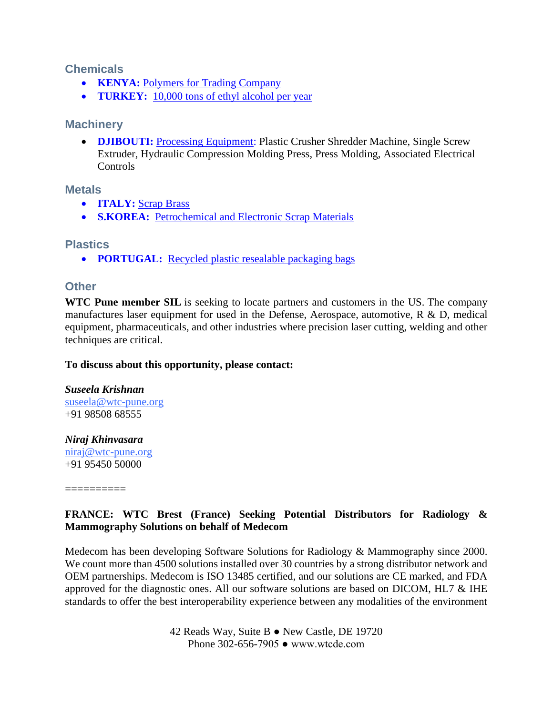**Chemicals**

- **KENYA:** [Polymers for Trading Company](https://lnks.gd/l/eyJhbGciOiJIUzI1NiJ9.eyJidWxsZXRpbl9saW5rX2lkIjoxMjYsInVyaSI6ImJwMjpjbGljayIsImJ1bGxldGluX2lkIjoiMjAyMTA2MDEuNDEzNTgyMTEiLCJ1cmwiOiJodHRwczovL2NvbnRlbnQuZ292ZGVsaXZlcnkuY29tL2F0dGFjaG1lbnRzL1VTSVRBVFJBREUvMjAyMS8wMy8yNi9maWxlX2F0dGFjaG1lbnRzLzE3MzY2NjEvQXByJTIwS2VueWElMjBQb2x5bWVycy5wZGYifQ.8oSvTy9HK5YCZzvPaFlEP2Cq4hpZfntCXa0ltsP-LuM/s/375238915/br/107298846652-l)
- **TURKEY:** [10,000 tons of ethyl alcohol per year](https://lnks.gd/l/eyJhbGciOiJIUzI1NiJ9.eyJidWxsZXRpbl9saW5rX2lkIjoxMjgsInVyaSI6ImJwMjpjbGljayIsImJ1bGxldGluX2lkIjoiMjAyMTA2MDEuNDEzNTgyMTEiLCJ1cmwiOiJodHRwczovL2NvbnRlbnQuZ292ZGVsaXZlcnkuY29tL2F0dGFjaG1lbnRzL1VTSVRBVFJBREUvMjAyMS8wNC8wMi9maWxlX2F0dGFjaG1lbnRzLzE3NDI4MDgvQXByJTIwVHVya2V5JTIwVHJhZGUlMjBMZWFkLnBkZiJ9.gmcPA01WKJM7JlCMx-smOE3MZc9YR25Yh1o8a8ygjR8/s/375238915/br/107298846652-l)

## **Machinery**

• **DJIBOUTI:** [Processing Equipment:](https://lnks.gd/l/eyJhbGciOiJIUzI1NiJ9.eyJidWxsZXRpbl9saW5rX2lkIjoxMjksInVyaSI6ImJwMjpjbGljayIsImJ1bGxldGluX2lkIjoiMjAyMTA2MDEuNDEzNTgyMTEiLCJ1cmwiOiJodHRwczovL2NvbnRlbnQuZ292ZGVsaXZlcnkuY29tL2F0dGFjaG1lbnRzL1VTSVRBVFJBREUvMjAyMS8wMy8yNi9maWxlX2F0dGFjaG1lbnRzLzE3MzY2NjQvRmViJTIwRGppYm91dGklMjBUcmFkZSUyMExlYWQucGRmIn0.sLOEpaQ8TT2yx_yB7aN-_lnpJaF5bsDmSl9oUZpPa_w/s/375238915/br/107298846652-l) Plastic Crusher Shredder Machine, Single Screw Extruder, Hydraulic Compression Molding Press, Press Molding, Associated Electrical Controls

# **Metals**

- **ITALY:** [Scrap Brass](https://lnks.gd/l/eyJhbGciOiJIUzI1NiJ9.eyJidWxsZXRpbl9saW5rX2lkIjoxMzIsInVyaSI6ImJwMjpjbGljayIsImJ1bGxldGluX2lkIjoiMjAyMTA2MDEuNDEzNTgyMTEiLCJ1cmwiOiJodHRwczovL2NvbnRlbnQuZ292ZGVsaXZlcnkuY29tL2F0dGFjaG1lbnRzL1VTSVRBVFJBREUvMjAyMS8wMy8yNi9maWxlX2F0dGFjaG1lbnRzLzE3MzY2NjgvRmViJTIwSXRhbHklMjBUcmFkZSUyMGxlYWQucGRmIn0.XN5kG_jbJmZLOD8di_SHtlsWG-V2AWZOrraR6521kKY/s/375238915/br/107298846652-l)
- **S.KOREA:** [Petrochemical and Electronic Scrap Materials](https://lnks.gd/l/eyJhbGciOiJIUzI1NiJ9.eyJidWxsZXRpbl9saW5rX2lkIjoxMzMsInVyaSI6ImJwMjpjbGljayIsImJ1bGxldGluX2lkIjoiMjAyMTA2MDEuNDEzNTgyMTEiLCJ1cmwiOiJodHRwczovL2NvbnRlbnQuZ292ZGVsaXZlcnkuY29tL2F0dGFjaG1lbnRzL1VTSVRBVFJBREUvMjAyMS8wMy8yNi9maWxlX2F0dGFjaG1lbnRzLzE3MzY2NjkvQXByJTIwS29yZWElMjBTY3JhcCUyMEltcG9ydGVyJTIwVHJhZGUlMjBMZWFkLnBkZiJ9.RvERQGGJ4OJjM5b-Anrh2BdU5ZH5H5FwwPka3xvrkmQ/s/375238915/br/107298846652-l)

## **Plastics**

• **PORTUGAL:** [Recycled plastic resealable packaging bags](https://lnks.gd/l/eyJhbGciOiJIUzI1NiJ9.eyJidWxsZXRpbl9saW5rX2lkIjoxMzQsInVyaSI6ImJwMjpjbGljayIsImJ1bGxldGluX2lkIjoiMjAyMTA2MDEuNDEzNTgyMTEiLCJ1cmwiOiJodHRwczovL2NvbnRlbnQuZ292ZGVsaXZlcnkuY29tL2F0dGFjaG1lbnRzL1VTSVRBVFJBREUvMjAyMS8wMy8yNi9maWxlX2F0dGFjaG1lbnRzLzE3MzY2NzAvRmViJTIwUG9ydHVnYWwlMjBUcmFkZSUyMGxlYWQucGRmIn0.69_KuNIiTEF6I6xXVN4O20LixiniZCdXdFGeDfo0Tlo/s/375238915/br/107298846652-l)

# **Other**

**WTC Pune member SIL** is seeking to locate partners and customers in the US. The company manufactures laser equipment for used in the Defense, Aerospace, automotive, R & D, medical equipment, pharmaceuticals, and other industries where precision laser cutting, welding and other techniques are critical.

### **To discuss about this opportunity, please contact:**

*Suseela Krishnan* [suseela@wtc-pune.org](mailto:suseela@wtc-pune.org) +91 98508 68555

*Niraj Khinvasara* [niraj@wtc-pune.org](mailto:niraj@wtc-pune.org) +91 95450 50000

==========

## **FRANCE: WTC Brest (France) Seeking Potential Distributors for Radiology & Mammography Solutions on behalf of Medecom**

Medecom has been developing Software Solutions for Radiology & Mammography since 2000. We count more than 4500 solutions installed over 30 countries by a strong distributor network and OEM partnerships. Medecom is ISO 13485 certified, and our solutions are CE marked, and FDA approved for the diagnostic ones. All our software solutions are based on DICOM, HL7 & IHE standards to offer the best interoperability experience between any modalities of the environment